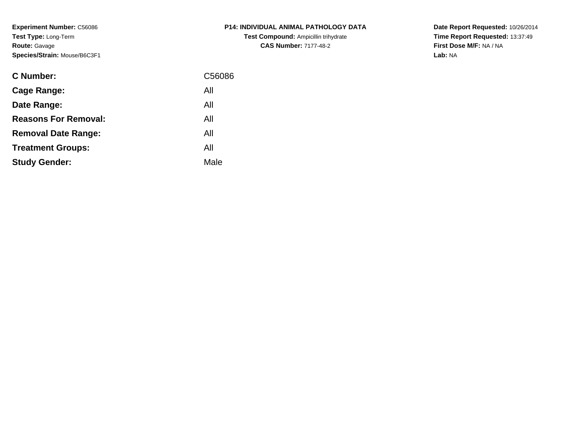**Experiment Number:** C56086**Test Type:** Long-Term**Route:** Gavage**Species/Strain:** Mouse/B6C3F1

| <b>C Number:</b>            | C56086 |
|-----------------------------|--------|
| Cage Range:                 | All    |
| Date Range:                 | All    |
| <b>Reasons For Removal:</b> | All    |
| <b>Removal Date Range:</b>  | All    |
| <b>Treatment Groups:</b>    | All    |
| <b>Study Gender:</b>        | Male   |
|                             |        |

# **P14: INDIVIDUAL ANIMAL PATHOLOGY DATATest Compound:** Ampicillin trihydrate**CAS Number:** 7177-48-2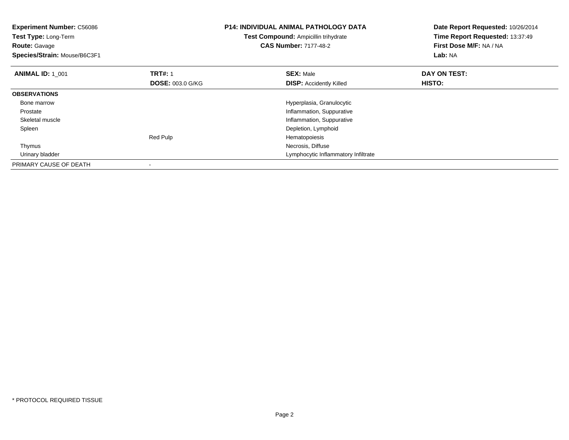| <b>Experiment Number: C56086</b><br>Test Type: Long-Term<br><b>Route: Gavage</b><br>Species/Strain: Mouse/B6C3F1 |                         | <b>P14: INDIVIDUAL ANIMAL PATHOLOGY DATA</b><br>Test Compound: Ampicillin trihydrate<br><b>CAS Number: 7177-48-2</b> | Date Report Requested: 10/26/2014<br>Time Report Requested: 13:37:49<br>First Dose M/F: NA / NA<br>Lab: NA |
|------------------------------------------------------------------------------------------------------------------|-------------------------|----------------------------------------------------------------------------------------------------------------------|------------------------------------------------------------------------------------------------------------|
| <b>ANIMAL ID: 1 001</b>                                                                                          | <b>TRT#: 1</b>          | <b>SEX: Male</b>                                                                                                     | DAY ON TEST:                                                                                               |
|                                                                                                                  | <b>DOSE: 003.0 G/KG</b> | <b>DISP:</b> Accidently Killed                                                                                       | HISTO:                                                                                                     |
| <b>OBSERVATIONS</b>                                                                                              |                         |                                                                                                                      |                                                                                                            |
| Bone marrow                                                                                                      |                         | Hyperplasia, Granulocytic                                                                                            |                                                                                                            |
| Prostate                                                                                                         |                         | Inflammation, Suppurative                                                                                            |                                                                                                            |
| Skeletal muscle                                                                                                  |                         | Inflammation, Suppurative                                                                                            |                                                                                                            |
| Spleen                                                                                                           |                         | Depletion, Lymphoid                                                                                                  |                                                                                                            |
|                                                                                                                  | Red Pulp                | Hematopoiesis                                                                                                        |                                                                                                            |
| Thymus                                                                                                           |                         | Necrosis, Diffuse                                                                                                    |                                                                                                            |
| Urinary bladder                                                                                                  |                         | Lymphocytic Inflammatory Infiltrate                                                                                  |                                                                                                            |
| PRIMARY CAUSE OF DEATH                                                                                           |                         |                                                                                                                      |                                                                                                            |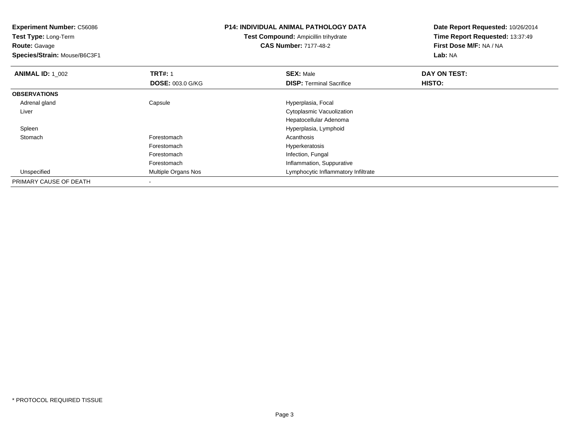| <b>Experiment Number: C56086</b><br>Test Type: Long-Term |                         | <b>P14: INDIVIDUAL ANIMAL PATHOLOGY DATA</b> | Date Report Requested: 10/26/2014<br>Time Report Requested: 13:37:49 |
|----------------------------------------------------------|-------------------------|----------------------------------------------|----------------------------------------------------------------------|
|                                                          |                         | <b>Test Compound: Ampicillin trihydrate</b>  |                                                                      |
| <b>Route: Gavage</b>                                     |                         | <b>CAS Number: 7177-48-2</b>                 | First Dose M/F: NA / NA                                              |
| Species/Strain: Mouse/B6C3F1                             |                         |                                              | Lab: NA                                                              |
| <b>ANIMAL ID: 1 002</b>                                  | <b>TRT#: 1</b>          | <b>SEX: Male</b>                             | DAY ON TEST:                                                         |
|                                                          | <b>DOSE: 003.0 G/KG</b> | <b>DISP:</b> Terminal Sacrifice              | HISTO:                                                               |
| <b>OBSERVATIONS</b>                                      |                         |                                              |                                                                      |
| Adrenal gland                                            | Capsule                 | Hyperplasia, Focal                           |                                                                      |
| Liver                                                    |                         | Cytoplasmic Vacuolization                    |                                                                      |
|                                                          |                         | Hepatocellular Adenoma                       |                                                                      |
| Spleen                                                   |                         | Hyperplasia, Lymphoid                        |                                                                      |
| Stomach                                                  | Forestomach             | Acanthosis                                   |                                                                      |
|                                                          | Forestomach             | Hyperkeratosis                               |                                                                      |
|                                                          | Forestomach             | Infection, Fungal                            |                                                                      |
|                                                          | Forestomach             | Inflammation, Suppurative                    |                                                                      |
| Unspecified                                              | Multiple Organs Nos     | Lymphocytic Inflammatory Infiltrate          |                                                                      |
| PRIMARY CAUSE OF DEATH                                   |                         |                                              |                                                                      |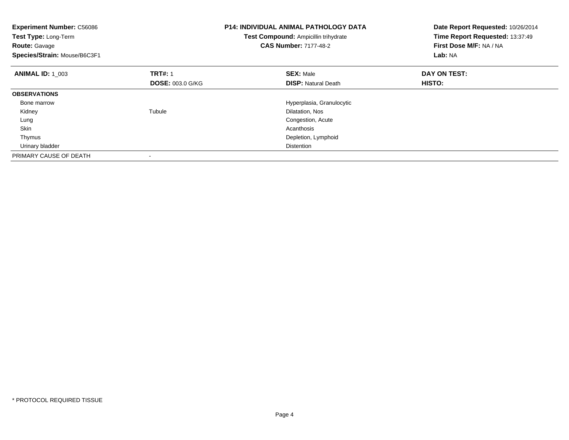| Experiment Number: C56086<br><b>Test Type: Long-Term</b><br><b>Route: Gavage</b><br>Species/Strain: Mouse/B6C3F1 |                         | <b>P14: INDIVIDUAL ANIMAL PATHOLOGY DATA</b><br>Test Compound: Ampicillin trihydrate<br><b>CAS Number: 7177-48-2</b> | Date Report Requested: 10/26/2014<br>Time Report Requested: 13:37:49<br>First Dose M/F: NA / NA<br>Lab: NA |
|------------------------------------------------------------------------------------------------------------------|-------------------------|----------------------------------------------------------------------------------------------------------------------|------------------------------------------------------------------------------------------------------------|
| <b>ANIMAL ID: 1 003</b>                                                                                          | <b>TRT#: 1</b>          | <b>SEX: Male</b>                                                                                                     | DAY ON TEST:                                                                                               |
|                                                                                                                  | <b>DOSE: 003.0 G/KG</b> | <b>DISP:</b> Natural Death                                                                                           | HISTO:                                                                                                     |
| <b>OBSERVATIONS</b>                                                                                              |                         |                                                                                                                      |                                                                                                            |
| Bone marrow                                                                                                      |                         | Hyperplasia, Granulocytic                                                                                            |                                                                                                            |
| Kidney                                                                                                           | Tubule                  | Dilatation, Nos                                                                                                      |                                                                                                            |
| Lung                                                                                                             |                         | Congestion, Acute                                                                                                    |                                                                                                            |
| Skin                                                                                                             |                         | Acanthosis                                                                                                           |                                                                                                            |
| Thymus                                                                                                           |                         | Depletion, Lymphoid                                                                                                  |                                                                                                            |
| Urinary bladder                                                                                                  |                         | Distention                                                                                                           |                                                                                                            |
| PRIMARY CAUSE OF DEATH                                                                                           |                         |                                                                                                                      |                                                                                                            |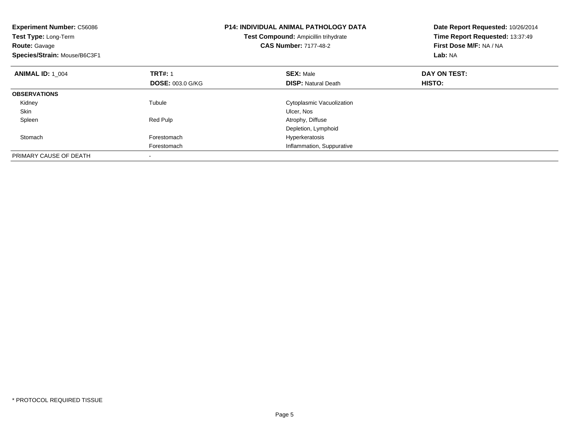| <b>Experiment Number: C56086</b><br>Test Type: Long-Term<br><b>Route: Gavage</b><br>Species/Strain: Mouse/B6C3F1 |                         | <b>P14: INDIVIDUAL ANIMAL PATHOLOGY DATA</b><br>Test Compound: Ampicillin trihydrate<br><b>CAS Number: 7177-48-2</b> | Date Report Requested: 10/26/2014<br>Time Report Requested: 13:37:49<br>First Dose M/F: NA / NA<br>Lab: NA |
|------------------------------------------------------------------------------------------------------------------|-------------------------|----------------------------------------------------------------------------------------------------------------------|------------------------------------------------------------------------------------------------------------|
| <b>ANIMAL ID: 1 004</b>                                                                                          | <b>TRT#: 1</b>          | <b>SEX: Male</b>                                                                                                     | DAY ON TEST:                                                                                               |
|                                                                                                                  | <b>DOSE: 003.0 G/KG</b> | <b>DISP: Natural Death</b>                                                                                           | HISTO:                                                                                                     |
| <b>OBSERVATIONS</b>                                                                                              |                         |                                                                                                                      |                                                                                                            |
| Kidney                                                                                                           | Tubule                  | Cytoplasmic Vacuolization                                                                                            |                                                                                                            |
| Skin                                                                                                             |                         | Ulcer, Nos                                                                                                           |                                                                                                            |
| Spleen                                                                                                           | <b>Red Pulp</b>         | Atrophy, Diffuse                                                                                                     |                                                                                                            |
|                                                                                                                  |                         | Depletion, Lymphoid                                                                                                  |                                                                                                            |
| Stomach                                                                                                          | Forestomach             | Hyperkeratosis                                                                                                       |                                                                                                            |
|                                                                                                                  | Forestomach             | Inflammation, Suppurative                                                                                            |                                                                                                            |
| PRIMARY CAUSE OF DEATH                                                                                           |                         |                                                                                                                      |                                                                                                            |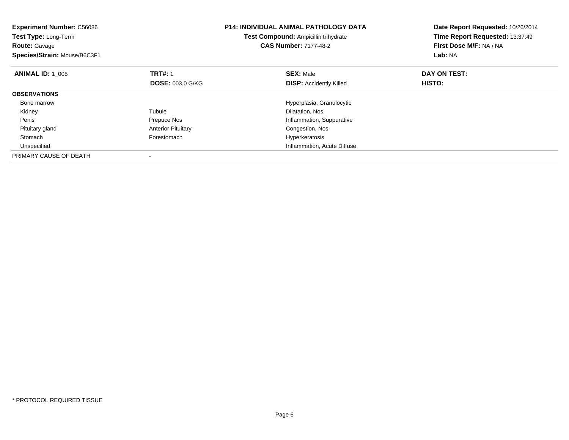| <b>Experiment Number: C56086</b><br>Test Type: Long-Term<br><b>Route: Gavage</b><br>Species/Strain: Mouse/B6C3F1 |                           | <b>P14: INDIVIDUAL ANIMAL PATHOLOGY DATA</b><br>Test Compound: Ampicillin trihydrate<br><b>CAS Number: 7177-48-2</b> | Date Report Requested: 10/26/2014<br>Time Report Requested: 13:37:49<br>First Dose M/F: NA / NA<br>Lab: NA |
|------------------------------------------------------------------------------------------------------------------|---------------------------|----------------------------------------------------------------------------------------------------------------------|------------------------------------------------------------------------------------------------------------|
| <b>ANIMAL ID: 1 005</b>                                                                                          | <b>TRT#: 1</b>            | <b>SEX: Male</b>                                                                                                     | DAY ON TEST:                                                                                               |
|                                                                                                                  | <b>DOSE: 003.0 G/KG</b>   | <b>DISP:</b> Accidently Killed                                                                                       | HISTO:                                                                                                     |
| <b>OBSERVATIONS</b>                                                                                              |                           |                                                                                                                      |                                                                                                            |
| Bone marrow                                                                                                      |                           | Hyperplasia, Granulocytic                                                                                            |                                                                                                            |
| Kidney                                                                                                           | Tubule                    | Dilatation, Nos                                                                                                      |                                                                                                            |
| Penis                                                                                                            | Prepuce Nos               | Inflammation, Suppurative                                                                                            |                                                                                                            |
| Pituitary gland                                                                                                  | <b>Anterior Pituitary</b> | Congestion, Nos                                                                                                      |                                                                                                            |
| Stomach                                                                                                          | Forestomach               | Hyperkeratosis                                                                                                       |                                                                                                            |
| Unspecified                                                                                                      |                           | Inflammation, Acute Diffuse                                                                                          |                                                                                                            |
| PRIMARY CAUSE OF DEATH                                                                                           |                           |                                                                                                                      |                                                                                                            |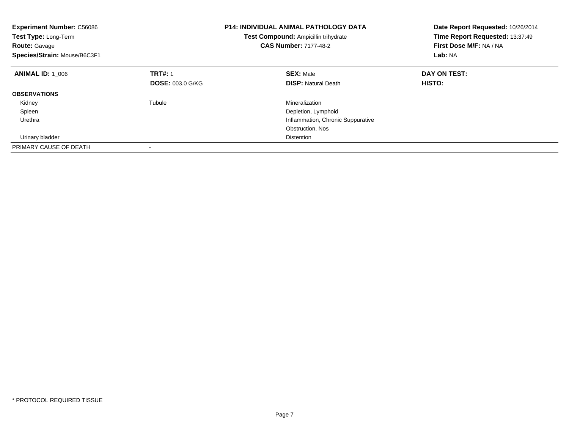| <b>Experiment Number: C56086</b><br>Test Type: Long-Term<br><b>Route: Gavage</b><br>Species/Strain: Mouse/B6C3F1 | <b>P14: INDIVIDUAL ANIMAL PATHOLOGY DATA</b><br>Test Compound: Ampicillin trihydrate<br><b>CAS Number: 7177-48-2</b> |                                   | Date Report Requested: 10/26/2014<br>Time Report Requested: 13:37:49<br>First Dose M/F: NA / NA<br>Lab: NA |
|------------------------------------------------------------------------------------------------------------------|----------------------------------------------------------------------------------------------------------------------|-----------------------------------|------------------------------------------------------------------------------------------------------------|
| <b>ANIMAL ID: 1 006</b>                                                                                          | <b>TRT#: 1</b>                                                                                                       | <b>SEX: Male</b>                  | DAY ON TEST:                                                                                               |
|                                                                                                                  | <b>DOSE: 003.0 G/KG</b>                                                                                              | <b>DISP:</b> Natural Death        | HISTO:                                                                                                     |
| <b>OBSERVATIONS</b>                                                                                              |                                                                                                                      |                                   |                                                                                                            |
| Kidney                                                                                                           | Tubule                                                                                                               | Mineralization                    |                                                                                                            |
| Spleen                                                                                                           |                                                                                                                      | Depletion, Lymphoid               |                                                                                                            |
| Urethra                                                                                                          |                                                                                                                      | Inflammation, Chronic Suppurative |                                                                                                            |
|                                                                                                                  |                                                                                                                      | Obstruction, Nos                  |                                                                                                            |
| Urinary bladder                                                                                                  |                                                                                                                      | <b>Distention</b>                 |                                                                                                            |
| PRIMARY CAUSE OF DEATH                                                                                           |                                                                                                                      |                                   |                                                                                                            |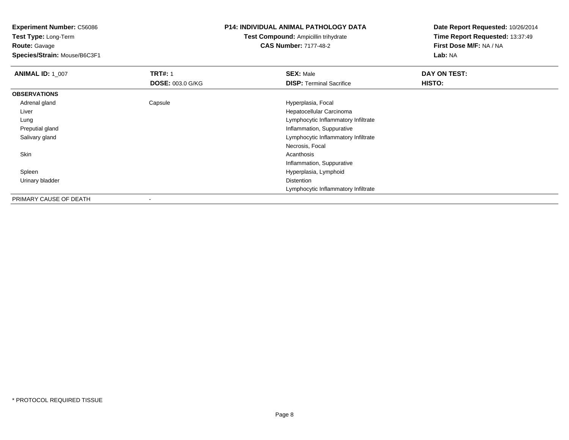**Test Type:** Long-Term**Route:** Gavage

**Species/Strain:** Mouse/B6C3F1

## **P14: INDIVIDUAL ANIMAL PATHOLOGY DATA**

**Test Compound:** Ampicillin trihydrate**CAS Number:** 7177-48-2

| <b>ANIMAL ID: 1 007</b> | <b>TRT#: 1</b>           | <b>SEX: Male</b>                    | DAY ON TEST: |
|-------------------------|--------------------------|-------------------------------------|--------------|
|                         | <b>DOSE: 003.0 G/KG</b>  | <b>DISP:</b> Terminal Sacrifice     | HISTO:       |
| <b>OBSERVATIONS</b>     |                          |                                     |              |
| Adrenal gland           | Capsule                  | Hyperplasia, Focal                  |              |
| Liver                   |                          | Hepatocellular Carcinoma            |              |
| Lung                    |                          | Lymphocytic Inflammatory Infiltrate |              |
| Preputial gland         |                          | Inflammation, Suppurative           |              |
| Salivary gland          |                          | Lymphocytic Inflammatory Infiltrate |              |
|                         |                          | Necrosis, Focal                     |              |
| Skin                    |                          | Acanthosis                          |              |
|                         |                          | Inflammation, Suppurative           |              |
| Spleen                  |                          | Hyperplasia, Lymphoid               |              |
| Urinary bladder         |                          | Distention                          |              |
|                         |                          | Lymphocytic Inflammatory Infiltrate |              |
| PRIMARY CAUSE OF DEATH  | $\overline{\phantom{a}}$ |                                     |              |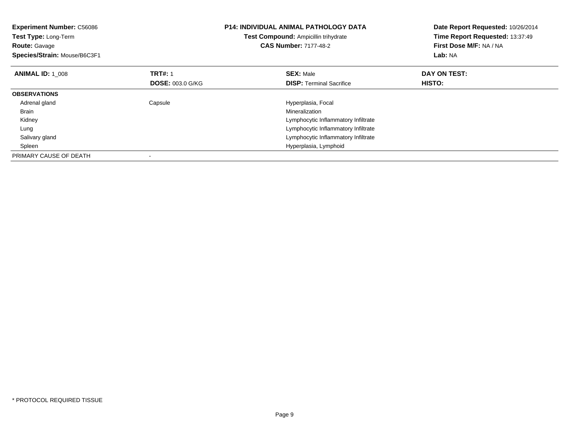| <b>Experiment Number: C56086</b><br>Test Type: Long-Term<br><b>Route: Gavage</b><br>Species/Strain: Mouse/B6C3F1 |                         | P14: INDIVIDUAL ANIMAL PATHOLOGY DATA<br>Test Compound: Ampicillin trihydrate<br><b>CAS Number: 7177-48-2</b> | Date Report Requested: 10/26/2014<br>Time Report Requested: 13:37:49<br>First Dose M/F: NA / NA<br>Lab: NA |
|------------------------------------------------------------------------------------------------------------------|-------------------------|---------------------------------------------------------------------------------------------------------------|------------------------------------------------------------------------------------------------------------|
| <b>ANIMAL ID: 1 008</b>                                                                                          | <b>TRT#: 1</b>          | <b>SEX: Male</b>                                                                                              | DAY ON TEST:                                                                                               |
|                                                                                                                  | <b>DOSE: 003.0 G/KG</b> | <b>DISP:</b> Terminal Sacrifice                                                                               | HISTO:                                                                                                     |
| <b>OBSERVATIONS</b>                                                                                              |                         |                                                                                                               |                                                                                                            |
| Adrenal gland                                                                                                    | Capsule                 | Hyperplasia, Focal                                                                                            |                                                                                                            |
| Brain                                                                                                            |                         | Mineralization                                                                                                |                                                                                                            |
| Kidney                                                                                                           |                         | Lymphocytic Inflammatory Infiltrate                                                                           |                                                                                                            |
| Lung                                                                                                             |                         | Lymphocytic Inflammatory Infiltrate                                                                           |                                                                                                            |
| Salivary gland                                                                                                   |                         | Lymphocytic Inflammatory Infiltrate                                                                           |                                                                                                            |
| Spleen                                                                                                           |                         | Hyperplasia, Lymphoid                                                                                         |                                                                                                            |
| PRIMARY CAUSE OF DEATH                                                                                           |                         |                                                                                                               |                                                                                                            |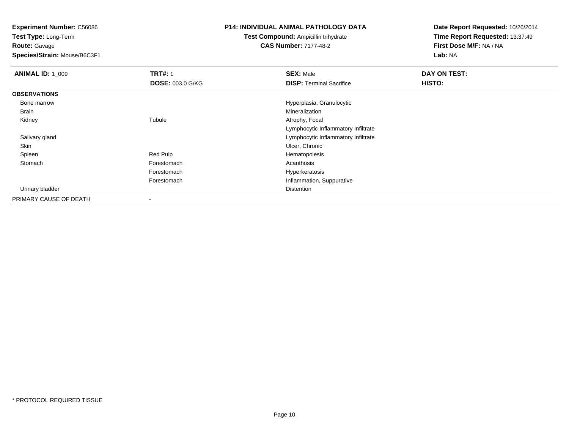**Test Type:** Long-Term**Route:** Gavage

**Species/Strain:** Mouse/B6C3F1

## **P14: INDIVIDUAL ANIMAL PATHOLOGY DATA**

**Test Compound:** Ampicillin trihydrate**CAS Number:** 7177-48-2

| <b>ANIMAL ID: 1_009</b> | <b>TRT#: 1</b>          | <b>SEX: Male</b>                    | DAY ON TEST: |  |
|-------------------------|-------------------------|-------------------------------------|--------------|--|
|                         | <b>DOSE: 003.0 G/KG</b> | <b>DISP: Terminal Sacrifice</b>     | HISTO:       |  |
| <b>OBSERVATIONS</b>     |                         |                                     |              |  |
| Bone marrow             |                         | Hyperplasia, Granulocytic           |              |  |
| Brain                   |                         | Mineralization                      |              |  |
| Kidney                  | Tubule                  | Atrophy, Focal                      |              |  |
|                         |                         | Lymphocytic Inflammatory Infiltrate |              |  |
| Salivary gland          |                         | Lymphocytic Inflammatory Infiltrate |              |  |
| Skin                    |                         | Ulcer, Chronic                      |              |  |
| Spleen                  | Red Pulp                | Hematopoiesis                       |              |  |
| Stomach                 | Forestomach             | Acanthosis                          |              |  |
|                         | Forestomach             | Hyperkeratosis                      |              |  |
|                         | Forestomach             | Inflammation, Suppurative           |              |  |
| Urinary bladder         |                         | Distention                          |              |  |
| PRIMARY CAUSE OF DEATH  |                         |                                     |              |  |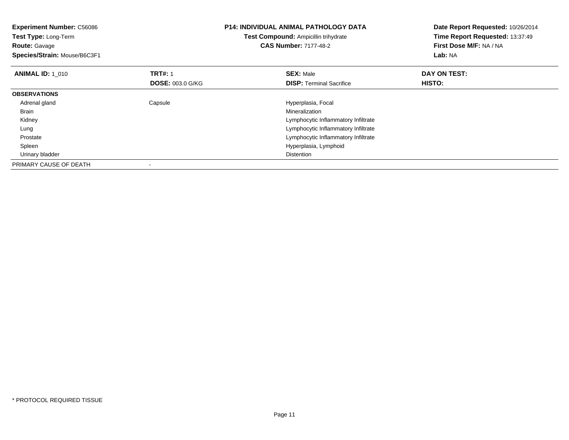| <b>Experiment Number: C56086</b><br>Test Type: Long-Term |                         | <b>P14: INDIVIDUAL ANIMAL PATHOLOGY DATA</b> | Date Report Requested: 10/26/2014 |
|----------------------------------------------------------|-------------------------|----------------------------------------------|-----------------------------------|
|                                                          |                         | <b>Test Compound: Ampicillin trihydrate</b>  | Time Report Requested: 13:37:49   |
| <b>Route: Gavage</b>                                     |                         | <b>CAS Number: 7177-48-2</b>                 | First Dose M/F: NA / NA           |
| Species/Strain: Mouse/B6C3F1                             |                         |                                              | <b>Lab: NA</b>                    |
| <b>ANIMAL ID: 1 010</b>                                  | <b>TRT#: 1</b>          | <b>SEX: Male</b>                             | DAY ON TEST:                      |
|                                                          | <b>DOSE: 003.0 G/KG</b> | <b>DISP:</b> Terminal Sacrifice              | <b>HISTO:</b>                     |
| <b>OBSERVATIONS</b>                                      |                         |                                              |                                   |
| Adrenal gland                                            | Capsule                 | Hyperplasia, Focal                           |                                   |
| Brain                                                    |                         | Mineralization                               |                                   |
| Kidney                                                   |                         | Lymphocytic Inflammatory Infiltrate          |                                   |
| Lung                                                     |                         | Lymphocytic Inflammatory Infiltrate          |                                   |
| Prostate                                                 |                         | Lymphocytic Inflammatory Infiltrate          |                                   |
| Spleen                                                   |                         | Hyperplasia, Lymphoid                        |                                   |
| Urinary bladder                                          |                         | <b>Distention</b>                            |                                   |
| PRIMARY CAUSE OF DEATH                                   |                         |                                              |                                   |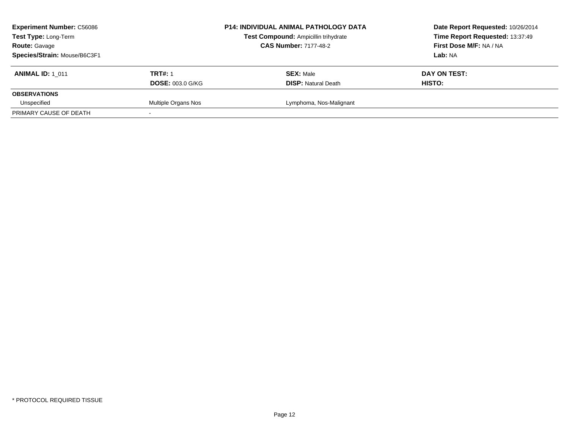| <b>Experiment Number: C56086</b><br>Test Type: Long-Term<br><b>Route: Gavage</b><br>Species/Strain: Mouse/B6C3F1 |                                           | <b>P14: INDIVIDUAL ANIMAL PATHOLOGY DATA</b><br>Test Compound: Ampicillin trihydrate<br><b>CAS Number: 7177-48-2</b> | Date Report Requested: 10/26/2014<br>Time Report Requested: 13:37:49<br>First Dose M/F: NA / NA<br>Lab: NA |
|------------------------------------------------------------------------------------------------------------------|-------------------------------------------|----------------------------------------------------------------------------------------------------------------------|------------------------------------------------------------------------------------------------------------|
| <b>ANIMAL ID: 1 011</b>                                                                                          | <b>TRT#: 1</b><br><b>DOSE: 003.0 G/KG</b> | <b>SEX: Male</b><br><b>DISP:</b> Natural Death                                                                       | DAY ON TEST:<br><b>HISTO:</b>                                                                              |
| <b>OBSERVATIONS</b>                                                                                              |                                           |                                                                                                                      |                                                                                                            |
| Unspecified                                                                                                      | Multiple Organs Nos                       | Lymphoma, Nos-Malignant                                                                                              |                                                                                                            |
| PRIMARY CAUSE OF DEATH                                                                                           |                                           |                                                                                                                      |                                                                                                            |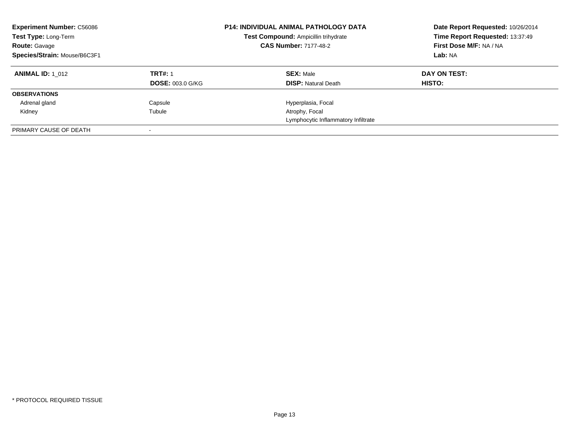| <b>Experiment Number: C56086</b><br>Test Type: Long-Term<br><b>Route: Gavage</b><br>Species/Strain: Mouse/B6C3F1 |                                           | <b>P14: INDIVIDUAL ANIMAL PATHOLOGY DATA</b><br>Test Compound: Ampicillin trihydrate<br><b>CAS Number: 7177-48-2</b> | Date Report Requested: 10/26/2014<br>Time Report Requested: 13:37:49<br>First Dose M/F: NA / NA<br>Lab: NA |
|------------------------------------------------------------------------------------------------------------------|-------------------------------------------|----------------------------------------------------------------------------------------------------------------------|------------------------------------------------------------------------------------------------------------|
| <b>ANIMAL ID:</b> 1 012                                                                                          | <b>TRT#: 1</b><br><b>DOSE: 003.0 G/KG</b> | <b>SEX: Male</b><br><b>DISP:</b> Natural Death                                                                       | DAY ON TEST:<br><b>HISTO:</b>                                                                              |
| <b>OBSERVATIONS</b>                                                                                              |                                           |                                                                                                                      |                                                                                                            |
| Adrenal gland                                                                                                    | Capsule                                   | Hyperplasia, Focal                                                                                                   |                                                                                                            |
| Kidney                                                                                                           | Tubule                                    | Atrophy, Focal                                                                                                       |                                                                                                            |
|                                                                                                                  |                                           | Lymphocytic Inflammatory Infiltrate                                                                                  |                                                                                                            |
| PRIMARY CAUSE OF DEATH                                                                                           |                                           |                                                                                                                      |                                                                                                            |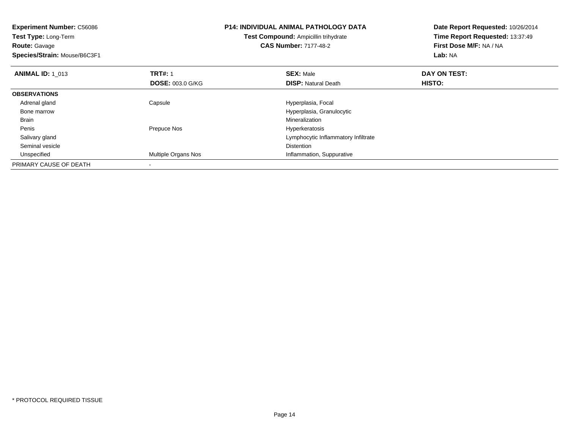| <b>Experiment Number: C56086</b><br>Test Type: Long-Term<br><b>Route: Gavage</b><br>Species/Strain: Mouse/B6C3F1 |                            | P14: INDIVIDUAL ANIMAL PATHOLOGY DATA<br><b>Test Compound: Ampicillin trihydrate</b><br><b>CAS Number: 7177-48-2</b> | Date Report Requested: 10/26/2014<br>Time Report Requested: 13:37:49<br>First Dose M/F: NA / NA<br>Lab: NA |
|------------------------------------------------------------------------------------------------------------------|----------------------------|----------------------------------------------------------------------------------------------------------------------|------------------------------------------------------------------------------------------------------------|
|                                                                                                                  |                            |                                                                                                                      |                                                                                                            |
| <b>ANIMAL ID: 1 013</b>                                                                                          | <b>TRT#: 1</b>             | <b>SEX: Male</b>                                                                                                     | DAY ON TEST:                                                                                               |
|                                                                                                                  | <b>DOSE: 003.0 G/KG</b>    | <b>DISP: Natural Death</b>                                                                                           | HISTO:                                                                                                     |
| <b>OBSERVATIONS</b>                                                                                              |                            |                                                                                                                      |                                                                                                            |
| Adrenal gland                                                                                                    | Capsule                    | Hyperplasia, Focal                                                                                                   |                                                                                                            |
| Bone marrow                                                                                                      |                            | Hyperplasia, Granulocytic                                                                                            |                                                                                                            |
| Brain                                                                                                            |                            | Mineralization                                                                                                       |                                                                                                            |
| Penis                                                                                                            | Prepuce Nos                | Hyperkeratosis                                                                                                       |                                                                                                            |
| Salivary gland                                                                                                   |                            | Lymphocytic Inflammatory Infiltrate                                                                                  |                                                                                                            |
| Seminal vesicle                                                                                                  |                            | <b>Distention</b>                                                                                                    |                                                                                                            |
| Unspecified                                                                                                      | <b>Multiple Organs Nos</b> | Inflammation, Suppurative                                                                                            |                                                                                                            |
| PRIMARY CAUSE OF DEATH                                                                                           |                            |                                                                                                                      |                                                                                                            |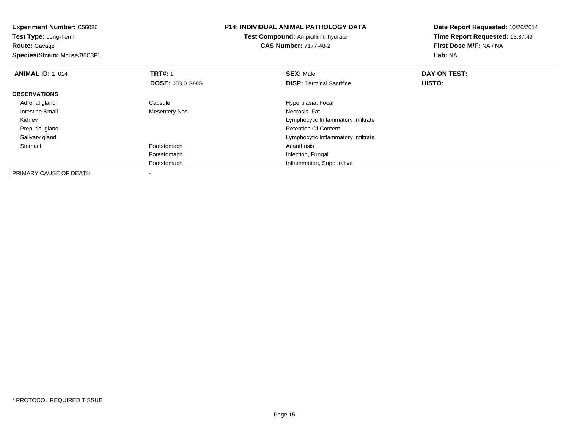**Experiment Number:** C56086**Test Type:** Long-Term**Route:** Gavage **Species/Strain:** Mouse/B6C3F1**P14: INDIVIDUAL ANIMAL PATHOLOGY DATATest Compound:** Ampicillin trihydrate**CAS Number:** 7177-48-2**Date Report Requested:** 10/26/2014**Time Report Requested:** 13:37:49**First Dose M/F:** NA / NA**Lab:** NA**ANIMAL ID: 1\_014 1 TRT#:** 1 **SEX:** Male **DAY ON TEST: DOSE:** 003.0 G/KG**DISP:** Terminal Sacrifice **HISTO: OBSERVATIONS** Adrenal glandCapsule **Capsule Hyperplasia**, Focal Intestine Small Mesentery Nos Necrosis, Fat Kidney Lymphocytic Inflammatory Infiltrate Preputial gland Retention Of Content Salivary gland Lymphocytic Inflammatory Infiltrate Stomachh anns an t-India anns an t-India anns an t-India anns an t-India anns an t-India anns an t-India anns an t-In Forestomach Infection, Fungal Forestomach Inflammation, Suppurative PRIMARY CAUSE OF DEATH-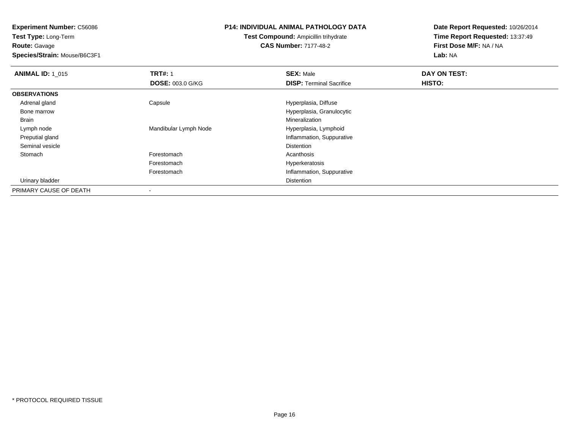**Experiment Number:** C56086**Test Type:** Long-Term

**Route:** Gavage

**Species/Strain:** Mouse/B6C3F1

### **P14: INDIVIDUAL ANIMAL PATHOLOGY DATA**

**Test Compound:** Ampicillin trihydrate**CAS Number:** 7177-48-2

| <b>ANIMAL ID: 1 015</b> | <b>TRT#: 1</b>           | <b>SEX: Male</b>                | DAY ON TEST: |  |
|-------------------------|--------------------------|---------------------------------|--------------|--|
|                         | <b>DOSE: 003.0 G/KG</b>  | <b>DISP: Terminal Sacrifice</b> | HISTO:       |  |
| <b>OBSERVATIONS</b>     |                          |                                 |              |  |
| Adrenal gland           | Capsule                  | Hyperplasia, Diffuse            |              |  |
| Bone marrow             |                          | Hyperplasia, Granulocytic       |              |  |
| Brain                   |                          | Mineralization                  |              |  |
| Lymph node              | Mandibular Lymph Node    | Hyperplasia, Lymphoid           |              |  |
| Preputial gland         |                          | Inflammation, Suppurative       |              |  |
| Seminal vesicle         |                          | <b>Distention</b>               |              |  |
| Stomach                 | Forestomach              | Acanthosis                      |              |  |
|                         | Forestomach              | Hyperkeratosis                  |              |  |
|                         | Forestomach              | Inflammation, Suppurative       |              |  |
| Urinary bladder         |                          | <b>Distention</b>               |              |  |
| PRIMARY CAUSE OF DEATH  | $\overline{\phantom{a}}$ |                                 |              |  |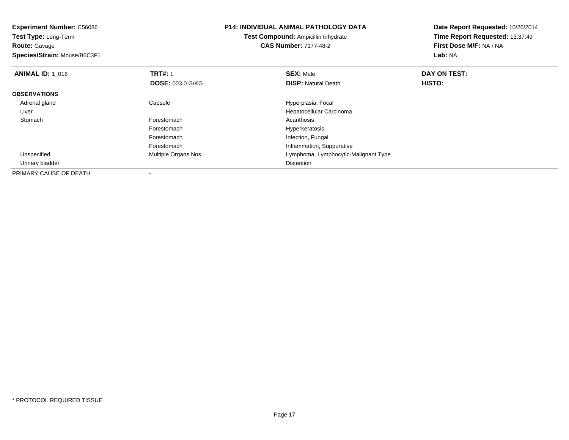| <b>Experiment Number: C56086</b><br>Test Type: Long-Term |                            | <b>P14: INDIVIDUAL ANIMAL PATHOLOGY DATA</b><br><b>Test Compound: Ampicillin trihydrate</b> | Date Report Requested: 10/26/2014<br>Time Report Requested: 13:37:49 |
|----------------------------------------------------------|----------------------------|---------------------------------------------------------------------------------------------|----------------------------------------------------------------------|
| <b>Route:</b> Gavage<br>Species/Strain: Mouse/B6C3F1     |                            | <b>CAS Number: 7177-48-2</b>                                                                | First Dose M/F: NA / NA<br>Lab: NA                                   |
|                                                          |                            |                                                                                             |                                                                      |
| <b>ANIMAL ID: 1 016</b>                                  | <b>TRT#: 1</b>             | <b>SEX: Male</b>                                                                            | DAY ON TEST:                                                         |
|                                                          | <b>DOSE: 003.0 G/KG</b>    | <b>DISP: Natural Death</b>                                                                  | HISTO:                                                               |
| <b>OBSERVATIONS</b>                                      |                            |                                                                                             |                                                                      |
| Adrenal gland                                            | Capsule                    | Hyperplasia, Focal                                                                          |                                                                      |
| Liver                                                    |                            | Hepatocellular Carcinoma                                                                    |                                                                      |
| Stomach                                                  | Forestomach                | Acanthosis                                                                                  |                                                                      |
|                                                          | Forestomach                | Hyperkeratosis                                                                              |                                                                      |
|                                                          | Forestomach                | Infection, Fungal                                                                           |                                                                      |
|                                                          | Forestomach                | Inflammation, Suppurative                                                                   |                                                                      |
| Unspecified                                              | <b>Multiple Organs Nos</b> | Lymphoma, Lymphocytic-Malignant Type                                                        |                                                                      |
| Urinary bladder                                          |                            | Distention                                                                                  |                                                                      |
| PRIMARY CAUSE OF DEATH                                   |                            |                                                                                             |                                                                      |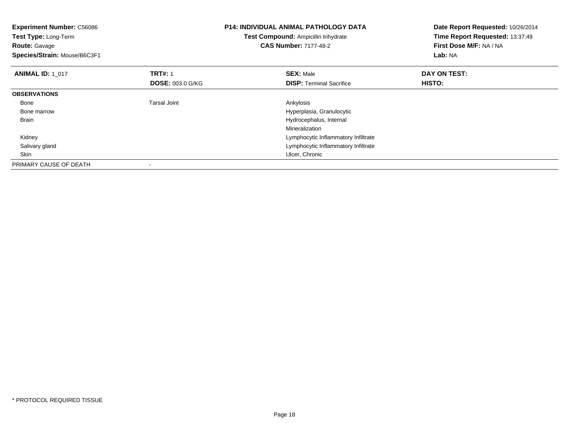| <b>Experiment Number: C56086</b><br>Test Type: Long-Term<br><b>Route: Gavage</b><br>Species/Strain: Mouse/B6C3F1 |                         | <b>P14: INDIVIDUAL ANIMAL PATHOLOGY DATA</b><br>Test Compound: Ampicillin trihydrate<br><b>CAS Number: 7177-48-2</b> | Date Report Requested: 10/26/2014<br>Time Report Requested: 13:37:49<br>First Dose M/F: NA / NA<br>Lab: NA |
|------------------------------------------------------------------------------------------------------------------|-------------------------|----------------------------------------------------------------------------------------------------------------------|------------------------------------------------------------------------------------------------------------|
| <b>ANIMAL ID: 1 017</b>                                                                                          | <b>TRT#: 1</b>          | <b>SEX: Male</b>                                                                                                     | DAY ON TEST:                                                                                               |
|                                                                                                                  | <b>DOSE: 003.0 G/KG</b> | <b>DISP:</b> Terminal Sacrifice                                                                                      | HISTO:                                                                                                     |
| <b>OBSERVATIONS</b>                                                                                              |                         |                                                                                                                      |                                                                                                            |
| Bone                                                                                                             | <b>Tarsal Joint</b>     | Ankylosis                                                                                                            |                                                                                                            |
| Bone marrow                                                                                                      |                         | Hyperplasia, Granulocytic                                                                                            |                                                                                                            |
| <b>Brain</b>                                                                                                     |                         | Hydrocephalus, Internal                                                                                              |                                                                                                            |
|                                                                                                                  |                         | Mineralization                                                                                                       |                                                                                                            |
| Kidney                                                                                                           |                         | Lymphocytic Inflammatory Infiltrate                                                                                  |                                                                                                            |
| Salivary gland                                                                                                   |                         | Lymphocytic Inflammatory Infiltrate                                                                                  |                                                                                                            |
| Skin                                                                                                             |                         | Ulcer, Chronic                                                                                                       |                                                                                                            |
| PRIMARY CAUSE OF DEATH                                                                                           |                         |                                                                                                                      |                                                                                                            |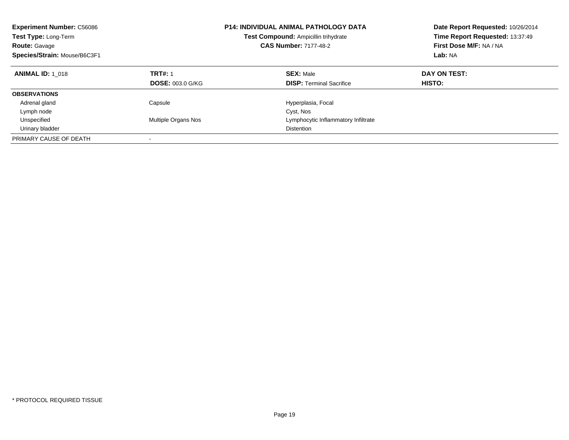| <b>Experiment Number: C56086</b><br>Test Type: Long-Term<br><b>Route: Gavage</b><br>Species/Strain: Mouse/B6C3F1 |                                           | <b>P14: INDIVIDUAL ANIMAL PATHOLOGY DATA</b><br>Test Compound: Ampicillin trihydrate<br><b>CAS Number: 7177-48-2</b> | Date Report Requested: 10/26/2014<br>Time Report Requested: 13:37:49<br>First Dose M/F: NA / NA<br>Lab: NA |
|------------------------------------------------------------------------------------------------------------------|-------------------------------------------|----------------------------------------------------------------------------------------------------------------------|------------------------------------------------------------------------------------------------------------|
| <b>ANIMAL ID: 1 018</b>                                                                                          | <b>TRT#: 1</b><br><b>DOSE: 003.0 G/KG</b> | <b>SEX: Male</b><br><b>DISP:</b> Terminal Sacrifice                                                                  | DAY ON TEST:<br>HISTO:                                                                                     |
| <b>OBSERVATIONS</b>                                                                                              |                                           |                                                                                                                      |                                                                                                            |
| Adrenal gland                                                                                                    | Capsule                                   | Hyperplasia, Focal                                                                                                   |                                                                                                            |
| Lymph node                                                                                                       |                                           | Cyst, Nos                                                                                                            |                                                                                                            |
| Unspecified                                                                                                      | Multiple Organs Nos                       | Lymphocytic Inflammatory Infiltrate                                                                                  |                                                                                                            |
| Urinary bladder                                                                                                  |                                           | Distention                                                                                                           |                                                                                                            |
| PRIMARY CAUSE OF DEATH                                                                                           |                                           |                                                                                                                      |                                                                                                            |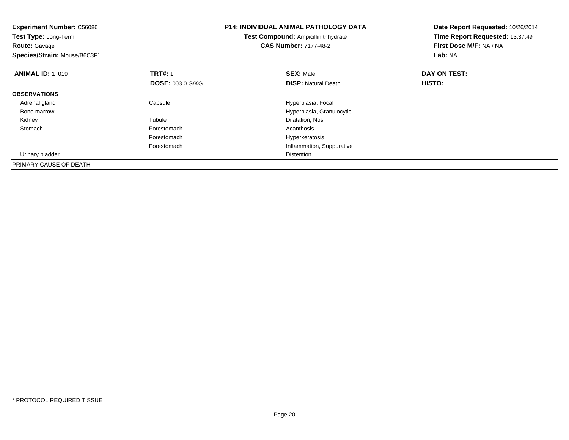| <b>Experiment Number: C56086</b><br>Test Type: Long-Term<br><b>Route: Gavage</b><br>Species/Strain: Mouse/B6C3F1 |                         | <b>P14: INDIVIDUAL ANIMAL PATHOLOGY DATA</b><br>Test Compound: Ampicillin trihydrate<br><b>CAS Number: 7177-48-2</b> | Date Report Requested: 10/26/2014<br>Time Report Requested: 13:37:49<br>First Dose M/F: NA / NA<br>Lab: NA |
|------------------------------------------------------------------------------------------------------------------|-------------------------|----------------------------------------------------------------------------------------------------------------------|------------------------------------------------------------------------------------------------------------|
| <b>ANIMAL ID: 1 019</b>                                                                                          | <b>TRT#: 1</b>          | <b>SEX: Male</b>                                                                                                     | DAY ON TEST:                                                                                               |
|                                                                                                                  | <b>DOSE: 003.0 G/KG</b> | <b>DISP:</b> Natural Death                                                                                           | HISTO:                                                                                                     |
| <b>OBSERVATIONS</b>                                                                                              |                         |                                                                                                                      |                                                                                                            |
| Adrenal gland                                                                                                    | Capsule                 | Hyperplasia, Focal                                                                                                   |                                                                                                            |
| Bone marrow                                                                                                      |                         | Hyperplasia, Granulocytic                                                                                            |                                                                                                            |
| Kidney                                                                                                           | Tubule                  | Dilatation, Nos                                                                                                      |                                                                                                            |
| Stomach                                                                                                          | Forestomach             | Acanthosis                                                                                                           |                                                                                                            |
|                                                                                                                  | Forestomach             | Hyperkeratosis                                                                                                       |                                                                                                            |
|                                                                                                                  | Forestomach             | Inflammation, Suppurative                                                                                            |                                                                                                            |
| Urinary bladder                                                                                                  |                         | Distention                                                                                                           |                                                                                                            |
| PRIMARY CAUSE OF DEATH                                                                                           |                         |                                                                                                                      |                                                                                                            |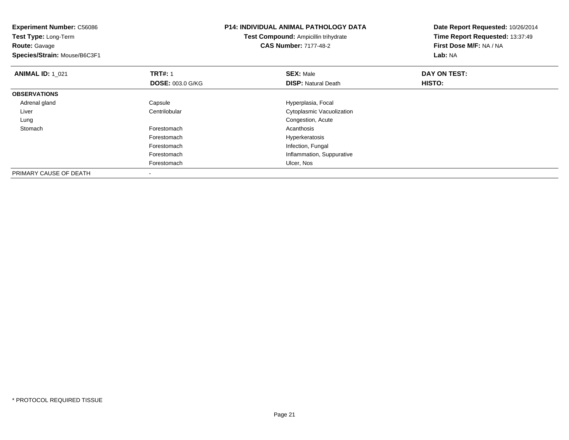| <b>Experiment Number: C56086</b><br>Test Type: Long-Term |                         | <b>P14: INDIVIDUAL ANIMAL PATHOLOGY DATA</b> | Date Report Requested: 10/26/2014 |
|----------------------------------------------------------|-------------------------|----------------------------------------------|-----------------------------------|
|                                                          |                         | Test Compound: Ampicillin trihydrate         | Time Report Requested: 13:37:49   |
| <b>Route: Gavage</b>                                     |                         | <b>CAS Number: 7177-48-2</b>                 | First Dose M/F: NA / NA           |
| Species/Strain: Mouse/B6C3F1                             |                         |                                              | Lab: NA                           |
| <b>ANIMAL ID: 1 021</b>                                  | <b>TRT#: 1</b>          | <b>SEX: Male</b>                             | DAY ON TEST:                      |
|                                                          | <b>DOSE: 003.0 G/KG</b> | <b>DISP:</b> Natural Death                   | <b>HISTO:</b>                     |
| <b>OBSERVATIONS</b>                                      |                         |                                              |                                   |
| Adrenal gland                                            | Capsule                 | Hyperplasia, Focal                           |                                   |
| Liver                                                    | Centrilobular           | Cytoplasmic Vacuolization                    |                                   |
| Lung                                                     |                         | Congestion, Acute                            |                                   |
| Stomach                                                  | Forestomach             | Acanthosis                                   |                                   |
|                                                          | Forestomach             | Hyperkeratosis                               |                                   |
|                                                          | Forestomach             | Infection, Fungal                            |                                   |
|                                                          | Forestomach             | Inflammation, Suppurative                    |                                   |
|                                                          | Forestomach             | Ulcer, Nos                                   |                                   |
| PRIMARY CAUSE OF DEATH                                   |                         |                                              |                                   |

-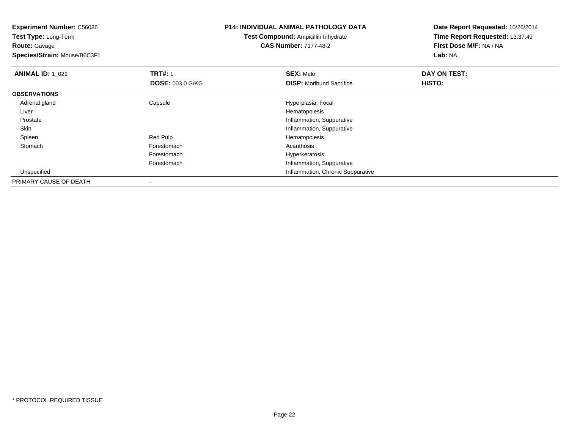**Experiment Number:** C56086**Test Type:** Long-Term**Route:** Gavage **Species/Strain:** Mouse/B6C3F1**P14: INDIVIDUAL ANIMAL PATHOLOGY DATATest Compound:** Ampicillin trihydrate**CAS Number:** 7177-48-2**Date Report Requested:** 10/26/2014**Time Report Requested:** 13:37:49**First Dose M/F:** NA / NA**Lab:** NA**ANIMAL ID: 1\_022 2 DAY ON TRT#:** 1 **SEX:** Male **SEX:** Male **DAY ON TEST: DOSE:** 003.0 G/KG**DISP:** Moribund Sacrifice **HISTO: OBSERVATIONS** Adrenal glandCapsule **Capsule Hyperplasia**, Focal Liver Hematopoiesise and the state of the state of the state of the state of the state of the state of the state of the state of the state of the state of the state of the state of the state of the state of the state of the state of the stat Prostate SkinInflammation, Suppurative<br>
Red Pulp<br>
Hematopoiesis Spleen Red Pulp Hematopoiesis Stomachh anns an t-India anns an t-India anns an t-India anns an t-India anns an t-India anns an t-India anns an t-In Forestomach Hyperkeratosis Forestomach Inflammation, Suppurative Unspecified Inflammation, Chronic Suppurative PRIMARY CAUSE OF DEATH-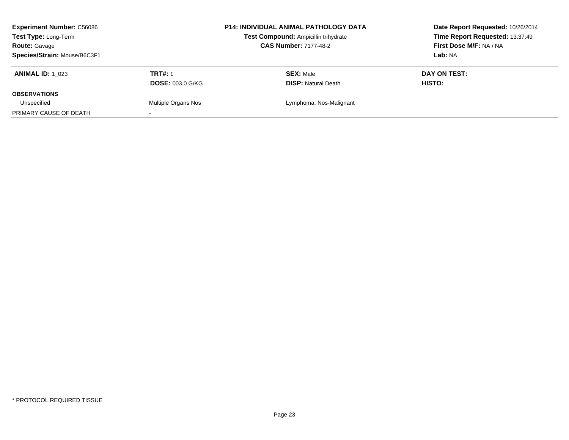| <b>Experiment Number: C56086</b><br>Test Type: Long-Term<br><b>Route: Gavage</b><br>Species/Strain: Mouse/B6C3F1 |                                           | <b>P14: INDIVIDUAL ANIMAL PATHOLOGY DATA</b><br>Test Compound: Ampicillin trihydrate<br><b>CAS Number: 7177-48-2</b> | Date Report Requested: 10/26/2014<br>Time Report Requested: 13:37:49<br>First Dose M/F: NA / NA<br>Lab: NA |
|------------------------------------------------------------------------------------------------------------------|-------------------------------------------|----------------------------------------------------------------------------------------------------------------------|------------------------------------------------------------------------------------------------------------|
| <b>ANIMAL ID: 1 023</b>                                                                                          | <b>TRT#: 1</b><br><b>DOSE: 003.0 G/KG</b> | <b>SEX: Male</b><br><b>DISP:</b> Natural Death                                                                       | DAY ON TEST:<br>HISTO:                                                                                     |
| <b>OBSERVATIONS</b>                                                                                              |                                           |                                                                                                                      |                                                                                                            |
| Unspecified                                                                                                      | Multiple Organs Nos                       | Lymphoma, Nos-Malignant                                                                                              |                                                                                                            |
| PRIMARY CAUSE OF DEATH                                                                                           |                                           |                                                                                                                      |                                                                                                            |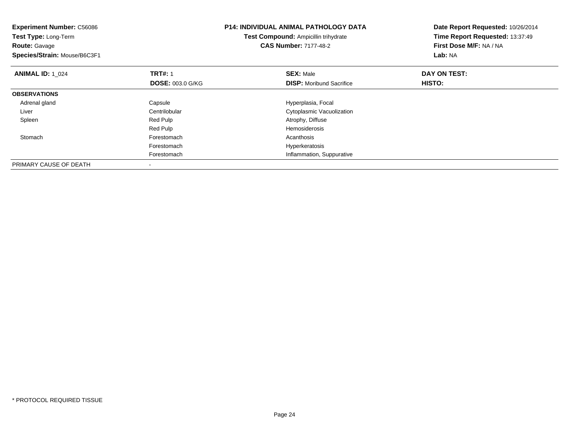| <b>Experiment Number: C56086</b><br>Test Type: Long-Term<br><b>Route: Gavage</b><br>Species/Strain: Mouse/B6C3F1 |                         | <b>P14: INDIVIDUAL ANIMAL PATHOLOGY DATA</b><br>Test Compound: Ampicillin trihydrate<br><b>CAS Number: 7177-48-2</b> | Date Report Requested: 10/26/2014<br>Time Report Requested: 13:37:49<br>First Dose M/F: NA / NA<br>Lab: NA |
|------------------------------------------------------------------------------------------------------------------|-------------------------|----------------------------------------------------------------------------------------------------------------------|------------------------------------------------------------------------------------------------------------|
| <b>ANIMAL ID: 1 024</b>                                                                                          | <b>TRT#: 1</b>          | <b>SEX: Male</b>                                                                                                     | DAY ON TEST:                                                                                               |
|                                                                                                                  | <b>DOSE: 003.0 G/KG</b> | <b>DISP:</b> Moribund Sacrifice                                                                                      | HISTO:                                                                                                     |
| <b>OBSERVATIONS</b>                                                                                              |                         |                                                                                                                      |                                                                                                            |
| Adrenal gland                                                                                                    | Capsule                 | Hyperplasia, Focal                                                                                                   |                                                                                                            |
| Liver                                                                                                            | Centrilobular           | Cytoplasmic Vacuolization                                                                                            |                                                                                                            |
| Spleen                                                                                                           | Red Pulp                | Atrophy, Diffuse                                                                                                     |                                                                                                            |
|                                                                                                                  | Red Pulp                | <b>Hemosiderosis</b>                                                                                                 |                                                                                                            |
| Stomach                                                                                                          | Forestomach             | Acanthosis                                                                                                           |                                                                                                            |
|                                                                                                                  | Forestomach             | Hyperkeratosis                                                                                                       |                                                                                                            |
|                                                                                                                  | Forestomach             | Inflammation, Suppurative                                                                                            |                                                                                                            |
| PRIMARY CAUSE OF DEATH                                                                                           |                         |                                                                                                                      |                                                                                                            |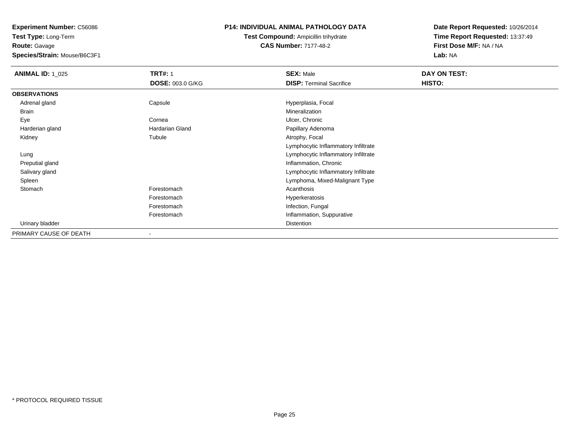**Test Type:** Long-Term**Route:** Gavage

**Species/Strain:** Mouse/B6C3F1

## **P14: INDIVIDUAL ANIMAL PATHOLOGY DATA**

**Test Compound:** Ampicillin trihydrate**CAS Number:** 7177-48-2

| <b>ANIMAL ID: 1_025</b> | <b>TRT#: 1</b>          | <b>SEX: Male</b>                    | DAY ON TEST: |  |
|-------------------------|-------------------------|-------------------------------------|--------------|--|
|                         | <b>DOSE: 003.0 G/KG</b> | <b>DISP: Terminal Sacrifice</b>     | HISTO:       |  |
| <b>OBSERVATIONS</b>     |                         |                                     |              |  |
| Adrenal gland           | Capsule                 | Hyperplasia, Focal                  |              |  |
| Brain                   |                         | Mineralization                      |              |  |
| Eye                     | Cornea                  | Ulcer, Chronic                      |              |  |
| Harderian gland         | Hardarian Gland         | Papillary Adenoma                   |              |  |
| Kidney                  | Tubule                  | Atrophy, Focal                      |              |  |
|                         |                         | Lymphocytic Inflammatory Infiltrate |              |  |
| Lung                    |                         | Lymphocytic Inflammatory Infiltrate |              |  |
| Preputial gland         |                         | Inflammation, Chronic               |              |  |
| Salivary gland          |                         | Lymphocytic Inflammatory Infiltrate |              |  |
| Spleen                  |                         | Lymphoma, Mixed-Malignant Type      |              |  |
| Stomach                 | Forestomach             | Acanthosis                          |              |  |
|                         | Forestomach             | Hyperkeratosis                      |              |  |
|                         | Forestomach             | Infection, Fungal                   |              |  |
|                         | Forestomach             | Inflammation, Suppurative           |              |  |
| Urinary bladder         |                         | Distention                          |              |  |
| PRIMARY CAUSE OF DEATH  |                         |                                     |              |  |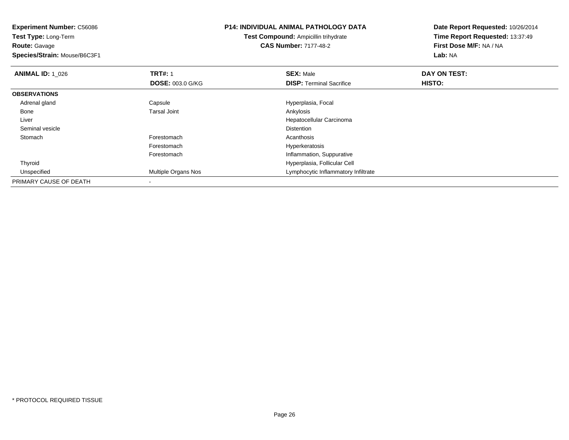**Experiment Number:** C56086**Test Type:** Long-Term**Route:** Gavage **Species/Strain:** Mouse/B6C3F1**P14: INDIVIDUAL ANIMAL PATHOLOGY DATATest Compound:** Ampicillin trihydrate**CAS Number:** 7177-48-2**Date Report Requested:** 10/26/2014**Time Report Requested:** 13:37:49**First Dose M/F:** NA / NA**Lab:** NA**ANIMAL ID: 1\_026 6 DAY ON TRT#:** 1 **SEX:** Male **SEX:** Male **DAY ON TEST: DOSE:** 003.0 G/KG**DISP:** Terminal Sacrifice **HISTO: OBSERVATIONS** Adrenal glandCapsule Capsule Hyperplasia, Focal Tarsal Joint Capsule Capsule Capsule Capsule Capsule Capsule Capsule Capsul<br>
Capsule Capsule Capsule Capsule Capsule Capsule Capsule Capsule Capsule Capsule Capsule Capsule Capsule Capsu<br> Bonee and the set of the set of the set of the set of the set of the set of the set of the set of the set of the s Liver Hepatocellular Carcinoma Seminal vesiclee distance de la proposition de la proposition de la proposition de la proposition de la proposition de la pro<br>Distance de la proposition de la proposition de la proposition de la proposition de la proposition de la propo **Stomach** h anns an t-India anns an t-India anns an t-India anns an t-India anns an t-India anns an t-India anns an t-In Forestomach Hyperkeratosis Forestomach Inflammation, Suppurative Thyroid Hyperplasia, Follicular Cell UnspecifiedMultiple Organs Nos **Multiple Organs** Nos **Lymphocytic Inflammatory Infiltrate** PRIMARY CAUSE OF DEATH-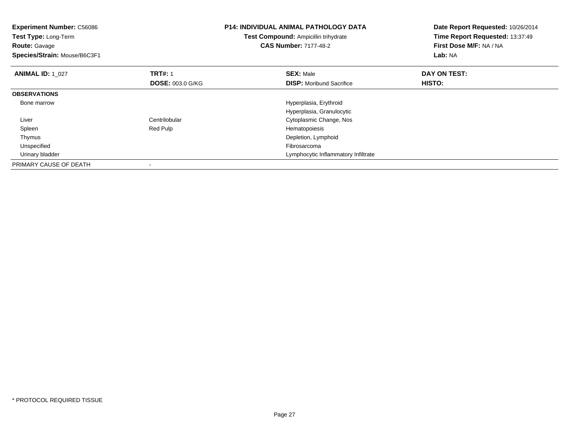| <b>Experiment Number: C56086</b><br>Test Type: Long-Term<br><b>Route: Gavage</b><br>Species/Strain: Mouse/B6C3F1 |                                           | <b>P14: INDIVIDUAL ANIMAL PATHOLOGY DATA</b><br>Test Compound: Ampicillin trihydrate<br><b>CAS Number: 7177-48-2</b> | Date Report Requested: 10/26/2014<br>Time Report Requested: 13:37:49<br>First Dose M/F: NA / NA<br>Lab: NA |
|------------------------------------------------------------------------------------------------------------------|-------------------------------------------|----------------------------------------------------------------------------------------------------------------------|------------------------------------------------------------------------------------------------------------|
| <b>ANIMAL ID: 1 027</b>                                                                                          | <b>TRT#: 1</b><br><b>DOSE: 003.0 G/KG</b> | <b>SEX: Male</b><br><b>DISP:</b> Moribund Sacrifice                                                                  | DAY ON TEST:<br>HISTO:                                                                                     |
| <b>OBSERVATIONS</b>                                                                                              |                                           |                                                                                                                      |                                                                                                            |
| Bone marrow                                                                                                      |                                           | Hyperplasia, Erythroid                                                                                               |                                                                                                            |
|                                                                                                                  |                                           | Hyperplasia, Granulocytic                                                                                            |                                                                                                            |
| Liver                                                                                                            | Centrilobular                             | Cytoplasmic Change, Nos                                                                                              |                                                                                                            |
| Spleen                                                                                                           | Red Pulp                                  | Hematopoiesis                                                                                                        |                                                                                                            |
| Thymus                                                                                                           |                                           | Depletion, Lymphoid                                                                                                  |                                                                                                            |
| Unspecified                                                                                                      |                                           | Fibrosarcoma                                                                                                         |                                                                                                            |
| Urinary bladder                                                                                                  |                                           | Lymphocytic Inflammatory Infiltrate                                                                                  |                                                                                                            |
| PRIMARY CAUSE OF DEATH                                                                                           |                                           |                                                                                                                      |                                                                                                            |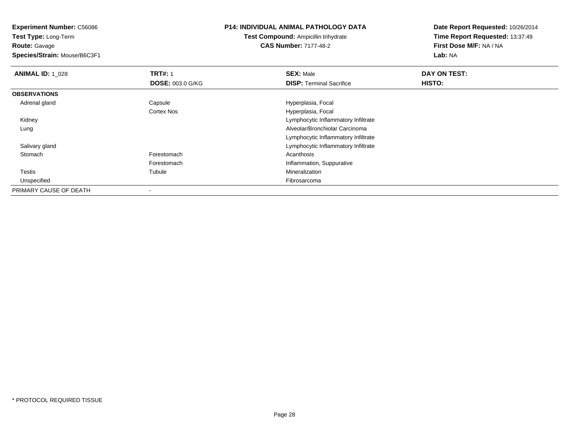**Test Type:** Long-Term**Route:** Gavage

**Species/Strain:** Mouse/B6C3F1

## **P14: INDIVIDUAL ANIMAL PATHOLOGY DATA**

**Test Compound:** Ampicillin trihydrate**CAS Number:** 7177-48-2

| <b>ANIMAL ID: 1 028</b> | <b>TRT#: 1</b>          | <b>SEX: Male</b>                    | DAY ON TEST: |  |
|-------------------------|-------------------------|-------------------------------------|--------------|--|
|                         | <b>DOSE: 003.0 G/KG</b> | <b>DISP: Terminal Sacrifice</b>     | HISTO:       |  |
| <b>OBSERVATIONS</b>     |                         |                                     |              |  |
| Adrenal gland           | Capsule                 | Hyperplasia, Focal                  |              |  |
|                         | <b>Cortex Nos</b>       | Hyperplasia, Focal                  |              |  |
| Kidney                  |                         | Lymphocytic Inflammatory Infiltrate |              |  |
| Lung                    |                         | Alveolar/Bronchiolar Carcinoma      |              |  |
|                         |                         | Lymphocytic Inflammatory Infiltrate |              |  |
| Salivary gland          |                         | Lymphocytic Inflammatory Infiltrate |              |  |
| Stomach                 | Forestomach             | Acanthosis                          |              |  |
|                         | Forestomach             | Inflammation, Suppurative           |              |  |
| Testis                  | Tubule                  | Mineralization                      |              |  |
| Unspecified             |                         | Fibrosarcoma                        |              |  |
| PRIMARY CAUSE OF DEATH  |                         |                                     |              |  |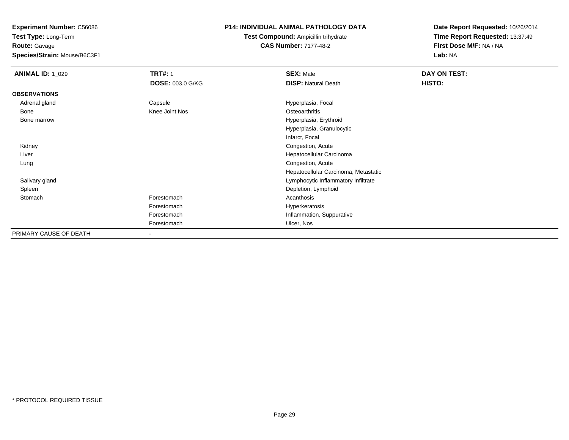**Test Type:** Long-Term**Route:** Gavage

**Species/Strain:** Mouse/B6C3F1

## **P14: INDIVIDUAL ANIMAL PATHOLOGY DATA**

# **Test Compound:** Ampicillin trihydrate**CAS Number:** 7177-48-2

| <b>ANIMAL ID: 1_029</b> | <b>TRT#: 1</b>          | <b>SEX: Male</b>                     | DAY ON TEST: |  |
|-------------------------|-------------------------|--------------------------------------|--------------|--|
|                         | <b>DOSE: 003.0 G/KG</b> | <b>DISP: Natural Death</b>           | HISTO:       |  |
| <b>OBSERVATIONS</b>     |                         |                                      |              |  |
| Adrenal gland           | Capsule                 | Hyperplasia, Focal                   |              |  |
| Bone                    | Knee Joint Nos          | Osteoarthritis                       |              |  |
| Bone marrow             |                         | Hyperplasia, Erythroid               |              |  |
|                         |                         | Hyperplasia, Granulocytic            |              |  |
|                         |                         | Infarct, Focal                       |              |  |
| Kidney                  |                         | Congestion, Acute                    |              |  |
| Liver                   |                         | Hepatocellular Carcinoma             |              |  |
| Lung                    |                         | Congestion, Acute                    |              |  |
|                         |                         | Hepatocellular Carcinoma, Metastatic |              |  |
| Salivary gland          |                         | Lymphocytic Inflammatory Infiltrate  |              |  |
| Spleen                  |                         | Depletion, Lymphoid                  |              |  |
| Stomach                 | Forestomach             | Acanthosis                           |              |  |
|                         | Forestomach             | Hyperkeratosis                       |              |  |
|                         | Forestomach             | Inflammation, Suppurative            |              |  |
|                         | Forestomach             | Ulcer, Nos                           |              |  |
| PRIMARY CAUSE OF DEATH  | ۰                       |                                      |              |  |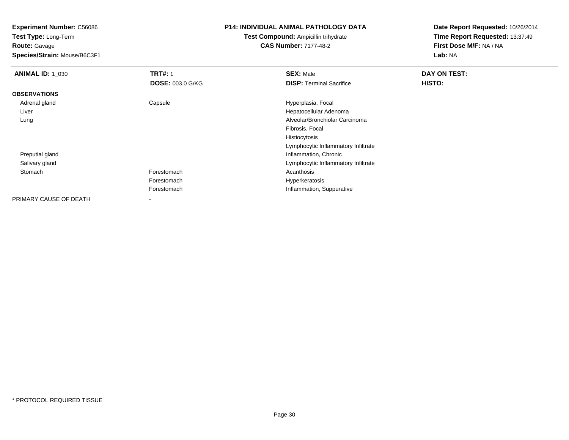**Test Type:** Long-Term**Route:** Gavage

**Species/Strain:** Mouse/B6C3F1

#### **P14: INDIVIDUAL ANIMAL PATHOLOGY DATA**

# **Test Compound:** Ampicillin trihydrate**CAS Number:** 7177-48-2

| <b>ANIMAL ID: 1_030</b> | <b>TRT#: 1</b>          | <b>SEX: Male</b>                    | DAY ON TEST: |
|-------------------------|-------------------------|-------------------------------------|--------------|
|                         | <b>DOSE: 003.0 G/KG</b> | <b>DISP: Terminal Sacrifice</b>     | HISTO:       |
| <b>OBSERVATIONS</b>     |                         |                                     |              |
| Adrenal gland           | Capsule                 | Hyperplasia, Focal                  |              |
| Liver                   |                         | Hepatocellular Adenoma              |              |
| Lung                    |                         | Alveolar/Bronchiolar Carcinoma      |              |
|                         |                         | Fibrosis, Focal                     |              |
|                         |                         | Histiocytosis                       |              |
|                         |                         | Lymphocytic Inflammatory Infiltrate |              |
| Preputial gland         |                         | Inflammation, Chronic               |              |
| Salivary gland          |                         | Lymphocytic Inflammatory Infiltrate |              |
| Stomach                 | Forestomach             | Acanthosis                          |              |
|                         | Forestomach             | Hyperkeratosis                      |              |
|                         | Forestomach             | Inflammation, Suppurative           |              |
| PRIMARY CAUSE OF DEATH  | $\blacksquare$          |                                     |              |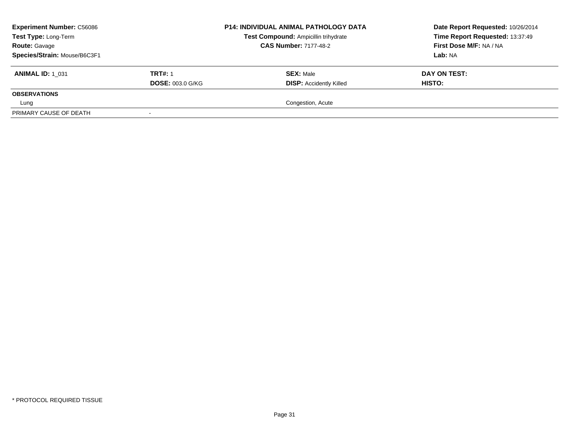| <b>Experiment Number: C56086</b><br>Test Type: Long-Term<br><b>Route: Gavage</b> |                         | <b>P14: INDIVIDUAL ANIMAL PATHOLOGY DATA</b><br>Test Compound: Ampicillin trihydrate<br><b>CAS Number: 7177-48-2</b> | Date Report Requested: 10/26/2014<br>Time Report Requested: 13:37:49<br>First Dose M/F: NA / NA |
|----------------------------------------------------------------------------------|-------------------------|----------------------------------------------------------------------------------------------------------------------|-------------------------------------------------------------------------------------------------|
| Species/Strain: Mouse/B6C3F1                                                     |                         |                                                                                                                      | Lab: NA                                                                                         |
| <b>ANIMAL ID: 1 031</b>                                                          | <b>TRT#: 1</b>          | <b>SEX: Male</b>                                                                                                     | DAY ON TEST:                                                                                    |
|                                                                                  | <b>DOSE: 003.0 G/KG</b> | <b>DISP: Accidently Killed</b>                                                                                       | <b>HISTO:</b>                                                                                   |
| <b>OBSERVATIONS</b>                                                              |                         |                                                                                                                      |                                                                                                 |
| Lung                                                                             |                         | Congestion, Acute                                                                                                    |                                                                                                 |
| PRIMARY CAUSE OF DEATH                                                           |                         |                                                                                                                      |                                                                                                 |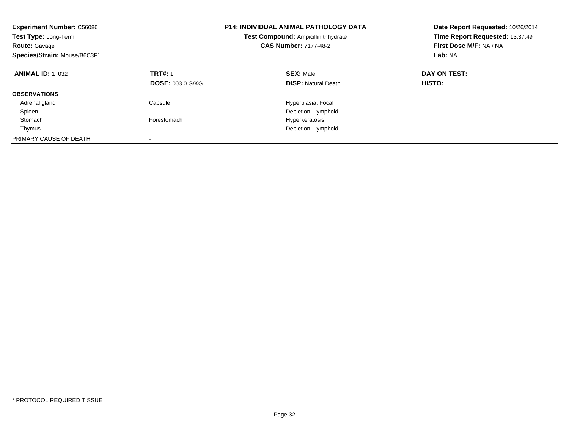| <b>Experiment Number: C56086</b><br>Test Type: Long-Term<br><b>Route: Gavage</b><br>Species/Strain: Mouse/B6C3F1 |                                           | <b>P14: INDIVIDUAL ANIMAL PATHOLOGY DATA</b><br>Test Compound: Ampicillin trihydrate<br><b>CAS Number: 7177-48-2</b> | Date Report Requested: 10/26/2014<br>Time Report Requested: 13:37:49<br>First Dose M/F: NA / NA<br>Lab: NA |  |
|------------------------------------------------------------------------------------------------------------------|-------------------------------------------|----------------------------------------------------------------------------------------------------------------------|------------------------------------------------------------------------------------------------------------|--|
| <b>ANIMAL ID: 1 032</b>                                                                                          | <b>TRT#: 1</b><br><b>DOSE: 003.0 G/KG</b> | <b>SEX: Male</b><br><b>DISP: Natural Death</b>                                                                       | DAY ON TEST:<br>HISTO:                                                                                     |  |
| <b>OBSERVATIONS</b>                                                                                              |                                           |                                                                                                                      |                                                                                                            |  |
| Adrenal gland                                                                                                    | Capsule                                   | Hyperplasia, Focal                                                                                                   |                                                                                                            |  |
| Spleen                                                                                                           |                                           | Depletion, Lymphoid                                                                                                  |                                                                                                            |  |
| Stomach                                                                                                          | Forestomach                               | Hyperkeratosis                                                                                                       |                                                                                                            |  |
| Thymus                                                                                                           |                                           | Depletion, Lymphoid                                                                                                  |                                                                                                            |  |
| PRIMARY CAUSE OF DEATH                                                                                           |                                           |                                                                                                                      |                                                                                                            |  |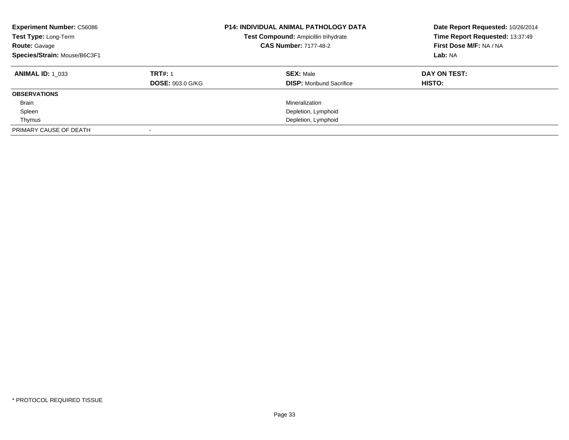| <b>Experiment Number: C56086</b><br>Test Type: Long-Term<br><b>Route: Gavage</b><br>Species/Strain: Mouse/B6C3F1 |                         | <b>P14: INDIVIDUAL ANIMAL PATHOLOGY DATA</b><br>Test Compound: Ampicillin trihydrate<br><b>CAS Number: 7177-48-2</b> | Date Report Requested: 10/26/2014<br>Time Report Requested: 13:37:49<br>First Dose M/F: NA / NA<br>Lab: NA |
|------------------------------------------------------------------------------------------------------------------|-------------------------|----------------------------------------------------------------------------------------------------------------------|------------------------------------------------------------------------------------------------------------|
| <b>ANIMAL ID: 1 033</b>                                                                                          | <b>TRT#: 1</b>          | <b>SEX: Male</b>                                                                                                     | DAY ON TEST:                                                                                               |
|                                                                                                                  | <b>DOSE: 003.0 G/KG</b> | <b>DISP:</b> Moribund Sacrifice                                                                                      | <b>HISTO:</b>                                                                                              |
| <b>OBSERVATIONS</b>                                                                                              |                         |                                                                                                                      |                                                                                                            |
| <b>Brain</b>                                                                                                     |                         | Mineralization                                                                                                       |                                                                                                            |
| Spleen                                                                                                           |                         | Depletion, Lymphoid                                                                                                  |                                                                                                            |
| Thymus                                                                                                           |                         | Depletion, Lymphoid                                                                                                  |                                                                                                            |
| PRIMARY CAUSE OF DEATH                                                                                           |                         |                                                                                                                      |                                                                                                            |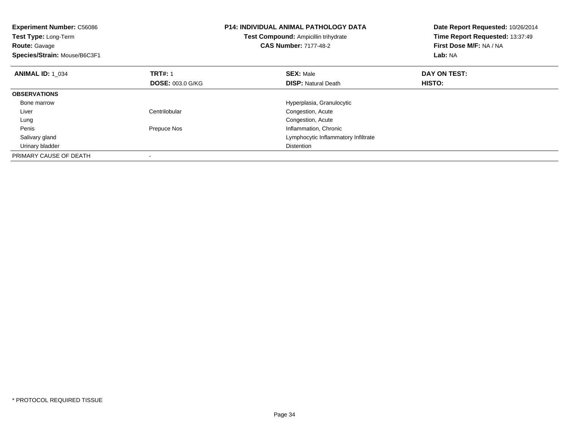| <b>Experiment Number: C56086</b><br><b>Test Type: Long-Term</b><br><b>Route: Gavage</b><br>Species/Strain: Mouse/B6C3F1 |                         | <b>P14: INDIVIDUAL ANIMAL PATHOLOGY DATA</b><br>Test Compound: Ampicillin trihydrate<br><b>CAS Number: 7177-48-2</b> | Date Report Requested: 10/26/2014<br>Time Report Requested: 13:37:49<br>First Dose M/F: NA / NA<br>Lab: NA |
|-------------------------------------------------------------------------------------------------------------------------|-------------------------|----------------------------------------------------------------------------------------------------------------------|------------------------------------------------------------------------------------------------------------|
| <b>ANIMAL ID: 1 034</b>                                                                                                 | <b>TRT#: 1</b>          | <b>SEX: Male</b>                                                                                                     | DAY ON TEST:                                                                                               |
|                                                                                                                         | <b>DOSE: 003.0 G/KG</b> | <b>DISP:</b> Natural Death                                                                                           | <b>HISTO:</b>                                                                                              |
| <b>OBSERVATIONS</b>                                                                                                     |                         |                                                                                                                      |                                                                                                            |
| Bone marrow                                                                                                             |                         | Hyperplasia, Granulocytic                                                                                            |                                                                                                            |
| Liver                                                                                                                   | Centrilobular           | Congestion, Acute                                                                                                    |                                                                                                            |
| Lung                                                                                                                    |                         | Congestion, Acute                                                                                                    |                                                                                                            |
| Penis                                                                                                                   | Prepuce Nos             | Inflammation, Chronic                                                                                                |                                                                                                            |
| Salivary gland                                                                                                          |                         | Lymphocytic Inflammatory Infiltrate                                                                                  |                                                                                                            |
| Urinary bladder                                                                                                         |                         | <b>Distention</b>                                                                                                    |                                                                                                            |
| PRIMARY CAUSE OF DEATH                                                                                                  |                         |                                                                                                                      |                                                                                                            |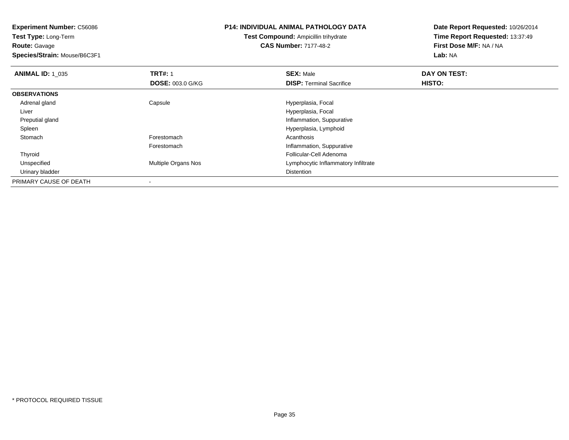**Test Type:** Long-Term**Route:** Gavage

**Species/Strain:** Mouse/B6C3F1

### **P14: INDIVIDUAL ANIMAL PATHOLOGY DATA**

**Test Compound:** Ampicillin trihydrate**CAS Number:** 7177-48-2

| <b>ANIMAL ID: 1 035</b> | <b>TRT#: 1</b>             | <b>SEX: Male</b>                    | DAY ON TEST: |  |
|-------------------------|----------------------------|-------------------------------------|--------------|--|
|                         | <b>DOSE: 003.0 G/KG</b>    | <b>DISP:</b> Terminal Sacrifice     | HISTO:       |  |
| <b>OBSERVATIONS</b>     |                            |                                     |              |  |
| Adrenal gland           | Capsule                    | Hyperplasia, Focal                  |              |  |
| Liver                   |                            | Hyperplasia, Focal                  |              |  |
| Preputial gland         |                            | Inflammation, Suppurative           |              |  |
| Spleen                  |                            | Hyperplasia, Lymphoid               |              |  |
| Stomach                 | Forestomach                | Acanthosis                          |              |  |
|                         | Forestomach                | Inflammation, Suppurative           |              |  |
| Thyroid                 |                            | Follicular-Cell Adenoma             |              |  |
| Unspecified             | <b>Multiple Organs Nos</b> | Lymphocytic Inflammatory Infiltrate |              |  |
| Urinary bladder         |                            | Distention                          |              |  |
| PRIMARY CAUSE OF DEATH  |                            |                                     |              |  |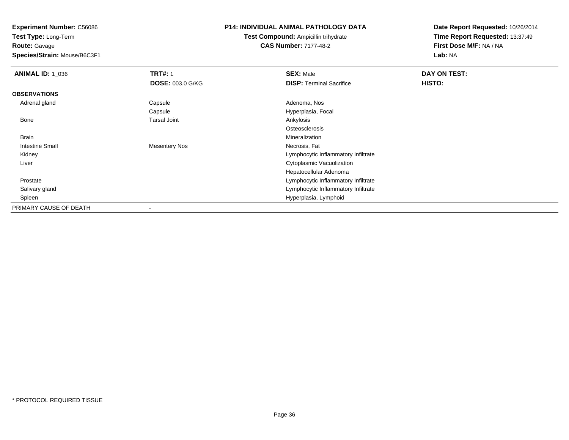**Test Type:** Long-Term**Route:** Gavage

**Species/Strain:** Mouse/B6C3F1

# **P14: INDIVIDUAL ANIMAL PATHOLOGY DATA**

**Test Compound:** Ampicillin trihydrate**CAS Number:** 7177-48-2

| <b>ANIMAL ID: 1 036</b> | <b>TRT#: 1</b>          | <b>SEX: Male</b>                    | DAY ON TEST: |  |
|-------------------------|-------------------------|-------------------------------------|--------------|--|
|                         | <b>DOSE: 003.0 G/KG</b> | <b>DISP: Terminal Sacrifice</b>     | HISTO:       |  |
| <b>OBSERVATIONS</b>     |                         |                                     |              |  |
| Adrenal gland           | Capsule                 | Adenoma, Nos                        |              |  |
|                         | Capsule                 | Hyperplasia, Focal                  |              |  |
| Bone                    | <b>Tarsal Joint</b>     | Ankylosis                           |              |  |
|                         |                         | Osteosclerosis                      |              |  |
| Brain                   |                         | Mineralization                      |              |  |
| Intestine Small         | <b>Mesentery Nos</b>    | Necrosis, Fat                       |              |  |
| Kidney                  |                         | Lymphocytic Inflammatory Infiltrate |              |  |
| Liver                   |                         | Cytoplasmic Vacuolization           |              |  |
|                         |                         | Hepatocellular Adenoma              |              |  |
| Prostate                |                         | Lymphocytic Inflammatory Infiltrate |              |  |
| Salivary gland          |                         | Lymphocytic Inflammatory Infiltrate |              |  |
| Spleen                  |                         | Hyperplasia, Lymphoid               |              |  |
| PRIMARY CAUSE OF DEATH  |                         |                                     |              |  |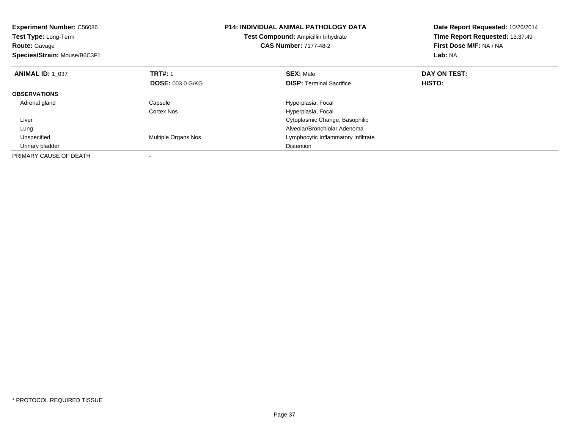| <b>Experiment Number: C56086</b><br>Test Type: Long-Term<br><b>Route: Gavage</b><br>Species/Strain: Mouse/B6C3F1 |                            | <b>P14: INDIVIDUAL ANIMAL PATHOLOGY DATA</b><br>Test Compound: Ampicillin trihydrate<br><b>CAS Number: 7177-48-2</b> | Date Report Requested: 10/26/2014<br>Time Report Requested: 13:37:49<br>First Dose M/F: NA / NA<br>Lab: NA |  |
|------------------------------------------------------------------------------------------------------------------|----------------------------|----------------------------------------------------------------------------------------------------------------------|------------------------------------------------------------------------------------------------------------|--|
| <b>ANIMAL ID: 1_037</b>                                                                                          | <b>TRT#: 1</b>             | <b>SEX: Male</b>                                                                                                     | DAY ON TEST:                                                                                               |  |
|                                                                                                                  | <b>DOSE: 003.0 G/KG</b>    | <b>DISP:</b> Terminal Sacrifice                                                                                      | HISTO:                                                                                                     |  |
| <b>OBSERVATIONS</b>                                                                                              |                            |                                                                                                                      |                                                                                                            |  |
| Adrenal gland                                                                                                    | Capsule                    | Hyperplasia, Focal                                                                                                   |                                                                                                            |  |
|                                                                                                                  | Cortex Nos                 | Hyperplasia, Focal                                                                                                   |                                                                                                            |  |
| Liver                                                                                                            |                            | Cytoplasmic Change, Basophilic                                                                                       |                                                                                                            |  |
| Lung                                                                                                             |                            | Alveolar/Bronchiolar Adenoma                                                                                         |                                                                                                            |  |
| Unspecified                                                                                                      | <b>Multiple Organs Nos</b> | Lymphocytic Inflammatory Infiltrate                                                                                  |                                                                                                            |  |
| Urinary bladder                                                                                                  |                            | <b>Distention</b>                                                                                                    |                                                                                                            |  |
| PRIMARY CAUSE OF DEATH                                                                                           |                            |                                                                                                                      |                                                                                                            |  |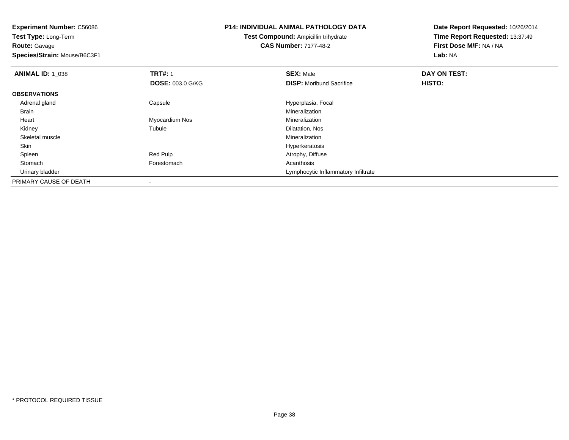| <b>Experiment Number: C56086</b><br>Test Type: Long-Term<br><b>Route: Gavage</b> |                         | <b>P14: INDIVIDUAL ANIMAL PATHOLOGY DATA</b><br>Test Compound: Ampicillin trihydrate<br><b>CAS Number: 7177-48-2</b> | Date Report Requested: 10/26/2014<br>Time Report Requested: 13:37:49<br>First Dose M/F: NA / NA |  |
|----------------------------------------------------------------------------------|-------------------------|----------------------------------------------------------------------------------------------------------------------|-------------------------------------------------------------------------------------------------|--|
| Species/Strain: Mouse/B6C3F1                                                     |                         |                                                                                                                      | Lab: NA                                                                                         |  |
| <b>ANIMAL ID: 1 038</b>                                                          | <b>TRT#: 1</b>          | <b>SEX: Male</b>                                                                                                     | DAY ON TEST:                                                                                    |  |
|                                                                                  | <b>DOSE: 003.0 G/KG</b> | <b>DISP:</b> Moribund Sacrifice                                                                                      | HISTO:                                                                                          |  |
| <b>OBSERVATIONS</b>                                                              |                         |                                                                                                                      |                                                                                                 |  |
| Adrenal gland                                                                    | Capsule                 | Hyperplasia, Focal                                                                                                   |                                                                                                 |  |
| <b>Brain</b>                                                                     |                         | Mineralization                                                                                                       |                                                                                                 |  |
| Heart                                                                            | Myocardium Nos          | Mineralization                                                                                                       |                                                                                                 |  |
| Kidney                                                                           | Tubule                  | Dilatation, Nos                                                                                                      |                                                                                                 |  |
| Skeletal muscle                                                                  |                         | <b>Mineralization</b>                                                                                                |                                                                                                 |  |
| Skin                                                                             |                         | Hyperkeratosis                                                                                                       |                                                                                                 |  |
| Spleen                                                                           | Red Pulp                | Atrophy, Diffuse                                                                                                     |                                                                                                 |  |
| Stomach                                                                          | Forestomach             | Acanthosis                                                                                                           |                                                                                                 |  |
| Urinary bladder                                                                  |                         | Lymphocytic Inflammatory Infiltrate                                                                                  |                                                                                                 |  |
| PRIMARY CAUSE OF DEATH                                                           |                         |                                                                                                                      |                                                                                                 |  |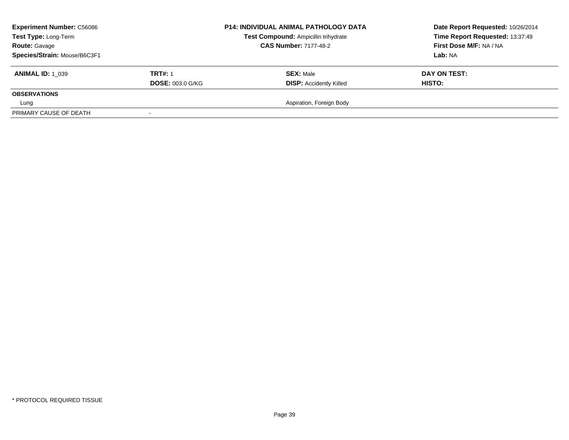| <b>Experiment Number: C56086</b><br>Test Type: Long-Term<br><b>Route: Gavage</b><br>Species/Strain: Mouse/B6C3F1 |                                           | <b>P14: INDIVIDUAL ANIMAL PATHOLOGY DATA</b><br>Test Compound: Ampicillin trihydrate<br><b>CAS Number: 7177-48-2</b> | Date Report Requested: 10/26/2014<br>Time Report Requested: 13:37:49<br>First Dose M/F: NA / NA<br>Lab: NA |  |
|------------------------------------------------------------------------------------------------------------------|-------------------------------------------|----------------------------------------------------------------------------------------------------------------------|------------------------------------------------------------------------------------------------------------|--|
| <b>ANIMAL ID: 1 039</b>                                                                                          | <b>TRT#: 1</b><br><b>DOSE: 003.0 G/KG</b> | <b>SEX: Male</b><br><b>DISP: Accidently Killed</b>                                                                   | DAY ON TEST:<br><b>HISTO:</b>                                                                              |  |
| <b>OBSERVATIONS</b>                                                                                              |                                           |                                                                                                                      |                                                                                                            |  |
| Lung                                                                                                             |                                           | Aspiration, Foreign Body                                                                                             |                                                                                                            |  |
| PRIMARY CAUSE OF DEATH                                                                                           |                                           |                                                                                                                      |                                                                                                            |  |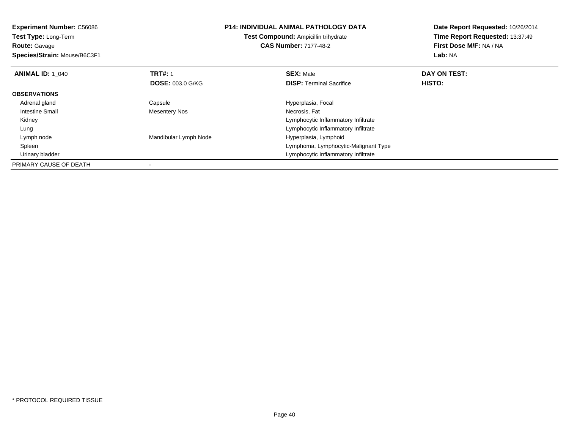**Experiment Number:** C56086**Test Type:** Long-Term**Route:** Gavage **Species/Strain:** Mouse/B6C3F1**P14: INDIVIDUAL ANIMAL PATHOLOGY DATATest Compound:** Ampicillin trihydrate**CAS Number:** 7177-48-2**Date Report Requested:** 10/26/2014**Time Report Requested:** 13:37:49**First Dose M/F:** NA / NA**Lab:** NA**ANIMAL ID: 1\_040 C TRT#:** 1 **SEX:** Male **DAY ON TEST: DOSE:** 003.0 G/KG**DISP:** Terminal Sacrifice **HISTO: OBSERVATIONS** Adrenal glandCapsule **Capsule Hyperplasia**, Focal Intestine Small Mesentery Nos Necrosis, Fat Kidney Lymphocytic Inflammatory Infiltrateg and the state of the state of the state of the state of the state of the Lymphocytic Inflammatory Infiltrate Lung Lymph nodeMandibular Lymph Node **Hyperplasia, Lymphoid**  Spleen Lymphoma, Lymphocytic-Malignant Type Urinary bladder Lymphocytic Inflammatory InfiltratePRIMARY CAUSE OF DEATH-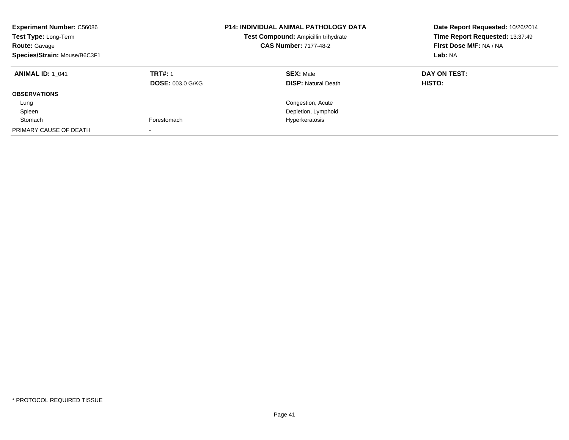| <b>Experiment Number: C56086</b><br>Test Type: Long-Term<br><b>Route: Gavage</b><br>Species/Strain: Mouse/B6C3F1 |                         | <b>P14: INDIVIDUAL ANIMAL PATHOLOGY DATA</b><br>Test Compound: Ampicillin trihydrate<br><b>CAS Number: 7177-48-2</b> | Date Report Requested: 10/26/2014<br>Time Report Requested: 13:37:49<br>First Dose M/F: NA / NA<br>Lab: NA |
|------------------------------------------------------------------------------------------------------------------|-------------------------|----------------------------------------------------------------------------------------------------------------------|------------------------------------------------------------------------------------------------------------|
| <b>ANIMAL ID: 1 041</b>                                                                                          | <b>TRT#: 1</b>          | <b>SEX: Male</b>                                                                                                     | DAY ON TEST:                                                                                               |
|                                                                                                                  | <b>DOSE: 003.0 G/KG</b> | <b>DISP:</b> Natural Death                                                                                           | HISTO:                                                                                                     |
| <b>OBSERVATIONS</b>                                                                                              |                         |                                                                                                                      |                                                                                                            |
| Lung                                                                                                             |                         | Congestion, Acute                                                                                                    |                                                                                                            |
| Spleen                                                                                                           |                         | Depletion, Lymphoid                                                                                                  |                                                                                                            |
| Stomach                                                                                                          | Forestomach             | Hyperkeratosis                                                                                                       |                                                                                                            |
| PRIMARY CAUSE OF DEATH                                                                                           |                         |                                                                                                                      |                                                                                                            |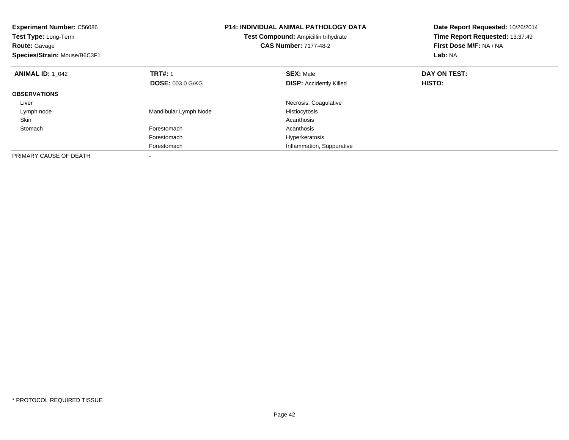| <b>Experiment Number: C56086</b><br>Test Type: Long-Term<br><b>Route: Gavage</b><br>Species/Strain: Mouse/B6C3F1 | <b>P14: INDIVIDUAL ANIMAL PATHOLOGY DATA</b><br>Test Compound: Ampicillin trihydrate<br><b>CAS Number: 7177-48-2</b> |                                | Date Report Requested: 10/26/2014<br>Time Report Requested: 13:37:49<br>First Dose M/F: NA / NA<br>Lab: NA |
|------------------------------------------------------------------------------------------------------------------|----------------------------------------------------------------------------------------------------------------------|--------------------------------|------------------------------------------------------------------------------------------------------------|
| <b>ANIMAL ID: 1 042</b>                                                                                          | <b>TRT#: 1</b>                                                                                                       | <b>SEX: Male</b>               | DAY ON TEST:                                                                                               |
|                                                                                                                  | <b>DOSE: 003.0 G/KG</b>                                                                                              | <b>DISP:</b> Accidently Killed | <b>HISTO:</b>                                                                                              |
| <b>OBSERVATIONS</b>                                                                                              |                                                                                                                      |                                |                                                                                                            |
| Liver                                                                                                            |                                                                                                                      | Necrosis, Coagulative          |                                                                                                            |
| Lymph node                                                                                                       | Mandibular Lymph Node                                                                                                | Histiocytosis                  |                                                                                                            |
| Skin                                                                                                             |                                                                                                                      | Acanthosis                     |                                                                                                            |
| Stomach                                                                                                          | Forestomach                                                                                                          | Acanthosis                     |                                                                                                            |
|                                                                                                                  | Forestomach                                                                                                          | Hyperkeratosis                 |                                                                                                            |
|                                                                                                                  | Forestomach                                                                                                          | Inflammation, Suppurative      |                                                                                                            |
| PRIMARY CAUSE OF DEATH                                                                                           |                                                                                                                      |                                |                                                                                                            |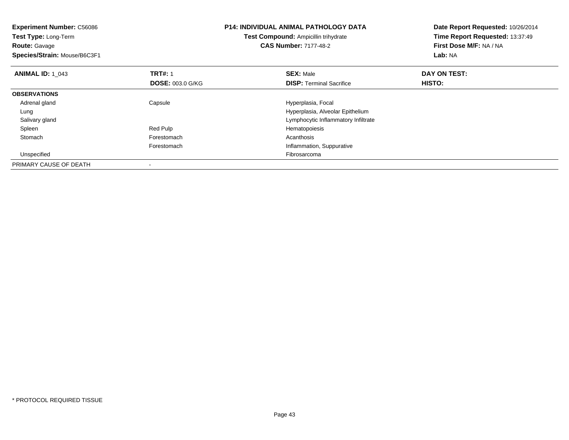| Experiment Number: C56086<br><b>Test Type: Long-Term</b><br><b>Route: Gavage</b><br>Species/Strain: Mouse/B6C3F1 | <b>P14: INDIVIDUAL ANIMAL PATHOLOGY DATA</b><br>Test Compound: Ampicillin trihydrate<br><b>CAS Number: 7177-48-2</b> |                                     | Date Report Requested: 10/26/2014<br>Time Report Requested: 13:37:49<br>First Dose M/F: NA / NA<br>Lab: NA |
|------------------------------------------------------------------------------------------------------------------|----------------------------------------------------------------------------------------------------------------------|-------------------------------------|------------------------------------------------------------------------------------------------------------|
| <b>ANIMAL ID: 1 043</b>                                                                                          | <b>TRT#: 1</b>                                                                                                       | <b>SEX: Male</b>                    | DAY ON TEST:                                                                                               |
|                                                                                                                  | <b>DOSE: 003.0 G/KG</b>                                                                                              | <b>DISP:</b> Terminal Sacrifice     | HISTO:                                                                                                     |
| <b>OBSERVATIONS</b>                                                                                              |                                                                                                                      |                                     |                                                                                                            |
| Adrenal gland                                                                                                    | Capsule                                                                                                              | Hyperplasia, Focal                  |                                                                                                            |
| Lung                                                                                                             |                                                                                                                      | Hyperplasia, Alveolar Epithelium    |                                                                                                            |
| Salivary gland                                                                                                   |                                                                                                                      | Lymphocytic Inflammatory Infiltrate |                                                                                                            |
| Spleen                                                                                                           | Red Pulp                                                                                                             | Hematopoiesis                       |                                                                                                            |
| Stomach                                                                                                          | Forestomach                                                                                                          | Acanthosis                          |                                                                                                            |
|                                                                                                                  | Forestomach                                                                                                          | Inflammation, Suppurative           |                                                                                                            |
| Unspecified                                                                                                      |                                                                                                                      | Fibrosarcoma                        |                                                                                                            |
| PRIMARY CAUSE OF DEATH                                                                                           |                                                                                                                      |                                     |                                                                                                            |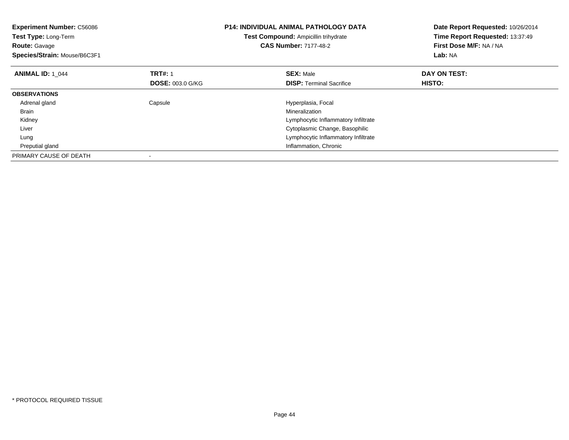| <b>Experiment Number: C56086</b><br>Test Type: Long-Term<br><b>Route: Gavage</b><br>Species/Strain: Mouse/B6C3F1 |                         | P14: INDIVIDUAL ANIMAL PATHOLOGY DATA<br>Test Compound: Ampicillin trihydrate<br><b>CAS Number: 7177-48-2</b> | Date Report Requested: 10/26/2014<br>Time Report Requested: 13:37:49<br>First Dose M/F: NA / NA<br>Lab: NA |  |
|------------------------------------------------------------------------------------------------------------------|-------------------------|---------------------------------------------------------------------------------------------------------------|------------------------------------------------------------------------------------------------------------|--|
| <b>ANIMAL ID: 1 044</b>                                                                                          | <b>TRT#: 1</b>          | <b>SEX: Male</b>                                                                                              | DAY ON TEST:                                                                                               |  |
|                                                                                                                  | <b>DOSE: 003.0 G/KG</b> | <b>DISP:</b> Terminal Sacrifice                                                                               | HISTO:                                                                                                     |  |
| <b>OBSERVATIONS</b>                                                                                              |                         |                                                                                                               |                                                                                                            |  |
| Adrenal gland                                                                                                    | Capsule                 | Hyperplasia, Focal                                                                                            |                                                                                                            |  |
| Brain                                                                                                            |                         | Mineralization                                                                                                |                                                                                                            |  |
| Kidney                                                                                                           |                         | Lymphocytic Inflammatory Infiltrate                                                                           |                                                                                                            |  |
| Liver                                                                                                            |                         | Cytoplasmic Change, Basophilic                                                                                |                                                                                                            |  |
| Lung                                                                                                             |                         | Lymphocytic Inflammatory Infiltrate                                                                           |                                                                                                            |  |
| Preputial gland                                                                                                  |                         | Inflammation, Chronic                                                                                         |                                                                                                            |  |
| PRIMARY CAUSE OF DEATH                                                                                           |                         |                                                                                                               |                                                                                                            |  |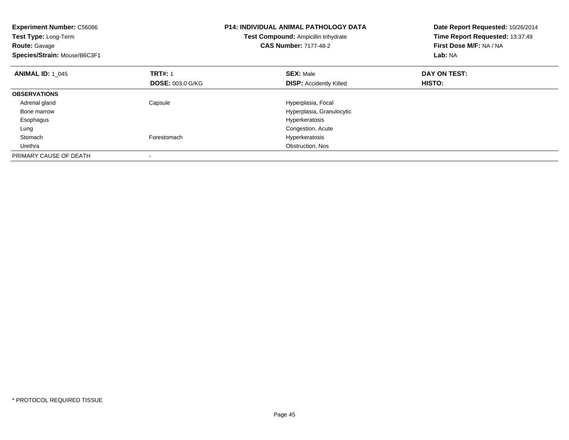| <b>Experiment Number: C56086</b><br><b>Test Type: Long-Term</b><br><b>Route: Gavage</b><br>Species/Strain: Mouse/B6C3F1 | <b>P14: INDIVIDUAL ANIMAL PATHOLOGY DATA</b><br>Test Compound: Ampicillin trihydrate<br><b>CAS Number: 7177-48-2</b> |                                | Date Report Requested: 10/26/2014<br>Time Report Requested: 13:37:49<br>First Dose M/F: NA / NA<br>Lab: NA |
|-------------------------------------------------------------------------------------------------------------------------|----------------------------------------------------------------------------------------------------------------------|--------------------------------|------------------------------------------------------------------------------------------------------------|
| <b>ANIMAL ID: 1 045</b>                                                                                                 | <b>TRT#: 1</b>                                                                                                       | <b>SEX: Male</b>               | DAY ON TEST:                                                                                               |
|                                                                                                                         | <b>DOSE: 003.0 G/KG</b>                                                                                              | <b>DISP:</b> Accidently Killed | <b>HISTO:</b>                                                                                              |
| <b>OBSERVATIONS</b>                                                                                                     |                                                                                                                      |                                |                                                                                                            |
| Adrenal gland                                                                                                           | Capsule                                                                                                              | Hyperplasia, Focal             |                                                                                                            |
| Bone marrow                                                                                                             |                                                                                                                      | Hyperplasia, Granulocytic      |                                                                                                            |
| Esophagus                                                                                                               |                                                                                                                      | Hyperkeratosis                 |                                                                                                            |
| Lung                                                                                                                    |                                                                                                                      | Congestion, Acute              |                                                                                                            |
| Stomach                                                                                                                 | Forestomach                                                                                                          | Hyperkeratosis                 |                                                                                                            |
| Urethra                                                                                                                 |                                                                                                                      | Obstruction, Nos               |                                                                                                            |
| PRIMARY CAUSE OF DEATH                                                                                                  |                                                                                                                      |                                |                                                                                                            |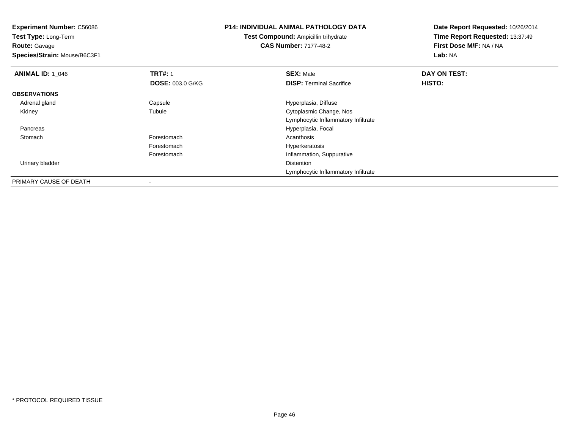**Experiment Number:** C56086**Test Type:** Long-Term**Route:** Gavage **Species/Strain:** Mouse/B6C3F1**P14: INDIVIDUAL ANIMAL PATHOLOGY DATATest Compound:** Ampicillin trihydrate**CAS Number:** 7177-48-2**Date Report Requested:** 10/26/2014**Time Report Requested:** 13:37:49**First Dose M/F:** NA / NA**Lab:** NA**ANIMAL ID: 1\_046 6 DAY ON TRT#:** 1 **SEX:** Male **SEX:** Male **DAY ON TEST: DOSE:** 003.0 G/KG**DISP:** Terminal Sacrifice **HISTO: OBSERVATIONS** Adrenal glandCapsule **Capsule Capsule Capsule Capsule Capsule Capsule Capsule Capsule Capsule Capsule Capsule Capsule Capsule Capsule Capsule Capsule Capsule Capsule Capsule Capsule Capsule Cap**  Kidney Tubule Cytoplasmic Change, Nos Lymphocytic Inflammatory Infiltrate Pancreas Hyperplasia, Focal **Stomach** h anns an t-India anns an t-India anns an t-India anns an t-India anns an t-India anns an t-India anns an t-In Forestomach Hyperkeratosis Forestomach Inflammation, Suppurative Urinary bladderr and the control of the control of the control of the control of the control of the control of the control of Lymphocytic Inflammatory InfiltratePRIMARY CAUSE OF DEATH-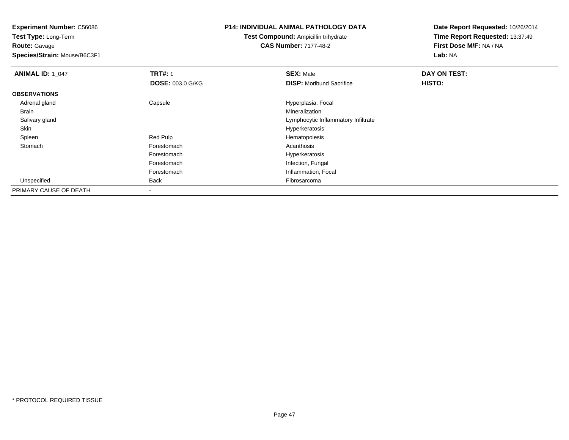**Test Type:** Long-Term**Route:** Gavage

**Species/Strain:** Mouse/B6C3F1

# **P14: INDIVIDUAL ANIMAL PATHOLOGY DATA**

**Test Compound:** Ampicillin trihydrate**CAS Number:** 7177-48-2

| <b>ANIMAL ID: 1 047</b> | <b>TRT#: 1</b>          | <b>SEX: Male</b>                    | DAY ON TEST: |  |
|-------------------------|-------------------------|-------------------------------------|--------------|--|
|                         | <b>DOSE: 003.0 G/KG</b> | <b>DISP:</b> Moribund Sacrifice     | HISTO:       |  |
| <b>OBSERVATIONS</b>     |                         |                                     |              |  |
| Adrenal gland           | Capsule                 | Hyperplasia, Focal                  |              |  |
| <b>Brain</b>            |                         | Mineralization                      |              |  |
| Salivary gland          |                         | Lymphocytic Inflammatory Infiltrate |              |  |
| Skin                    |                         | Hyperkeratosis                      |              |  |
| Spleen                  | Red Pulp                | Hematopoiesis                       |              |  |
| Stomach                 | Forestomach             | Acanthosis                          |              |  |
|                         | Forestomach             | Hyperkeratosis                      |              |  |
|                         | Forestomach             | Infection, Fungal                   |              |  |
|                         | Forestomach             | Inflammation, Focal                 |              |  |
| Unspecified             | <b>Back</b>             | Fibrosarcoma                        |              |  |
| PRIMARY CAUSE OF DEATH  |                         |                                     |              |  |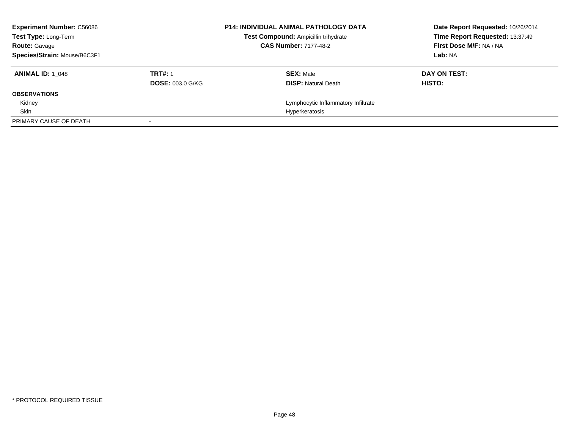| <b>Experiment Number: C56086</b><br><b>Test Type: Long-Term</b> |                         | <b>P14: INDIVIDUAL ANIMAL PATHOLOGY DATA</b><br>Test Compound: Ampicillin trihydrate | Date Report Requested: 10/26/2014<br>Time Report Requested: 13:37:49 |
|-----------------------------------------------------------------|-------------------------|--------------------------------------------------------------------------------------|----------------------------------------------------------------------|
| <b>Route: Gavage</b>                                            |                         | <b>CAS Number: 7177-48-2</b>                                                         | First Dose M/F: NA / NA                                              |
| Species/Strain: Mouse/B6C3F1                                    |                         |                                                                                      | Lab: NA                                                              |
| <b>ANIMAL ID: 1 048</b>                                         | <b>TRT#: 1</b>          | <b>SEX: Male</b>                                                                     | DAY ON TEST:                                                         |
|                                                                 | <b>DOSE: 003.0 G/KG</b> | <b>DISP:</b> Natural Death                                                           | HISTO:                                                               |
| <b>OBSERVATIONS</b>                                             |                         |                                                                                      |                                                                      |
| Kidney                                                          |                         | Lymphocytic Inflammatory Infiltrate                                                  |                                                                      |
| Skin                                                            |                         | Hyperkeratosis                                                                       |                                                                      |
| PRIMARY CAUSE OF DEATH                                          |                         |                                                                                      |                                                                      |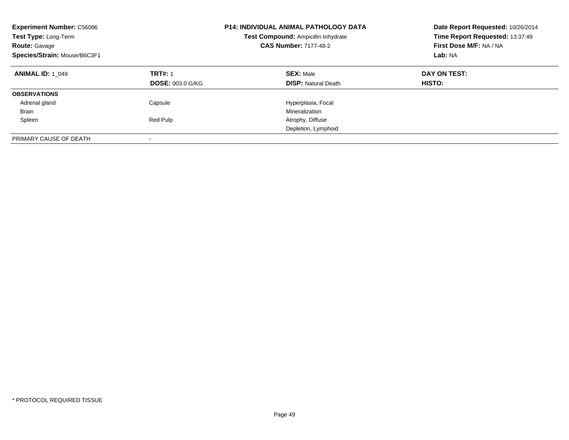| <b>Experiment Number: C56086</b><br>Test Type: Long-Term<br><b>Route: Gavage</b><br>Species/Strain: Mouse/B6C3F1 | <b>P14: INDIVIDUAL ANIMAL PATHOLOGY DATA</b><br>Test Compound: Ampicillin trihydrate<br><b>CAS Number: 7177-48-2</b> |                                                | Date Report Requested: 10/26/2014<br>Time Report Requested: 13:37:49<br>First Dose M/F: NA / NA<br>Lab: NA |
|------------------------------------------------------------------------------------------------------------------|----------------------------------------------------------------------------------------------------------------------|------------------------------------------------|------------------------------------------------------------------------------------------------------------|
| <b>ANIMAL ID: 1 049</b>                                                                                          | <b>TRT#: 1</b><br><b>DOSE: 003.0 G/KG</b>                                                                            | <b>SEX: Male</b><br><b>DISP: Natural Death</b> | DAY ON TEST:<br>HISTO:                                                                                     |
| <b>OBSERVATIONS</b>                                                                                              |                                                                                                                      |                                                |                                                                                                            |
| Adrenal gland                                                                                                    | Capsule                                                                                                              | Hyperplasia, Focal                             |                                                                                                            |
| Brain                                                                                                            |                                                                                                                      | Mineralization                                 |                                                                                                            |
| Spleen                                                                                                           | Red Pulp                                                                                                             | Atrophy, Diffuse                               |                                                                                                            |
|                                                                                                                  |                                                                                                                      | Depletion, Lymphoid                            |                                                                                                            |
| PRIMARY CAUSE OF DEATH                                                                                           |                                                                                                                      |                                                |                                                                                                            |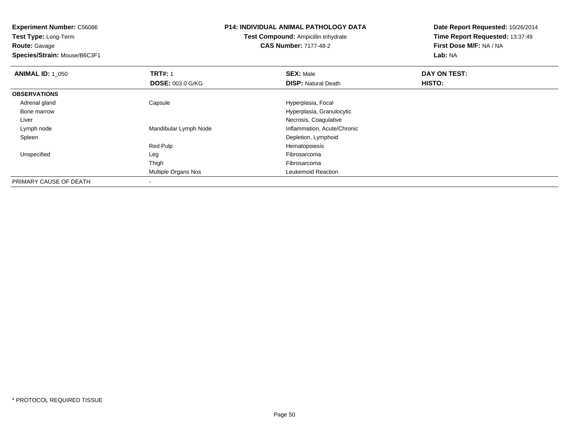**Test Type:** Long-Term**Route:** Gavage

**Species/Strain:** Mouse/B6C3F1

#### **P14: INDIVIDUAL ANIMAL PATHOLOGY DATA**

**Test Compound:** Ampicillin trihydrate**CAS Number:** 7177-48-2

| <b>ANIMAL ID: 1_050</b> | <b>TRT#: 1</b>          | <b>SEX: Male</b>            | DAY ON TEST: |  |
|-------------------------|-------------------------|-----------------------------|--------------|--|
|                         | <b>DOSE: 003.0 G/KG</b> | <b>DISP: Natural Death</b>  | HISTO:       |  |
| <b>OBSERVATIONS</b>     |                         |                             |              |  |
| Adrenal gland           | Capsule                 | Hyperplasia, Focal          |              |  |
| Bone marrow             |                         | Hyperplasia, Granulocytic   |              |  |
| Liver                   |                         | Necrosis, Coagulative       |              |  |
| Lymph node              | Mandibular Lymph Node   | Inflammation, Acute/Chronic |              |  |
| Spleen                  |                         | Depletion, Lymphoid         |              |  |
|                         | Red Pulp                | Hematopoiesis               |              |  |
| Unspecified             | Leg                     | Fibrosarcoma                |              |  |
|                         | Thigh                   | Fibrosarcoma                |              |  |
|                         | Multiple Organs Nos     | Leukemoid Reaction          |              |  |
| PRIMARY CAUSE OF DEATH  |                         |                             |              |  |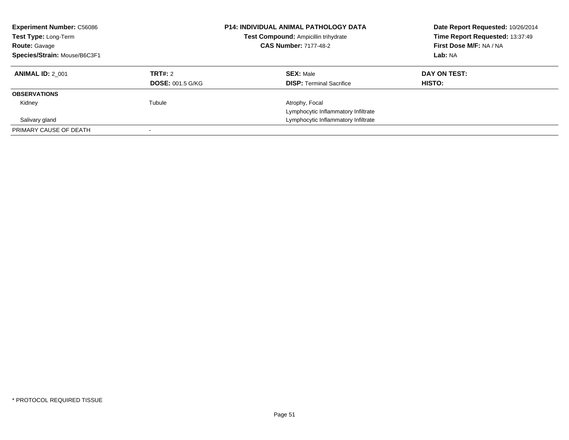| <b>Experiment Number: C56086</b><br>Test Type: Long-Term<br><b>Route: Gavage</b><br>Species/Strain: Mouse/B6C3F1 |                                    | <b>P14: INDIVIDUAL ANIMAL PATHOLOGY DATA</b><br>Date Report Requested: 10/26/2014<br>Time Report Requested: 13:37:49<br>Test Compound: Ampicillin trihydrate<br>First Dose M/F: NA / NA<br><b>CAS Number: 7177-48-2</b><br>Lab: NA |                        |
|------------------------------------------------------------------------------------------------------------------|------------------------------------|------------------------------------------------------------------------------------------------------------------------------------------------------------------------------------------------------------------------------------|------------------------|
| <b>ANIMAL ID: 2 001</b>                                                                                          | TRT#: 2<br><b>DOSE: 001.5 G/KG</b> | <b>SEX: Male</b><br><b>DISP:</b> Terminal Sacrifice                                                                                                                                                                                | DAY ON TEST:<br>HISTO: |
| <b>OBSERVATIONS</b>                                                                                              |                                    |                                                                                                                                                                                                                                    |                        |
| Kidney<br>Salivary gland                                                                                         | Tubule                             | Atrophy, Focal<br>Lymphocytic Inflammatory Infiltrate<br>Lymphocytic Inflammatory Infiltrate                                                                                                                                       |                        |
| PRIMARY CAUSE OF DEATH                                                                                           |                                    |                                                                                                                                                                                                                                    |                        |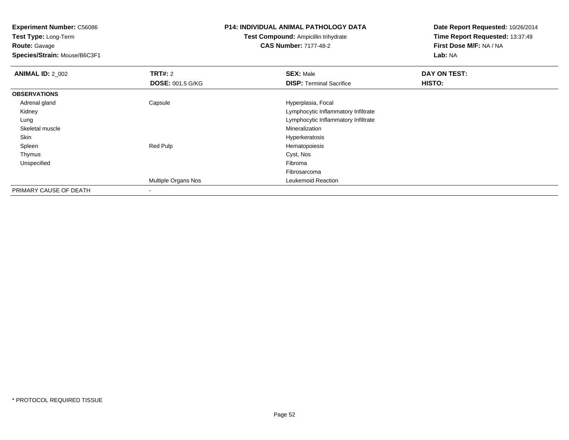**Test Type:** Long-Term**Route:** Gavage

**Species/Strain:** Mouse/B6C3F1

# **P14: INDIVIDUAL ANIMAL PATHOLOGY DATA**

**Test Compound:** Ampicillin trihydrate**CAS Number:** 7177-48-2

| <b>ANIMAL ID: 2_002</b> | TRT#: 2                  | <b>SEX: Male</b>                    | DAY ON TEST: |  |
|-------------------------|--------------------------|-------------------------------------|--------------|--|
|                         | <b>DOSE: 001.5 G/KG</b>  | <b>DISP: Terminal Sacrifice</b>     | HISTO:       |  |
| <b>OBSERVATIONS</b>     |                          |                                     |              |  |
| Adrenal gland           | Capsule                  | Hyperplasia, Focal                  |              |  |
| Kidney                  |                          | Lymphocytic Inflammatory Infiltrate |              |  |
| Lung                    |                          | Lymphocytic Inflammatory Infiltrate |              |  |
| Skeletal muscle         |                          | Mineralization                      |              |  |
| Skin                    |                          | Hyperkeratosis                      |              |  |
| Spleen                  | Red Pulp                 | Hematopoiesis                       |              |  |
| Thymus                  |                          | Cyst, Nos                           |              |  |
| Unspecified             |                          | Fibroma                             |              |  |
|                         |                          | Fibrosarcoma                        |              |  |
|                         | Multiple Organs Nos      | Leukemoid Reaction                  |              |  |
| PRIMARY CAUSE OF DEATH  | $\overline{\phantom{a}}$ |                                     |              |  |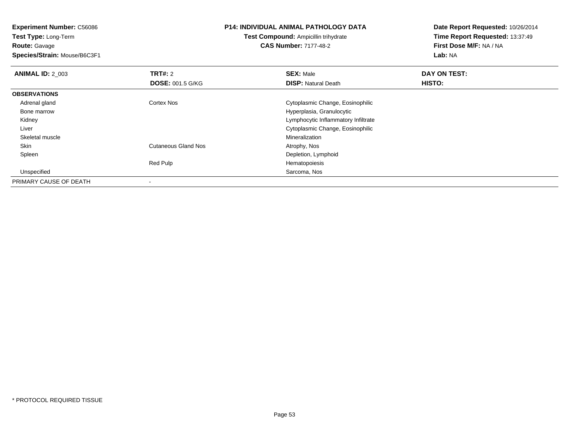**Test Type:** Long-Term**Route:** Gavage

**Species/Strain:** Mouse/B6C3F1

#### **P14: INDIVIDUAL ANIMAL PATHOLOGY DATA**

**Test Compound:** Ampicillin trihydrate**CAS Number:** 7177-48-2

| <b>ANIMAL ID: 2 003</b> | <b>TRT#: 2</b>             | <b>SEX: Male</b>                    | DAY ON TEST: |  |
|-------------------------|----------------------------|-------------------------------------|--------------|--|
|                         | <b>DOSE: 001.5 G/KG</b>    | <b>DISP: Natural Death</b>          | HISTO:       |  |
| <b>OBSERVATIONS</b>     |                            |                                     |              |  |
| Adrenal gland           | <b>Cortex Nos</b>          | Cytoplasmic Change, Eosinophilic    |              |  |
| Bone marrow             |                            | Hyperplasia, Granulocytic           |              |  |
| Kidney                  |                            | Lymphocytic Inflammatory Infiltrate |              |  |
| Liver                   |                            | Cytoplasmic Change, Eosinophilic    |              |  |
| Skeletal muscle         |                            | Mineralization                      |              |  |
| Skin                    | <b>Cutaneous Gland Nos</b> | Atrophy, Nos                        |              |  |
| Spleen                  |                            | Depletion, Lymphoid                 |              |  |
|                         | Red Pulp                   | Hematopoiesis                       |              |  |
| Unspecified             |                            | Sarcoma, Nos                        |              |  |
| PRIMARY CAUSE OF DEATH  |                            |                                     |              |  |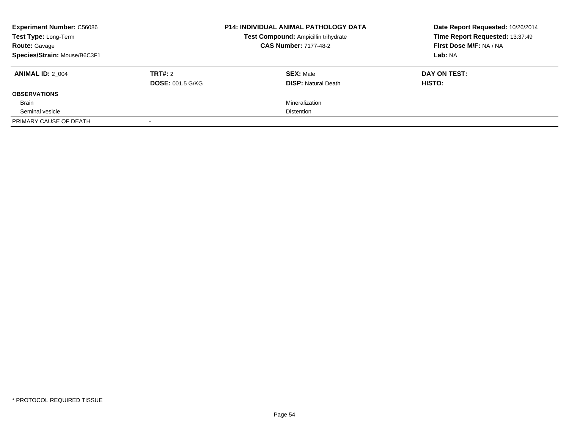| <b>Experiment Number: C56086</b><br>Test Type: Long-Term<br><b>Route: Gavage</b> |                         | <b>P14: INDIVIDUAL ANIMAL PATHOLOGY DATA</b><br>Test Compound: Ampicillin trihydrate<br><b>CAS Number: 7177-48-2</b> | Date Report Requested: 10/26/2014<br>Time Report Requested: 13:37:49<br>First Dose M/F: NA / NA |
|----------------------------------------------------------------------------------|-------------------------|----------------------------------------------------------------------------------------------------------------------|-------------------------------------------------------------------------------------------------|
| Species/Strain: Mouse/B6C3F1                                                     |                         |                                                                                                                      | Lab: NA                                                                                         |
| <b>ANIMAL ID: 2 004</b>                                                          | TRT#: 2                 | <b>SEX: Male</b>                                                                                                     | DAY ON TEST:                                                                                    |
|                                                                                  | <b>DOSE: 001.5 G/KG</b> | <b>DISP:</b> Natural Death                                                                                           | <b>HISTO:</b>                                                                                   |
| <b>OBSERVATIONS</b>                                                              |                         |                                                                                                                      |                                                                                                 |
| Brain                                                                            |                         | Mineralization                                                                                                       |                                                                                                 |
| Seminal vesicle                                                                  |                         | <b>Distention</b>                                                                                                    |                                                                                                 |
| PRIMARY CAUSE OF DEATH                                                           |                         |                                                                                                                      |                                                                                                 |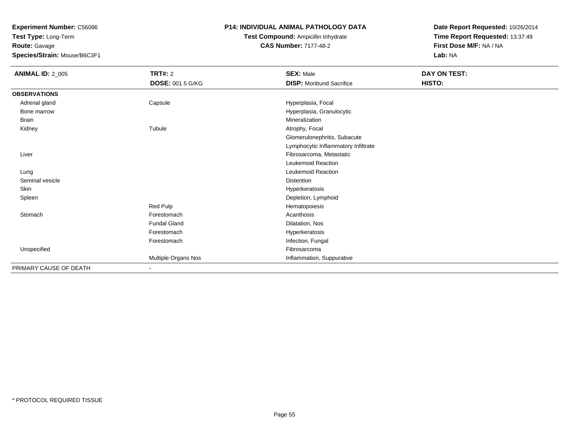**Test Type:** Long-Term**Route:** Gavage

**Species/Strain:** Mouse/B6C3F1

## **P14: INDIVIDUAL ANIMAL PATHOLOGY DATA**

# **Test Compound:** Ampicillin trihydrate**CAS Number:** 7177-48-2

| <b>ANIMAL ID: 2_005</b> | TRT#: 2                 | <b>SEX: Male</b>                    | DAY ON TEST: |
|-------------------------|-------------------------|-------------------------------------|--------------|
|                         | <b>DOSE: 001.5 G/KG</b> | <b>DISP:</b> Moribund Sacrifice     | HISTO:       |
| <b>OBSERVATIONS</b>     |                         |                                     |              |
| Adrenal gland           | Capsule                 | Hyperplasia, Focal                  |              |
| Bone marrow             |                         | Hyperplasia, Granulocytic           |              |
| <b>Brain</b>            |                         | Mineralization                      |              |
| Kidney                  | Tubule                  | Atrophy, Focal                      |              |
|                         |                         | Glomerulonephritis, Subacute        |              |
|                         |                         | Lymphocytic Inflammatory Infiltrate |              |
| Liver                   |                         | Fibrosarcoma, Metastatic            |              |
|                         |                         | Leukemoid Reaction                  |              |
| Lung                    |                         | Leukemoid Reaction                  |              |
| Seminal vesicle         |                         | <b>Distention</b>                   |              |
| <b>Skin</b>             |                         | Hyperkeratosis                      |              |
| Spleen                  |                         | Depletion, Lymphoid                 |              |
|                         | Red Pulp                | Hematopoiesis                       |              |
| Stomach                 | Forestomach             | Acanthosis                          |              |
|                         | <b>Fundal Gland</b>     | Dilatation, Nos                     |              |
|                         | Forestomach             | Hyperkeratosis                      |              |
|                         | Forestomach             | Infection, Fungal                   |              |
| Unspecified             |                         | Fibrosarcoma                        |              |
|                         | Multiple Organs Nos     | Inflammation, Suppurative           |              |
| PRIMARY CAUSE OF DEATH  |                         |                                     |              |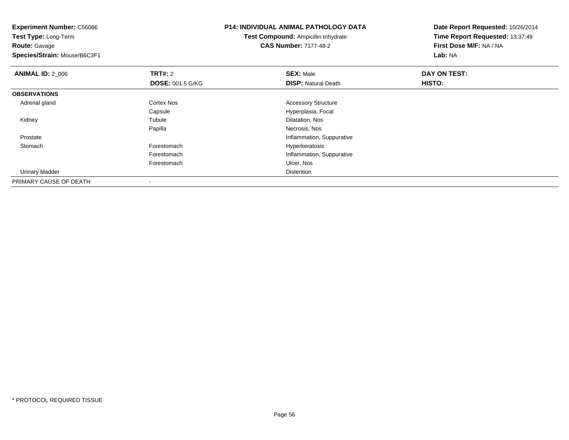**Experiment Number:** C56086**Test Type:** Long-Term**Route:** Gavage **Species/Strain:** Mouse/B6C3F1**P14: INDIVIDUAL ANIMAL PATHOLOGY DATATest Compound:** Ampicillin trihydrate**CAS Number:** 7177-48-2**Date Report Requested:** 10/26/2014**Time Report Requested:** 13:37:49**First Dose M/F:** NA / NA**Lab:** NA**ANIMAL ID: 2 006 6 DAY ON TEST: TRT#:** 2 **SEX:** Male **SEX:** Male **DOSE:** 001.5 G/KG**DISP:** Natural Death **HISTO: OBSERVATIONS** Adrenal glandCortex Nos **Accessory Structure** CapsuleCapsule Capsula Capsula Capsula Capsula Capsula Capsula Capsula Capsula Capsula Capsula Capsula Capsula Capsula<br>
Capsula Capsula Capsula Capsula Capsula Capsula Capsula Capsula Capsula Capsula Capsula Capsula Capsula Capsu Kidneyy the contract of the contract of the contract of the contract of the contract of the contract of the contract of the contract of the contract of the contract of the contract of the contract of the contract of the contract Dilatation, Nos Papilla Necrosis, Nos ProstateInflammation, Suppurative<br>
Forestomach entry and the Hyperkeratosis<br>
Hyperkeratosis Stomachh e component and the set of the Forestomach entity of the Hyperkeratosis entity of the Hyperkeratosis entity  $\mathsf{F}$ Forestomach Inflammation, Suppurative Forestomach Ulcer, Nos Urinary bladderr and the control of the control of the control of the control of the control of the control of the control of PRIMARY CAUSE OF DEATH

-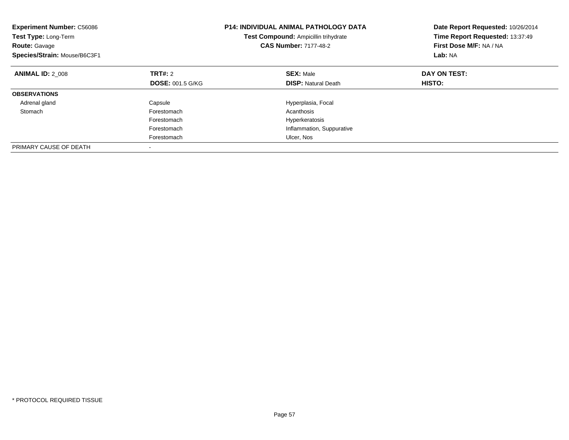| <b>Experiment Number: C56086</b><br><b>Test Type: Long-Term</b><br><b>Route: Gavage</b><br>Species/Strain: Mouse/B6C3F1 |                         | <b>P14: INDIVIDUAL ANIMAL PATHOLOGY DATA</b><br><b>Test Compound: Ampicillin trihydrate</b><br><b>CAS Number: 7177-48-2</b> | Date Report Requested: 10/26/2014<br>Time Report Requested: 13:37:49<br>First Dose M/F: NA / NA<br>Lab: NA |
|-------------------------------------------------------------------------------------------------------------------------|-------------------------|-----------------------------------------------------------------------------------------------------------------------------|------------------------------------------------------------------------------------------------------------|
| <b>ANIMAL ID: 2 008</b>                                                                                                 | TRT#: 2                 | <b>SEX: Male</b>                                                                                                            | DAY ON TEST:                                                                                               |
|                                                                                                                         | <b>DOSE: 001.5 G/KG</b> | <b>DISP:</b> Natural Death                                                                                                  | HISTO:                                                                                                     |
| <b>OBSERVATIONS</b>                                                                                                     |                         |                                                                                                                             |                                                                                                            |
| Adrenal gland                                                                                                           | Capsule                 | Hyperplasia, Focal                                                                                                          |                                                                                                            |
| Stomach                                                                                                                 | Forestomach             | Acanthosis                                                                                                                  |                                                                                                            |
|                                                                                                                         | Forestomach             | Hyperkeratosis                                                                                                              |                                                                                                            |
|                                                                                                                         | Forestomach             | Inflammation, Suppurative                                                                                                   |                                                                                                            |
|                                                                                                                         | Forestomach             | Ulcer, Nos                                                                                                                  |                                                                                                            |
| PRIMARY CAUSE OF DEATH                                                                                                  |                         |                                                                                                                             |                                                                                                            |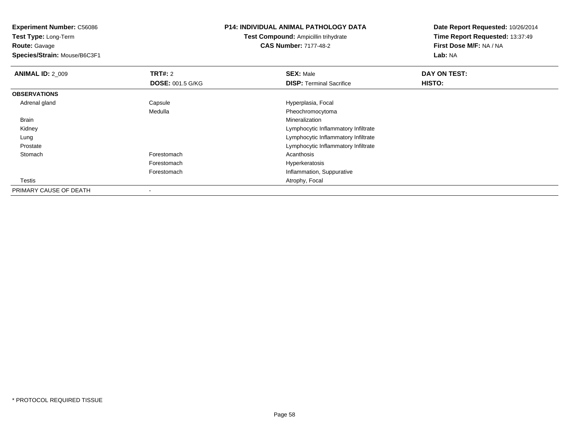**Test Type:** Long-Term**Route:** Gavage

**Species/Strain:** Mouse/B6C3F1

# **P14: INDIVIDUAL ANIMAL PATHOLOGY DATA**

**Test Compound:** Ampicillin trihydrate**CAS Number:** 7177-48-2

| <b>ANIMAL ID: 2 009</b> | TRT#: 2                 | <b>SEX: Male</b>                    | DAY ON TEST: |  |
|-------------------------|-------------------------|-------------------------------------|--------------|--|
|                         | <b>DOSE: 001.5 G/KG</b> | <b>DISP: Terminal Sacrifice</b>     | HISTO:       |  |
| <b>OBSERVATIONS</b>     |                         |                                     |              |  |
| Adrenal gland           | Capsule                 | Hyperplasia, Focal                  |              |  |
|                         | Medulla                 | Pheochromocytoma                    |              |  |
| Brain                   |                         | Mineralization                      |              |  |
| Kidney                  |                         | Lymphocytic Inflammatory Infiltrate |              |  |
| Lung                    |                         | Lymphocytic Inflammatory Infiltrate |              |  |
| Prostate                |                         | Lymphocytic Inflammatory Infiltrate |              |  |
| Stomach                 | Forestomach             | Acanthosis                          |              |  |
|                         | Forestomach             | Hyperkeratosis                      |              |  |
|                         | Forestomach             | Inflammation, Suppurative           |              |  |
| Testis                  |                         | Atrophy, Focal                      |              |  |
| PRIMARY CAUSE OF DEATH  |                         |                                     |              |  |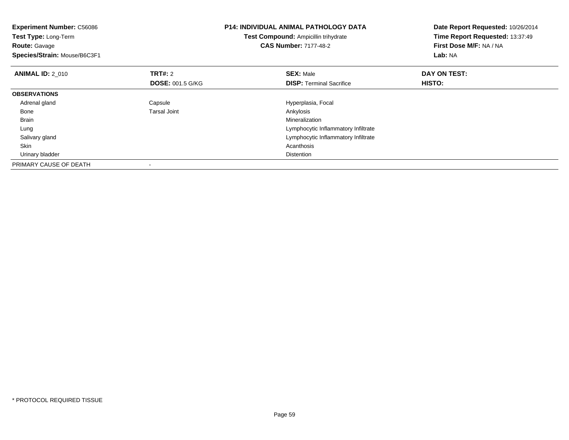| <b>Experiment Number: C56086</b><br><b>Test Type: Long-Term</b><br><b>Route: Gavage</b><br>Species/Strain: Mouse/B6C3F1 |                         | P14: INDIVIDUAL ANIMAL PATHOLOGY DATA<br><b>Test Compound: Ampicillin trihydrate</b><br><b>CAS Number: 7177-48-2</b> | Date Report Requested: 10/26/2014<br>Time Report Requested: 13:37:49<br>First Dose M/F: NA / NA<br>Lab: NA |
|-------------------------------------------------------------------------------------------------------------------------|-------------------------|----------------------------------------------------------------------------------------------------------------------|------------------------------------------------------------------------------------------------------------|
| <b>ANIMAL ID: 2 010</b>                                                                                                 | TRT#: 2                 | <b>SEX: Male</b>                                                                                                     | DAY ON TEST:                                                                                               |
|                                                                                                                         | <b>DOSE: 001.5 G/KG</b> | <b>DISP:</b> Terminal Sacrifice                                                                                      | HISTO:                                                                                                     |
| <b>OBSERVATIONS</b>                                                                                                     |                         |                                                                                                                      |                                                                                                            |
| Adrenal gland                                                                                                           | Capsule                 | Hyperplasia, Focal                                                                                                   |                                                                                                            |
| Bone                                                                                                                    | <b>Tarsal Joint</b>     | Ankylosis                                                                                                            |                                                                                                            |
| <b>Brain</b>                                                                                                            |                         | Mineralization                                                                                                       |                                                                                                            |
| Lung                                                                                                                    |                         | Lymphocytic Inflammatory Infiltrate                                                                                  |                                                                                                            |
| Salivary gland                                                                                                          |                         | Lymphocytic Inflammatory Infiltrate                                                                                  |                                                                                                            |
| Skin                                                                                                                    |                         | Acanthosis                                                                                                           |                                                                                                            |
| Urinary bladder                                                                                                         |                         | <b>Distention</b>                                                                                                    |                                                                                                            |
| PRIMARY CAUSE OF DEATH                                                                                                  |                         |                                                                                                                      |                                                                                                            |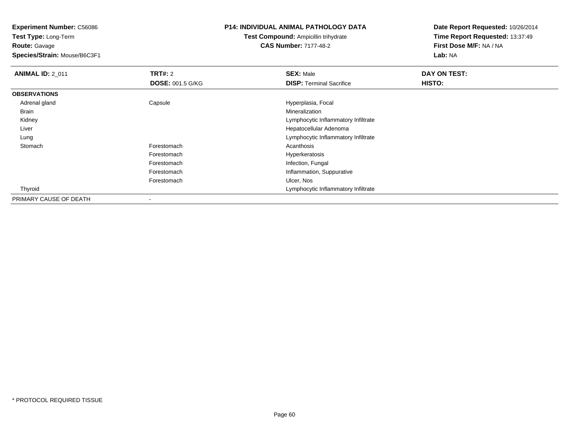**Test Type:** Long-Term**Route:** Gavage

**Species/Strain:** Mouse/B6C3F1

# **P14: INDIVIDUAL ANIMAL PATHOLOGY DATA**

**Test Compound:** Ampicillin trihydrate**CAS Number:** 7177-48-2

| <b>ANIMAL ID: 2_011</b> | TRT#: 2                  | <b>SEX: Male</b>                    | DAY ON TEST: |
|-------------------------|--------------------------|-------------------------------------|--------------|
|                         | <b>DOSE: 001.5 G/KG</b>  | <b>DISP: Terminal Sacrifice</b>     | HISTO:       |
| <b>OBSERVATIONS</b>     |                          |                                     |              |
| Adrenal gland           | Capsule                  | Hyperplasia, Focal                  |              |
| <b>Brain</b>            |                          | Mineralization                      |              |
| Kidney                  |                          | Lymphocytic Inflammatory Infiltrate |              |
| Liver                   |                          | Hepatocellular Adenoma              |              |
| Lung                    |                          | Lymphocytic Inflammatory Infiltrate |              |
| Stomach                 | Forestomach              | Acanthosis                          |              |
|                         | Forestomach              | Hyperkeratosis                      |              |
|                         | Forestomach              | Infection, Fungal                   |              |
|                         | Forestomach              | Inflammation, Suppurative           |              |
|                         | Forestomach              | Ulcer, Nos                          |              |
| Thyroid                 |                          | Lymphocytic Inflammatory Infiltrate |              |
| PRIMARY CAUSE OF DEATH  | $\overline{\phantom{a}}$ |                                     |              |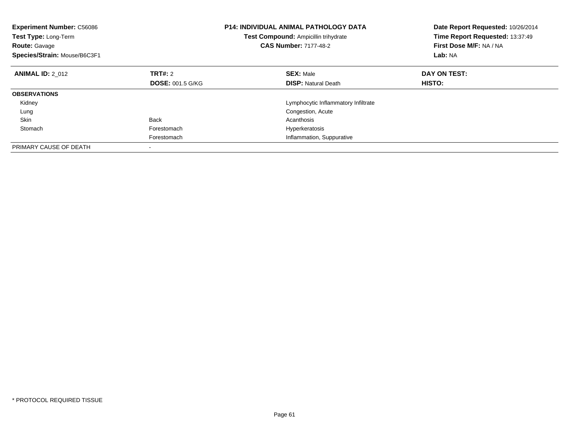| <b>Experiment Number: C56086</b><br>Test Type: Long-Term<br><b>Route: Gavage</b><br>Species/Strain: Mouse/B6C3F1 |                         | <b>P14: INDIVIDUAL ANIMAL PATHOLOGY DATA</b><br><b>Test Compound: Ampicillin trihydrate</b><br><b>CAS Number: 7177-48-2</b> | Date Report Requested: 10/26/2014<br>Time Report Requested: 13:37:49<br>First Dose M/F: NA / NA<br>Lab: NA |
|------------------------------------------------------------------------------------------------------------------|-------------------------|-----------------------------------------------------------------------------------------------------------------------------|------------------------------------------------------------------------------------------------------------|
| <b>ANIMAL ID: 2 012</b>                                                                                          | TRT#: 2                 | <b>SEX: Male</b>                                                                                                            | DAY ON TEST:                                                                                               |
|                                                                                                                  | <b>DOSE: 001.5 G/KG</b> | <b>DISP:</b> Natural Death                                                                                                  | <b>HISTO:</b>                                                                                              |
| <b>OBSERVATIONS</b>                                                                                              |                         |                                                                                                                             |                                                                                                            |
| Kidney                                                                                                           |                         | Lymphocytic Inflammatory Infiltrate                                                                                         |                                                                                                            |
| Lung                                                                                                             |                         | Congestion, Acute                                                                                                           |                                                                                                            |
| Skin                                                                                                             | <b>Back</b>             | Acanthosis                                                                                                                  |                                                                                                            |
| Stomach                                                                                                          | Forestomach             | Hyperkeratosis                                                                                                              |                                                                                                            |
|                                                                                                                  | Forestomach             | Inflammation, Suppurative                                                                                                   |                                                                                                            |
| PRIMARY CAUSE OF DEATH                                                                                           |                         |                                                                                                                             |                                                                                                            |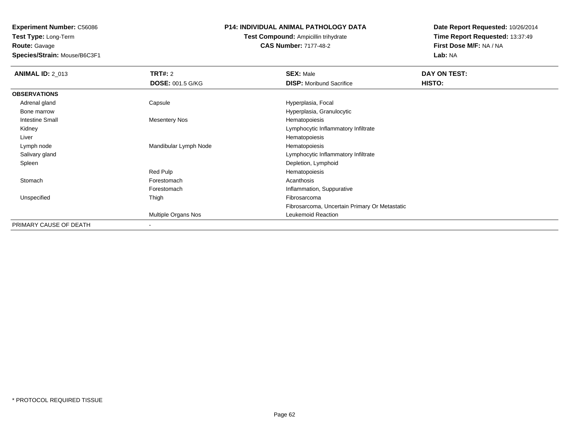**Experiment Number:** C56086**Test Type:** Long-Term

**Route:** Gavage

**Species/Strain:** Mouse/B6C3F1

## **P14: INDIVIDUAL ANIMAL PATHOLOGY DATA**

# **Test Compound:** Ampicillin trihydrate**CAS Number:** 7177-48-2

| <b>ANIMAL ID: 2_013</b> | <b>TRT#: 2</b>           | <b>SEX: Male</b>                              | DAY ON TEST: |  |
|-------------------------|--------------------------|-----------------------------------------------|--------------|--|
|                         | <b>DOSE: 001.5 G/KG</b>  | <b>DISP:</b> Moribund Sacrifice               | HISTO:       |  |
| <b>OBSERVATIONS</b>     |                          |                                               |              |  |
| Adrenal gland           | Capsule                  | Hyperplasia, Focal                            |              |  |
| Bone marrow             |                          | Hyperplasia, Granulocytic                     |              |  |
| <b>Intestine Small</b>  | <b>Mesentery Nos</b>     | Hematopoiesis                                 |              |  |
| Kidney                  |                          | Lymphocytic Inflammatory Infiltrate           |              |  |
| Liver                   |                          | Hematopoiesis                                 |              |  |
| Lymph node              | Mandibular Lymph Node    | Hematopoiesis                                 |              |  |
| Salivary gland          |                          | Lymphocytic Inflammatory Infiltrate           |              |  |
| Spleen                  |                          | Depletion, Lymphoid                           |              |  |
|                         | Red Pulp                 | Hematopoiesis                                 |              |  |
| Stomach                 | Forestomach              | Acanthosis                                    |              |  |
|                         | Forestomach              | Inflammation, Suppurative                     |              |  |
| Unspecified             | Thigh                    | Fibrosarcoma                                  |              |  |
|                         |                          | Fibrosarcoma, Uncertain Primary Or Metastatic |              |  |
|                         | Multiple Organs Nos      | Leukemoid Reaction                            |              |  |
| PRIMARY CAUSE OF DEATH  | $\overline{\phantom{a}}$ |                                               |              |  |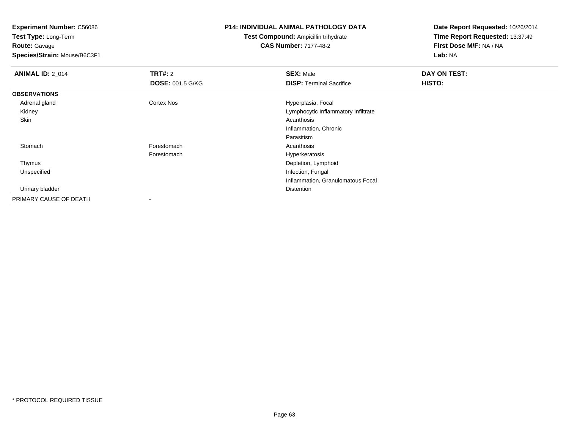**Test Type:** Long-Term**Route:** Gavage

**Species/Strain:** Mouse/B6C3F1

## **P14: INDIVIDUAL ANIMAL PATHOLOGY DATA**

**Test Compound:** Ampicillin trihydrate**CAS Number:** 7177-48-2

| <b>ANIMAL ID: 2_014</b> | <b>TRT#: 2</b>          | <b>SEX: Male</b>                    | DAY ON TEST: |  |
|-------------------------|-------------------------|-------------------------------------|--------------|--|
|                         | <b>DOSE: 001.5 G/KG</b> | <b>DISP: Terminal Sacrifice</b>     | HISTO:       |  |
| <b>OBSERVATIONS</b>     |                         |                                     |              |  |
| Adrenal gland           | <b>Cortex Nos</b>       | Hyperplasia, Focal                  |              |  |
| Kidney                  |                         | Lymphocytic Inflammatory Infiltrate |              |  |
| Skin                    |                         | Acanthosis                          |              |  |
|                         |                         | Inflammation, Chronic               |              |  |
|                         |                         | Parasitism                          |              |  |
| Stomach                 | Forestomach             | Acanthosis                          |              |  |
|                         | Forestomach             | Hyperkeratosis                      |              |  |
| Thymus                  |                         | Depletion, Lymphoid                 |              |  |
| Unspecified             |                         | Infection, Fungal                   |              |  |
|                         |                         | Inflammation, Granulomatous Focal   |              |  |
| Urinary bladder         |                         | Distention                          |              |  |
| PRIMARY CAUSE OF DEATH  |                         |                                     |              |  |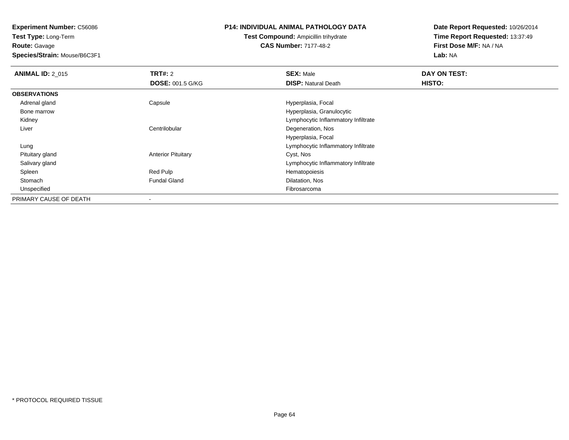**Test Type:** Long-Term**Route:** Gavage

**Species/Strain:** Mouse/B6C3F1

#### **P14: INDIVIDUAL ANIMAL PATHOLOGY DATA**

# **Test Compound:** Ampicillin trihydrate**CAS Number:** 7177-48-2

| <b>ANIMAL ID: 2 015</b> | <b>TRT#: 2</b>            | <b>SEX: Male</b>                    | DAY ON TEST: |  |
|-------------------------|---------------------------|-------------------------------------|--------------|--|
|                         | <b>DOSE: 001.5 G/KG</b>   | <b>DISP:</b> Natural Death          | HISTO:       |  |
| <b>OBSERVATIONS</b>     |                           |                                     |              |  |
| Adrenal gland           | Capsule                   | Hyperplasia, Focal                  |              |  |
| Bone marrow             |                           | Hyperplasia, Granulocytic           |              |  |
| Kidney                  |                           | Lymphocytic Inflammatory Infiltrate |              |  |
| Liver                   | Centrilobular             | Degeneration, Nos                   |              |  |
|                         |                           | Hyperplasia, Focal                  |              |  |
| Lung                    |                           | Lymphocytic Inflammatory Infiltrate |              |  |
| Pituitary gland         | <b>Anterior Pituitary</b> | Cyst, Nos                           |              |  |
| Salivary gland          |                           | Lymphocytic Inflammatory Infiltrate |              |  |
| Spleen                  | Red Pulp                  | Hematopoiesis                       |              |  |
| Stomach                 | <b>Fundal Gland</b>       | Dilatation, Nos                     |              |  |
| Unspecified             |                           | Fibrosarcoma                        |              |  |
| PRIMARY CAUSE OF DEATH  | $\blacksquare$            |                                     |              |  |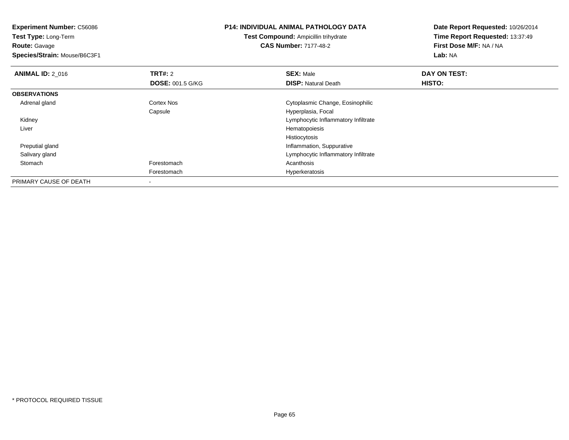**Experiment Number:** C56086**Test Type:** Long-Term**Route:** Gavage **Species/Strain:** Mouse/B6C3F1**P14: INDIVIDUAL ANIMAL PATHOLOGY DATATest Compound:** Ampicillin trihydrate**CAS Number:** 7177-48-2**Date Report Requested:** 10/26/2014**Time Report Requested:** 13:37:49**First Dose M/F:** NA / NA**Lab:** NA**ANIMAL ID: 2 016 6 DAY ON TEST: TRT#:** 2 **SEX:** Male **SEX:** Male **DOSE:** 001.5 G/KG**DISP:** Natural Death **HISTO: OBSERVATIONS** Adrenal glandCortex Nos Cytoplasmic Change, Eosinophilic Capsule Hyperplasia, Focal Kidney Lymphocytic Inflammatory Infiltrate Liver HematopoiesisHistiocytosis Inflammation, Suppurative Preputial gland Salivary gland Lymphocytic Inflammatory Infiltrate Stomachh anns an t-India anns an t-India anns an t-India anns an t-India anns an t-India anns an t-India anns an t-In Forestomach Hyperkeratosis PRIMARY CAUSE OF DEATH-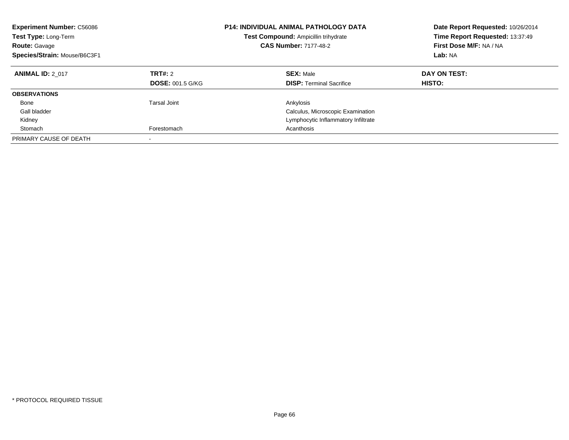| <b>Experiment Number: C56086</b><br>Test Type: Long-Term<br><b>Route: Gavage</b><br>Species/Strain: Mouse/B6C3F1 |                                    | <b>P14: INDIVIDUAL ANIMAL PATHOLOGY DATA</b><br>Test Compound: Ampicillin trihydrate<br><b>CAS Number: 7177-48-2</b> | Date Report Requested: 10/26/2014<br>Time Report Requested: 13:37:49<br>First Dose M/F: NA / NA<br>Lab: NA |
|------------------------------------------------------------------------------------------------------------------|------------------------------------|----------------------------------------------------------------------------------------------------------------------|------------------------------------------------------------------------------------------------------------|
| <b>ANIMAL ID: 2 017</b>                                                                                          | TRT#: 2<br><b>DOSE: 001.5 G/KG</b> | <b>SEX: Male</b><br><b>DISP:</b> Terminal Sacrifice                                                                  | DAY ON TEST:<br><b>HISTO:</b>                                                                              |
| <b>OBSERVATIONS</b>                                                                                              |                                    |                                                                                                                      |                                                                                                            |
| Bone                                                                                                             | Tarsal Joint                       | Ankylosis                                                                                                            |                                                                                                            |
| Gall bladder                                                                                                     |                                    | Calculus, Microscopic Examination                                                                                    |                                                                                                            |
| Kidney                                                                                                           |                                    | Lymphocytic Inflammatory Infiltrate                                                                                  |                                                                                                            |
| Stomach                                                                                                          | Forestomach                        | Acanthosis                                                                                                           |                                                                                                            |
| PRIMARY CAUSE OF DEATH                                                                                           | $\overline{\phantom{a}}$           |                                                                                                                      |                                                                                                            |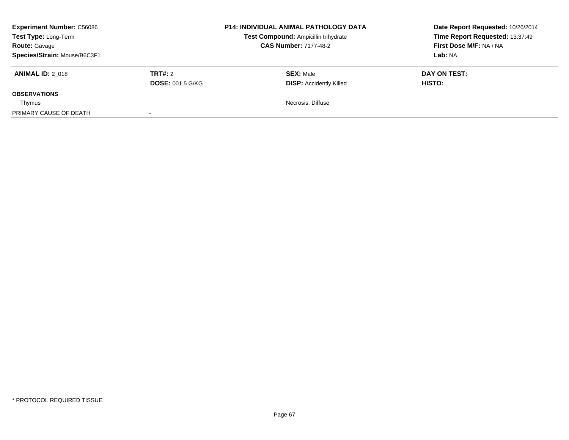| <b>Experiment Number: C56086</b><br>Test Type: Long-Term<br><b>Route: Gavage</b> |                         | <b>P14: INDIVIDUAL ANIMAL PATHOLOGY DATA</b><br>Test Compound: Ampicillin trihydrate<br><b>CAS Number: 7177-48-2</b> | Date Report Requested: 10/26/2014<br>Time Report Requested: 13:37:49<br>First Dose M/F: NA / NA |
|----------------------------------------------------------------------------------|-------------------------|----------------------------------------------------------------------------------------------------------------------|-------------------------------------------------------------------------------------------------|
| Species/Strain: Mouse/B6C3F1                                                     |                         |                                                                                                                      | Lab: NA                                                                                         |
| <b>ANIMAL ID: 2 018</b>                                                          | <b>TRT#: 2</b>          | <b>SEX: Male</b>                                                                                                     | DAY ON TEST:                                                                                    |
|                                                                                  | <b>DOSE: 001.5 G/KG</b> | <b>DISP: Accidently Killed</b>                                                                                       | <b>HISTO:</b>                                                                                   |
| <b>OBSERVATIONS</b>                                                              |                         |                                                                                                                      |                                                                                                 |
| Thymus                                                                           |                         | Necrosis, Diffuse                                                                                                    |                                                                                                 |
| PRIMARY CAUSE OF DEATH                                                           |                         |                                                                                                                      |                                                                                                 |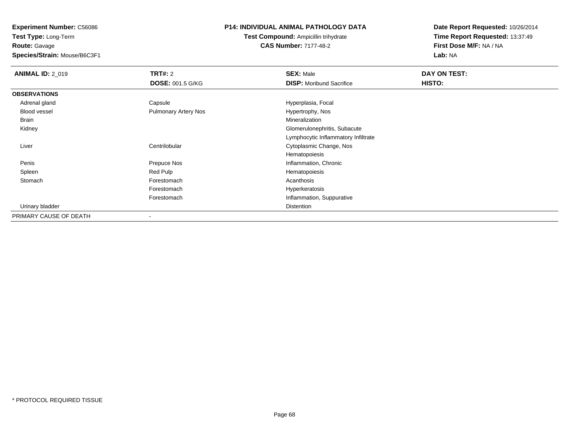**Test Type:** Long-Term**Route:** Gavage

**Species/Strain:** Mouse/B6C3F1

#### **P14: INDIVIDUAL ANIMAL PATHOLOGY DATA**

**Test Compound:** Ampicillin trihydrate**CAS Number:** 7177-48-2

| <b>ANIMAL ID: 2_019</b> | <b>TRT#: 2</b>              | <b>SEX: Male</b>                    | DAY ON TEST: |  |
|-------------------------|-----------------------------|-------------------------------------|--------------|--|
|                         | <b>DOSE: 001.5 G/KG</b>     | <b>DISP:</b> Moribund Sacrifice     | HISTO:       |  |
| <b>OBSERVATIONS</b>     |                             |                                     |              |  |
| Adrenal gland           | Capsule                     | Hyperplasia, Focal                  |              |  |
| Blood vessel            | <b>Pulmonary Artery Nos</b> | Hypertrophy, Nos                    |              |  |
| Brain                   |                             | Mineralization                      |              |  |
| Kidney                  |                             | Glomerulonephritis, Subacute        |              |  |
|                         |                             | Lymphocytic Inflammatory Infiltrate |              |  |
| Liver                   | Centrilobular               | Cytoplasmic Change, Nos             |              |  |
|                         |                             | Hematopoiesis                       |              |  |
| Penis                   | Prepuce Nos                 | Inflammation, Chronic               |              |  |
| Spleen                  | Red Pulp                    | Hematopoiesis                       |              |  |
| Stomach                 | Forestomach                 | Acanthosis                          |              |  |
|                         | Forestomach                 | Hyperkeratosis                      |              |  |
|                         | Forestomach                 | Inflammation, Suppurative           |              |  |
| Urinary bladder         |                             | Distention                          |              |  |
| PRIMARY CAUSE OF DEATH  |                             |                                     |              |  |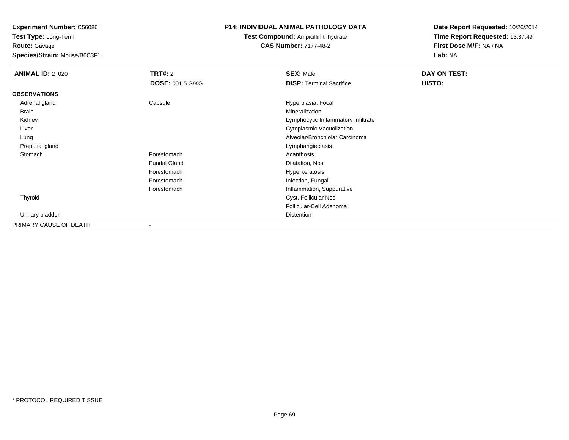**Test Type:** Long-Term**Route:** Gavage

**Species/Strain:** Mouse/B6C3F1

# **P14: INDIVIDUAL ANIMAL PATHOLOGY DATA**

# **Test Compound:** Ampicillin trihydrate**CAS Number:** 7177-48-2

| <b>ANIMAL ID: 2_020</b> | <b>TRT#:</b> 2          | <b>SEX: Male</b>                    | DAY ON TEST: |  |
|-------------------------|-------------------------|-------------------------------------|--------------|--|
|                         | <b>DOSE: 001.5 G/KG</b> | <b>DISP: Terminal Sacrifice</b>     | HISTO:       |  |
| <b>OBSERVATIONS</b>     |                         |                                     |              |  |
| Adrenal gland           | Capsule                 | Hyperplasia, Focal                  |              |  |
| Brain                   |                         | Mineralization                      |              |  |
| Kidney                  |                         | Lymphocytic Inflammatory Infiltrate |              |  |
| Liver                   |                         | Cytoplasmic Vacuolization           |              |  |
| Lung                    |                         | Alveolar/Bronchiolar Carcinoma      |              |  |
| Preputial gland         |                         | Lymphangiectasis                    |              |  |
| Stomach                 | Forestomach             | Acanthosis                          |              |  |
|                         | <b>Fundal Gland</b>     | Dilatation, Nos                     |              |  |
|                         | Forestomach             | Hyperkeratosis                      |              |  |
|                         | Forestomach             | Infection, Fungal                   |              |  |
|                         | Forestomach             | Inflammation, Suppurative           |              |  |
| Thyroid                 |                         | Cyst, Follicular Nos                |              |  |
|                         |                         | Follicular-Cell Adenoma             |              |  |
| Urinary bladder         |                         | Distention                          |              |  |
| PRIMARY CAUSE OF DEATH  | $\blacksquare$          |                                     |              |  |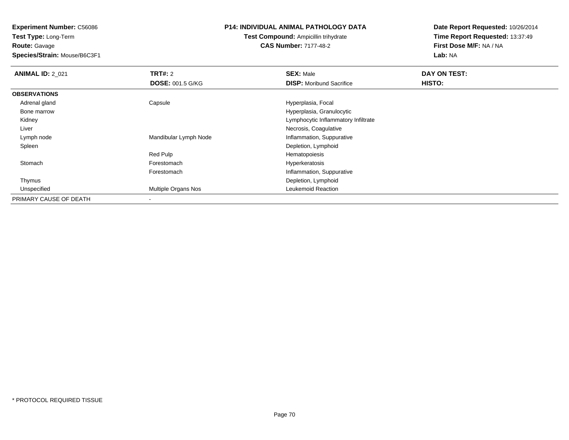**Test Type:** Long-Term**Route:** Gavage

**Species/Strain:** Mouse/B6C3F1

#### **P14: INDIVIDUAL ANIMAL PATHOLOGY DATA**

# **Test Compound:** Ampicillin trihydrate**CAS Number:** 7177-48-2

| <b>ANIMAL ID: 2_021</b> | TRT#: 2                    | <b>SEX: Male</b>                    | DAY ON TEST:  |  |
|-------------------------|----------------------------|-------------------------------------|---------------|--|
|                         | <b>DOSE: 001.5 G/KG</b>    | <b>DISP:</b> Moribund Sacrifice     | <b>HISTO:</b> |  |
| <b>OBSERVATIONS</b>     |                            |                                     |               |  |
| Adrenal gland           | Capsule                    | Hyperplasia, Focal                  |               |  |
| Bone marrow             |                            | Hyperplasia, Granulocytic           |               |  |
| Kidney                  |                            | Lymphocytic Inflammatory Infiltrate |               |  |
| Liver                   |                            | Necrosis, Coagulative               |               |  |
| Lymph node              | Mandibular Lymph Node      | Inflammation, Suppurative           |               |  |
| Spleen                  |                            | Depletion, Lymphoid                 |               |  |
|                         | Red Pulp                   | Hematopoiesis                       |               |  |
| Stomach                 | Forestomach                | Hyperkeratosis                      |               |  |
|                         | Forestomach                | Inflammation, Suppurative           |               |  |
| Thymus                  |                            | Depletion, Lymphoid                 |               |  |
| Unspecified             | <b>Multiple Organs Nos</b> | Leukemoid Reaction                  |               |  |
| PRIMARY CAUSE OF DEATH  |                            |                                     |               |  |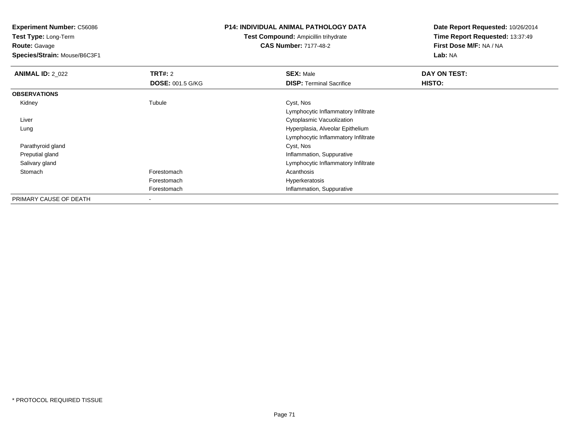**Test Type:** Long-Term**Route:** Gavage

**Species/Strain:** Mouse/B6C3F1

# **P14: INDIVIDUAL ANIMAL PATHOLOGY DATA**

**Test Compound:** Ampicillin trihydrate**CAS Number:** 7177-48-2

| <b>ANIMAL ID: 2_022</b> | <b>TRT#: 2</b>          | <b>SEX: Male</b>                    | DAY ON TEST: |
|-------------------------|-------------------------|-------------------------------------|--------------|
|                         | <b>DOSE: 001.5 G/KG</b> | <b>DISP: Terminal Sacrifice</b>     | HISTO:       |
| <b>OBSERVATIONS</b>     |                         |                                     |              |
| Kidney                  | Tubule                  | Cyst, Nos                           |              |
|                         |                         | Lymphocytic Inflammatory Infiltrate |              |
| Liver                   |                         | Cytoplasmic Vacuolization           |              |
| Lung                    |                         | Hyperplasia, Alveolar Epithelium    |              |
|                         |                         | Lymphocytic Inflammatory Infiltrate |              |
| Parathyroid gland       |                         | Cyst, Nos                           |              |
| Preputial gland         |                         | Inflammation, Suppurative           |              |
| Salivary gland          |                         | Lymphocytic Inflammatory Infiltrate |              |
| Stomach                 | Forestomach             | Acanthosis                          |              |
|                         | Forestomach             | Hyperkeratosis                      |              |
|                         | Forestomach             | Inflammation, Suppurative           |              |
| PRIMARY CAUSE OF DEATH  |                         |                                     |              |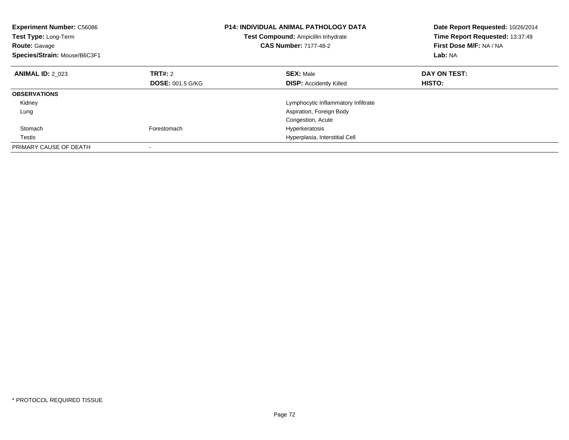| <b>Experiment Number: C56086</b><br><b>Test Type: Long-Term</b><br><b>Route: Gavage</b><br>Species/Strain: Mouse/B6C3F1 | P14: INDIVIDUAL ANIMAL PATHOLOGY DATA<br>Test Compound: Ampicillin trihydrate<br><b>CAS Number: 7177-48-2</b> |                                     | Date Report Requested: 10/26/2014<br>Time Report Requested: 13:37:49<br>First Dose M/F: NA / NA<br>Lab: NA |  |
|-------------------------------------------------------------------------------------------------------------------------|---------------------------------------------------------------------------------------------------------------|-------------------------------------|------------------------------------------------------------------------------------------------------------|--|
| <b>ANIMAL ID: 2 023</b>                                                                                                 | TRT#: 2                                                                                                       | <b>SEX: Male</b>                    | DAY ON TEST:                                                                                               |  |
|                                                                                                                         | <b>DOSE: 001.5 G/KG</b>                                                                                       | <b>DISP:</b> Accidently Killed      | <b>HISTO:</b>                                                                                              |  |
| <b>OBSERVATIONS</b>                                                                                                     |                                                                                                               |                                     |                                                                                                            |  |
| Kidney                                                                                                                  |                                                                                                               | Lymphocytic Inflammatory Infiltrate |                                                                                                            |  |
| Lung                                                                                                                    |                                                                                                               | Aspiration, Foreign Body            |                                                                                                            |  |
|                                                                                                                         |                                                                                                               | Congestion, Acute                   |                                                                                                            |  |
| Stomach                                                                                                                 | Forestomach                                                                                                   | Hyperkeratosis                      |                                                                                                            |  |
| Testis                                                                                                                  |                                                                                                               | Hyperplasia, Interstitial Cell      |                                                                                                            |  |
| PRIMARY CAUSE OF DEATH                                                                                                  |                                                                                                               |                                     |                                                                                                            |  |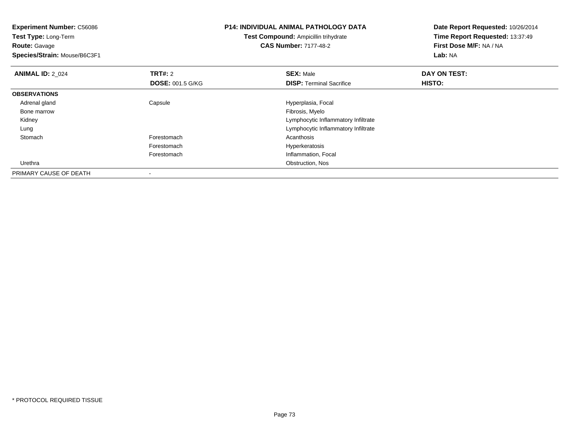| <b>Experiment Number: C56086</b><br>Test Type: Long-Term |                         | <b>P14: INDIVIDUAL ANIMAL PATHOLOGY DATA</b> | Date Report Requested: 10/26/2014 |
|----------------------------------------------------------|-------------------------|----------------------------------------------|-----------------------------------|
|                                                          |                         | Test Compound: Ampicillin trihydrate         | Time Report Requested: 13:37:49   |
| <b>Route: Gavage</b>                                     |                         | <b>CAS Number: 7177-48-2</b>                 | First Dose M/F: NA / NA           |
| Species/Strain: Mouse/B6C3F1                             |                         |                                              | Lab: NA                           |
| <b>ANIMAL ID: 2_024</b>                                  | <b>TRT#: 2</b>          | <b>SEX: Male</b>                             | DAY ON TEST:                      |
|                                                          | <b>DOSE: 001.5 G/KG</b> | <b>DISP:</b> Terminal Sacrifice              | HISTO:                            |
| <b>OBSERVATIONS</b>                                      |                         |                                              |                                   |
| Adrenal gland                                            | Capsule                 | Hyperplasia, Focal                           |                                   |
| Bone marrow                                              |                         | Fibrosis, Myelo                              |                                   |
| Kidney                                                   |                         | Lymphocytic Inflammatory Infiltrate          |                                   |
| Lung                                                     |                         | Lymphocytic Inflammatory Infiltrate          |                                   |
| Stomach                                                  | Forestomach             | Acanthosis                                   |                                   |
|                                                          | Forestomach             | Hyperkeratosis                               |                                   |
|                                                          | Forestomach             | Inflammation, Focal                          |                                   |
| Urethra                                                  |                         | Obstruction, Nos                             |                                   |
| PRIMARY CAUSE OF DEATH                                   |                         |                                              |                                   |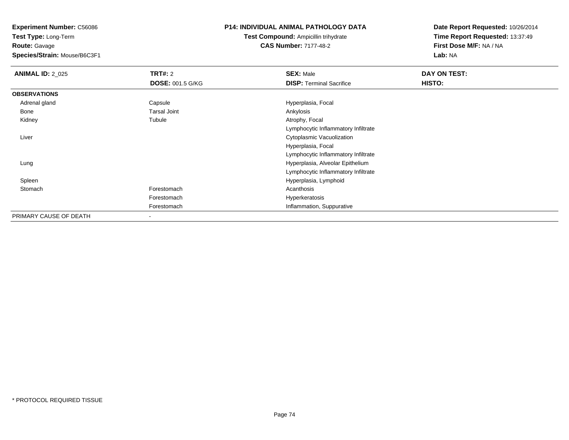**Test Type:** Long-Term**Route:** Gavage

**Species/Strain:** Mouse/B6C3F1

## **P14: INDIVIDUAL ANIMAL PATHOLOGY DATA**

**Test Compound:** Ampicillin trihydrate**CAS Number:** 7177-48-2

| <b>ANIMAL ID: 2_025</b> | <b>TRT#: 2</b>          | <b>SEX: Male</b>                    | DAY ON TEST: |  |
|-------------------------|-------------------------|-------------------------------------|--------------|--|
|                         | <b>DOSE: 001.5 G/KG</b> | <b>DISP: Terminal Sacrifice</b>     | HISTO:       |  |
| <b>OBSERVATIONS</b>     |                         |                                     |              |  |
| Adrenal gland           | Capsule                 | Hyperplasia, Focal                  |              |  |
| Bone                    | <b>Tarsal Joint</b>     | Ankylosis                           |              |  |
| Kidney                  | Tubule                  | Atrophy, Focal                      |              |  |
|                         |                         | Lymphocytic Inflammatory Infiltrate |              |  |
| Liver                   |                         | Cytoplasmic Vacuolization           |              |  |
|                         |                         | Hyperplasia, Focal                  |              |  |
|                         |                         | Lymphocytic Inflammatory Infiltrate |              |  |
| Lung                    |                         | Hyperplasia, Alveolar Epithelium    |              |  |
|                         |                         | Lymphocytic Inflammatory Infiltrate |              |  |
| Spleen                  |                         | Hyperplasia, Lymphoid               |              |  |
| Stomach                 | Forestomach             | Acanthosis                          |              |  |
|                         | Forestomach             | Hyperkeratosis                      |              |  |
|                         | Forestomach             | Inflammation, Suppurative           |              |  |
| PRIMARY CAUSE OF DEATH  | $\,$                    |                                     |              |  |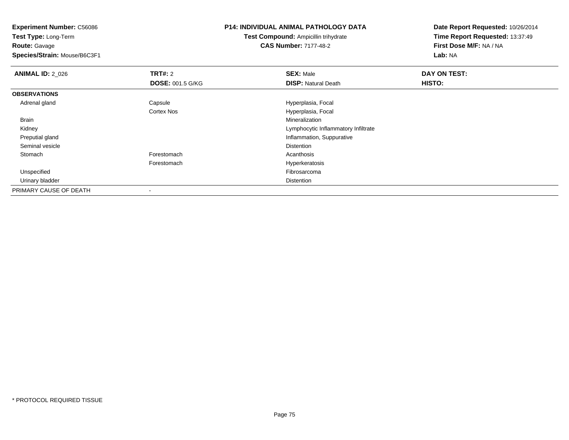**Test Type:** Long-Term**Route:** Gavage

**Species/Strain:** Mouse/B6C3F1

#### **P14: INDIVIDUAL ANIMAL PATHOLOGY DATA**

**Test Compound:** Ampicillin trihydrate**CAS Number:** 7177-48-2

| <b>ANIMAL ID: 2_026</b> | TRT#: 2                 | <b>SEX: Male</b>                    | DAY ON TEST: |
|-------------------------|-------------------------|-------------------------------------|--------------|
|                         | <b>DOSE: 001.5 G/KG</b> | <b>DISP: Natural Death</b>          | HISTO:       |
| <b>OBSERVATIONS</b>     |                         |                                     |              |
| Adrenal gland           | Capsule                 | Hyperplasia, Focal                  |              |
|                         | <b>Cortex Nos</b>       | Hyperplasia, Focal                  |              |
| <b>Brain</b>            |                         | Mineralization                      |              |
| Kidney                  |                         | Lymphocytic Inflammatory Infiltrate |              |
| Preputial gland         |                         | Inflammation, Suppurative           |              |
| Seminal vesicle         |                         | <b>Distention</b>                   |              |
| Stomach                 | Forestomach             | Acanthosis                          |              |
|                         | Forestomach             | Hyperkeratosis                      |              |
| Unspecified             |                         | Fibrosarcoma                        |              |
| Urinary bladder         |                         | Distention                          |              |
| PRIMARY CAUSE OF DEATH  |                         |                                     |              |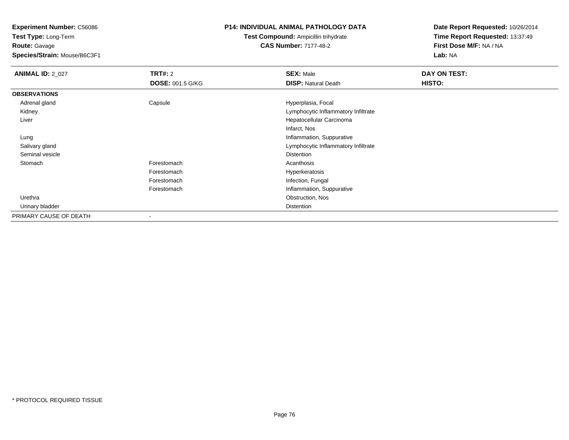**Test Type:** Long-Term**Route:** Gavage

**Species/Strain:** Mouse/B6C3F1

# **P14: INDIVIDUAL ANIMAL PATHOLOGY DATA**

**Test Compound:** Ampicillin trihydrate**CAS Number:** 7177-48-2

| <b>ANIMAL ID: 2_027</b> | <b>TRT#: 2</b>           | <b>SEX: Male</b>                    | DAY ON TEST: |
|-------------------------|--------------------------|-------------------------------------|--------------|
|                         | <b>DOSE: 001.5 G/KG</b>  | <b>DISP: Natural Death</b>          | HISTO:       |
| <b>OBSERVATIONS</b>     |                          |                                     |              |
| Adrenal gland           | Capsule                  | Hyperplasia, Focal                  |              |
| Kidney                  |                          | Lymphocytic Inflammatory Infiltrate |              |
| Liver                   |                          | Hepatocellular Carcinoma            |              |
|                         |                          | Infarct, Nos                        |              |
| Lung                    |                          | Inflammation, Suppurative           |              |
| Salivary gland          |                          | Lymphocytic Inflammatory Infiltrate |              |
| Seminal vesicle         |                          | Distention                          |              |
| Stomach                 | Forestomach              | Acanthosis                          |              |
|                         | Forestomach              | Hyperkeratosis                      |              |
|                         | Forestomach              | Infection, Fungal                   |              |
|                         | Forestomach              | Inflammation, Suppurative           |              |
| Urethra                 |                          | Obstruction, Nos                    |              |
| Urinary bladder         |                          | Distention                          |              |
| PRIMARY CAUSE OF DEATH  | $\overline{\phantom{a}}$ |                                     |              |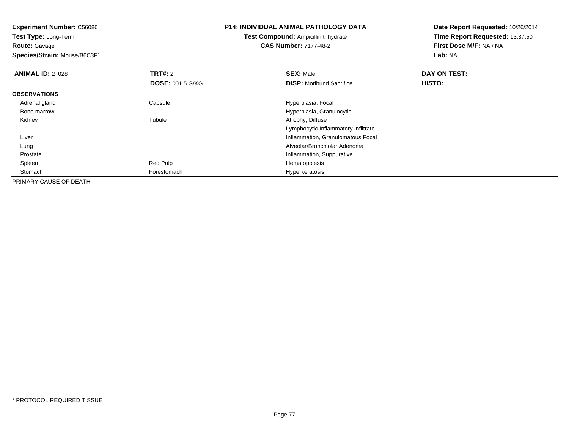**Test Type:** Long-Term**Route:** Gavage

**Species/Strain:** Mouse/B6C3F1

# **P14: INDIVIDUAL ANIMAL PATHOLOGY DATA**

**Test Compound:** Ampicillin trihydrate**CAS Number:** 7177-48-2

| <b>ANIMAL ID: 2 028</b> | <b>TRT#: 2</b>          | <b>SEX: Male</b>                    | DAY ON TEST: |  |
|-------------------------|-------------------------|-------------------------------------|--------------|--|
|                         | <b>DOSE: 001.5 G/KG</b> | <b>DISP:</b> Moribund Sacrifice     | HISTO:       |  |
| <b>OBSERVATIONS</b>     |                         |                                     |              |  |
| Adrenal gland           | Capsule                 | Hyperplasia, Focal                  |              |  |
| Bone marrow             |                         | Hyperplasia, Granulocytic           |              |  |
| Kidney                  | Tubule                  | Atrophy, Diffuse                    |              |  |
|                         |                         | Lymphocytic Inflammatory Infiltrate |              |  |
| Liver                   |                         | Inflammation, Granulomatous Focal   |              |  |
| Lung                    |                         | Alveolar/Bronchiolar Adenoma        |              |  |
| Prostate                |                         | Inflammation, Suppurative           |              |  |
| Spleen                  | Red Pulp                | Hematopoiesis                       |              |  |
| Stomach                 | Forestomach             | Hyperkeratosis                      |              |  |
| PRIMARY CAUSE OF DEATH  |                         |                                     |              |  |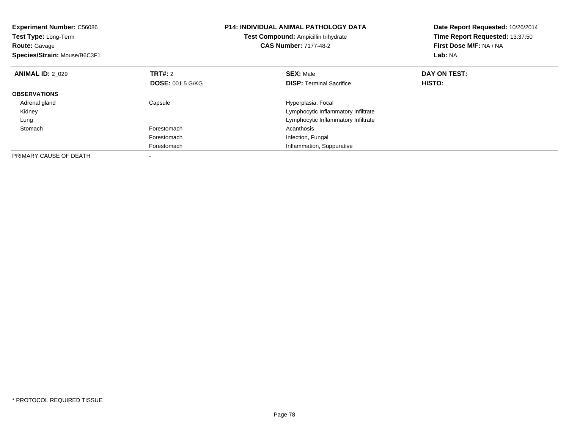| <b>Experiment Number: C56086</b><br>Test Type: Long-Term<br><b>Route: Gavage</b><br>Species/Strain: Mouse/B6C3F1 |                         | <b>P14: INDIVIDUAL ANIMAL PATHOLOGY DATA</b><br>Test Compound: Ampicillin trihydrate<br><b>CAS Number: 7177-48-2</b> | Date Report Requested: 10/26/2014<br>Time Report Requested: 13:37:50<br>First Dose M/F: NA / NA<br>Lab: NA |
|------------------------------------------------------------------------------------------------------------------|-------------------------|----------------------------------------------------------------------------------------------------------------------|------------------------------------------------------------------------------------------------------------|
| <b>ANIMAL ID: 2 029</b>                                                                                          | <b>TRT#: 2</b>          | <b>SEX: Male</b>                                                                                                     | DAY ON TEST:                                                                                               |
|                                                                                                                  | <b>DOSE: 001.5 G/KG</b> | <b>DISP:</b> Terminal Sacrifice                                                                                      | <b>HISTO:</b>                                                                                              |
| <b>OBSERVATIONS</b>                                                                                              |                         |                                                                                                                      |                                                                                                            |
| Adrenal gland                                                                                                    | Capsule                 | Hyperplasia, Focal                                                                                                   |                                                                                                            |
| Kidney                                                                                                           |                         | Lymphocytic Inflammatory Infiltrate                                                                                  |                                                                                                            |
| Lung                                                                                                             |                         | Lymphocytic Inflammatory Infiltrate                                                                                  |                                                                                                            |
| Stomach                                                                                                          | Forestomach             | Acanthosis                                                                                                           |                                                                                                            |
|                                                                                                                  | Forestomach             | Infection, Fungal                                                                                                    |                                                                                                            |
|                                                                                                                  | Forestomach             | Inflammation, Suppurative                                                                                            |                                                                                                            |
| PRIMARY CAUSE OF DEATH                                                                                           |                         |                                                                                                                      |                                                                                                            |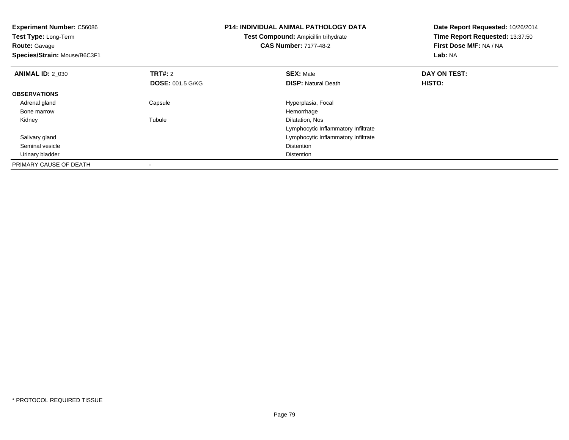| <b>Experiment Number: C56086</b><br>Test Type: Long-Term<br><b>Route: Gavage</b> |                         | <b>P14: INDIVIDUAL ANIMAL PATHOLOGY DATA</b><br><b>Test Compound: Ampicillin trihydrate</b><br><b>CAS Number: 7177-48-2</b> | Date Report Requested: 10/26/2014<br>Time Report Requested: 13:37:50<br>First Dose M/F: NA / NA |
|----------------------------------------------------------------------------------|-------------------------|-----------------------------------------------------------------------------------------------------------------------------|-------------------------------------------------------------------------------------------------|
| Species/Strain: Mouse/B6C3F1                                                     |                         |                                                                                                                             | Lab: NA                                                                                         |
| <b>ANIMAL ID: 2 030</b>                                                          | <b>TRT#:</b> 2          | <b>SEX: Male</b>                                                                                                            | DAY ON TEST:                                                                                    |
|                                                                                  | <b>DOSE: 001.5 G/KG</b> | <b>DISP:</b> Natural Death                                                                                                  | HISTO:                                                                                          |
| <b>OBSERVATIONS</b>                                                              |                         |                                                                                                                             |                                                                                                 |
| Adrenal gland                                                                    | Capsule                 | Hyperplasia, Focal                                                                                                          |                                                                                                 |
| Bone marrow                                                                      |                         | Hemorrhage                                                                                                                  |                                                                                                 |
| Kidney                                                                           | Tubule                  | Dilatation, Nos                                                                                                             |                                                                                                 |
|                                                                                  |                         | Lymphocytic Inflammatory Infiltrate                                                                                         |                                                                                                 |
| Salivary gland                                                                   |                         | Lymphocytic Inflammatory Infiltrate                                                                                         |                                                                                                 |
| Seminal vesicle                                                                  |                         | <b>Distention</b>                                                                                                           |                                                                                                 |
| Urinary bladder                                                                  |                         | <b>Distention</b>                                                                                                           |                                                                                                 |
| PRIMARY CAUSE OF DEATH                                                           |                         |                                                                                                                             |                                                                                                 |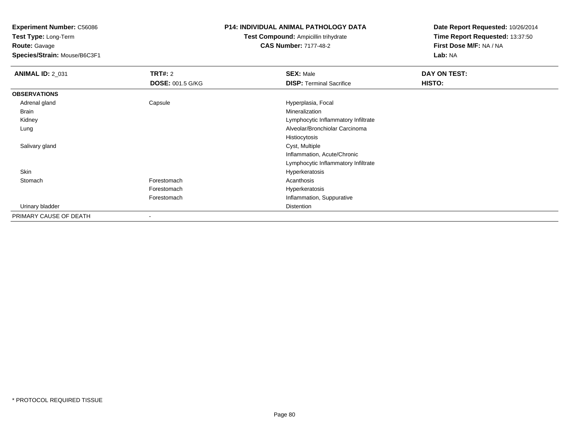**Test Type:** Long-Term**Route:** Gavage

**Species/Strain:** Mouse/B6C3F1

## **P14: INDIVIDUAL ANIMAL PATHOLOGY DATA**

**Test Compound:** Ampicillin trihydrate**CAS Number:** 7177-48-2

| <b>ANIMAL ID: 2_031</b> | <b>TRT#: 2</b>          | <b>SEX: Male</b>                    | DAY ON TEST: |
|-------------------------|-------------------------|-------------------------------------|--------------|
|                         | <b>DOSE: 001.5 G/KG</b> | <b>DISP: Terminal Sacrifice</b>     | HISTO:       |
| <b>OBSERVATIONS</b>     |                         |                                     |              |
| Adrenal gland           | Capsule                 | Hyperplasia, Focal                  |              |
| Brain                   |                         | Mineralization                      |              |
| Kidney                  |                         | Lymphocytic Inflammatory Infiltrate |              |
| Lung                    |                         | Alveolar/Bronchiolar Carcinoma      |              |
|                         |                         | Histiocytosis                       |              |
| Salivary gland          |                         | Cyst, Multiple                      |              |
|                         |                         | Inflammation, Acute/Chronic         |              |
|                         |                         | Lymphocytic Inflammatory Infiltrate |              |
| Skin                    |                         | Hyperkeratosis                      |              |
| Stomach                 | Forestomach             | Acanthosis                          |              |
|                         | Forestomach             | Hyperkeratosis                      |              |
|                         | Forestomach             | Inflammation, Suppurative           |              |
| Urinary bladder         |                         | Distention                          |              |
| PRIMARY CAUSE OF DEATH  | -                       |                                     |              |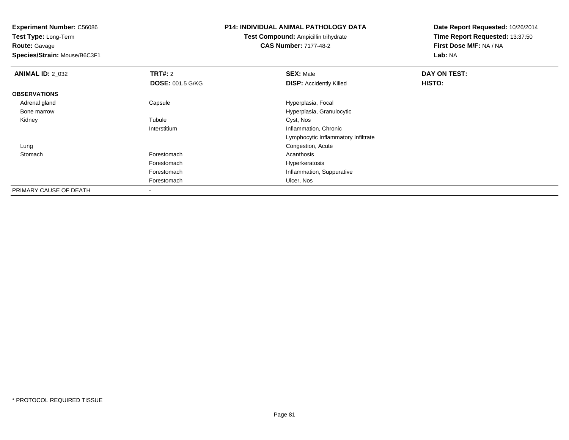**Test Type:** Long-Term**Route:** Gavage

**Species/Strain:** Mouse/B6C3F1

# **P14: INDIVIDUAL ANIMAL PATHOLOGY DATA**

**Test Compound:** Ampicillin trihydrate**CAS Number:** 7177-48-2

| <b>ANIMAL ID: 2_032</b> | <b>TRT#: 2</b>          | <b>SEX: Male</b>                    | DAY ON TEST: |  |
|-------------------------|-------------------------|-------------------------------------|--------------|--|
|                         | <b>DOSE: 001.5 G/KG</b> | <b>DISP: Accidently Killed</b>      | HISTO:       |  |
| <b>OBSERVATIONS</b>     |                         |                                     |              |  |
| Adrenal gland           | Capsule                 | Hyperplasia, Focal                  |              |  |
| Bone marrow             |                         | Hyperplasia, Granulocytic           |              |  |
| Kidney                  | Tubule                  | Cyst, Nos                           |              |  |
|                         | Interstitium            | Inflammation, Chronic               |              |  |
|                         |                         | Lymphocytic Inflammatory Infiltrate |              |  |
| Lung                    |                         | Congestion, Acute                   |              |  |
| Stomach                 | Forestomach             | Acanthosis                          |              |  |
|                         | Forestomach             | Hyperkeratosis                      |              |  |
|                         | Forestomach             | Inflammation, Suppurative           |              |  |
|                         | Forestomach             | Ulcer, Nos                          |              |  |
| PRIMARY CAUSE OF DEATH  |                         |                                     |              |  |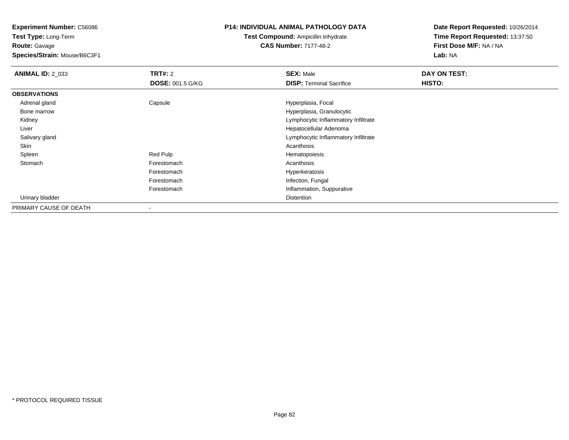**Test Type:** Long-Term**Route:** Gavage

**Species/Strain:** Mouse/B6C3F1

## **P14: INDIVIDUAL ANIMAL PATHOLOGY DATA**

**Test Compound:** Ampicillin trihydrate**CAS Number:** 7177-48-2

| <b>ANIMAL ID: 2 033</b> | TRT#: 2                 | <b>SEX: Male</b>                    | DAY ON TEST: |
|-------------------------|-------------------------|-------------------------------------|--------------|
|                         | <b>DOSE: 001.5 G/KG</b> | <b>DISP: Terminal Sacrifice</b>     | HISTO:       |
| <b>OBSERVATIONS</b>     |                         |                                     |              |
| Adrenal gland           | Capsule                 | Hyperplasia, Focal                  |              |
| Bone marrow             |                         | Hyperplasia, Granulocytic           |              |
| Kidney                  |                         | Lymphocytic Inflammatory Infiltrate |              |
| Liver                   |                         | Hepatocellular Adenoma              |              |
| Salivary gland          |                         | Lymphocytic Inflammatory Infiltrate |              |
| Skin                    |                         | Acanthosis                          |              |
| Spleen                  | Red Pulp                | Hematopoiesis                       |              |
| Stomach                 | Forestomach             | Acanthosis                          |              |
|                         | Forestomach             | Hyperkeratosis                      |              |
|                         | Forestomach             | Infection, Fungal                   |              |
|                         | Forestomach             | Inflammation, Suppurative           |              |
| Urinary bladder         |                         | Distention                          |              |
| PRIMARY CAUSE OF DEATH  |                         |                                     |              |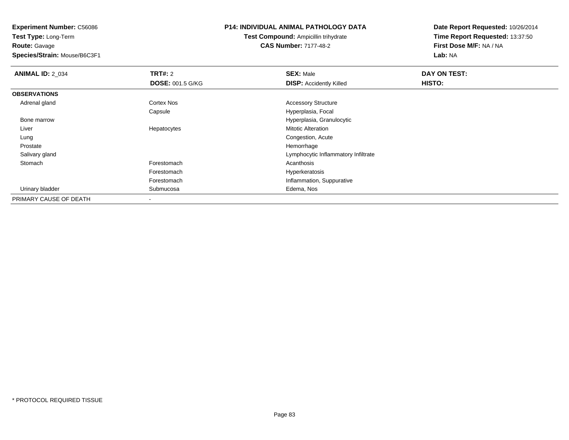**Test Type:** Long-Term**Route:** Gavage

**Species/Strain:** Mouse/B6C3F1

#### **P14: INDIVIDUAL ANIMAL PATHOLOGY DATA**

**Test Compound:** Ampicillin trihydrate**CAS Number:** 7177-48-2

| <b>ANIMAL ID: 2_034</b> | <b>TRT#: 2</b>          | <b>SEX: Male</b>                    | DAY ON TEST: |  |
|-------------------------|-------------------------|-------------------------------------|--------------|--|
|                         | <b>DOSE: 001.5 G/KG</b> | <b>DISP: Accidently Killed</b>      | HISTO:       |  |
| <b>OBSERVATIONS</b>     |                         |                                     |              |  |
| Adrenal gland           | Cortex Nos              | <b>Accessory Structure</b>          |              |  |
|                         | Capsule                 | Hyperplasia, Focal                  |              |  |
| Bone marrow             |                         | Hyperplasia, Granulocytic           |              |  |
| Liver                   | Hepatocytes             | <b>Mitotic Alteration</b>           |              |  |
| Lung                    |                         | Congestion, Acute                   |              |  |
| Prostate                |                         | Hemorrhage                          |              |  |
| Salivary gland          |                         | Lymphocytic Inflammatory Infiltrate |              |  |
| Stomach                 | Forestomach             | Acanthosis                          |              |  |
|                         | Forestomach             | Hyperkeratosis                      |              |  |
|                         | Forestomach             | Inflammation, Suppurative           |              |  |
| Urinary bladder         | Submucosa               | Edema, Nos                          |              |  |
| PRIMARY CAUSE OF DEATH  |                         |                                     |              |  |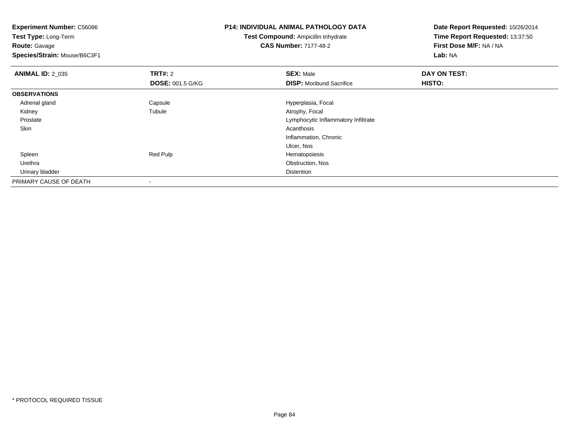**Test Type:** Long-Term**Route:** Gavage

**Species/Strain:** Mouse/B6C3F1

# **P14: INDIVIDUAL ANIMAL PATHOLOGY DATA**

**Test Compound:** Ampicillin trihydrate**CAS Number:** 7177-48-2

| <b>ANIMAL ID: 2_035</b> | <b>TRT#: 2</b>          | <b>SEX: Male</b>                    | DAY ON TEST: |  |
|-------------------------|-------------------------|-------------------------------------|--------------|--|
|                         | <b>DOSE: 001.5 G/KG</b> | <b>DISP:</b> Moribund Sacrifice     | HISTO:       |  |
| <b>OBSERVATIONS</b>     |                         |                                     |              |  |
| Adrenal gland           | Capsule                 | Hyperplasia, Focal                  |              |  |
| Kidney                  | Tubule                  | Atrophy, Focal                      |              |  |
| Prostate                |                         | Lymphocytic Inflammatory Infiltrate |              |  |
| Skin                    |                         | Acanthosis                          |              |  |
|                         |                         | Inflammation, Chronic               |              |  |
|                         |                         | Ulcer, Nos                          |              |  |
| Spleen                  | Red Pulp                | Hematopoiesis                       |              |  |
| Urethra                 |                         | Obstruction, Nos                    |              |  |
| Urinary bladder         |                         | <b>Distention</b>                   |              |  |
| PRIMARY CAUSE OF DEATH  |                         |                                     |              |  |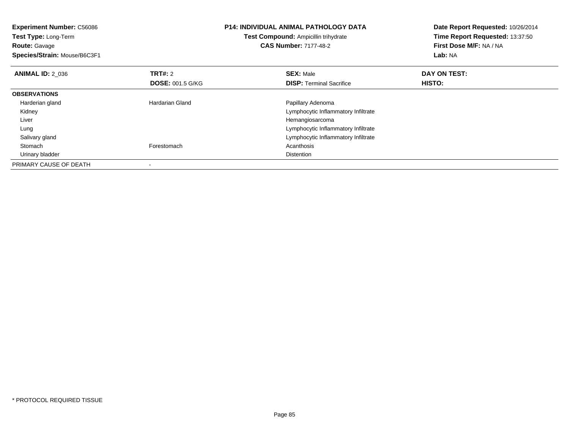| <b>Experiment Number: C56086</b><br>Test Type: Long-Term<br><b>Route: Gavage</b><br>Species/Strain: Mouse/B6C3F1 |                                    | <b>P14: INDIVIDUAL ANIMAL PATHOLOGY DATA</b><br><b>Test Compound: Ampicillin trihydrate</b><br><b>CAS Number: 7177-48-2</b> | Date Report Requested: 10/26/2014<br>Time Report Requested: 13:37:50<br>First Dose M/F: NA / NA<br>Lab: NA |
|------------------------------------------------------------------------------------------------------------------|------------------------------------|-----------------------------------------------------------------------------------------------------------------------------|------------------------------------------------------------------------------------------------------------|
| <b>ANIMAL ID: 2_036</b>                                                                                          | TRT#: 2<br><b>DOSE: 001.5 G/KG</b> | <b>SEX: Male</b><br><b>DISP:</b> Terminal Sacrifice                                                                         | DAY ON TEST:<br>HISTO:                                                                                     |
| <b>OBSERVATIONS</b>                                                                                              |                                    |                                                                                                                             |                                                                                                            |
| Harderian gland                                                                                                  | <b>Hardarian Gland</b>             | Papillary Adenoma                                                                                                           |                                                                                                            |
| Kidney                                                                                                           |                                    | Lymphocytic Inflammatory Infiltrate                                                                                         |                                                                                                            |
| Liver                                                                                                            |                                    | Hemangiosarcoma                                                                                                             |                                                                                                            |
| Lung                                                                                                             |                                    | Lymphocytic Inflammatory Infiltrate                                                                                         |                                                                                                            |
| Salivary gland                                                                                                   |                                    | Lymphocytic Inflammatory Infiltrate                                                                                         |                                                                                                            |
| Stomach                                                                                                          | Forestomach                        | Acanthosis                                                                                                                  |                                                                                                            |
| Urinary bladder                                                                                                  |                                    | <b>Distention</b>                                                                                                           |                                                                                                            |
| PRIMARY CAUSE OF DEATH                                                                                           |                                    |                                                                                                                             |                                                                                                            |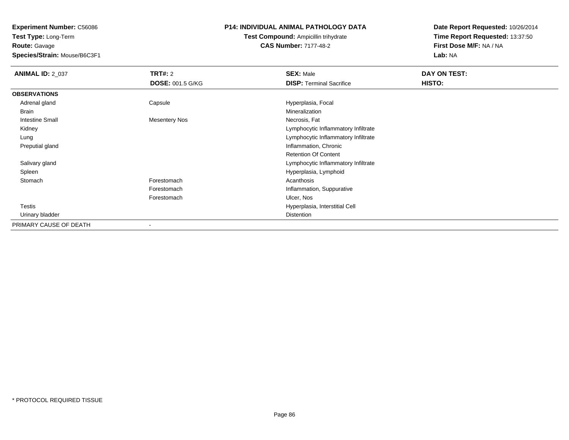**Test Type:** Long-Term**Route:** Gavage

**Species/Strain:** Mouse/B6C3F1

# **P14: INDIVIDUAL ANIMAL PATHOLOGY DATA**

**Test Compound:** Ampicillin trihydrate**CAS Number:** 7177-48-2

| <b>ANIMAL ID: 2_037</b> | TRT#: 2                  | <b>SEX: Male</b>                    | DAY ON TEST: |  |
|-------------------------|--------------------------|-------------------------------------|--------------|--|
|                         | <b>DOSE: 001.5 G/KG</b>  | <b>DISP: Terminal Sacrifice</b>     | HISTO:       |  |
| <b>OBSERVATIONS</b>     |                          |                                     |              |  |
| Adrenal gland           | Capsule                  | Hyperplasia, Focal                  |              |  |
| Brain                   |                          | Mineralization                      |              |  |
| <b>Intestine Small</b>  | <b>Mesentery Nos</b>     | Necrosis, Fat                       |              |  |
| Kidney                  |                          | Lymphocytic Inflammatory Infiltrate |              |  |
| Lung                    |                          | Lymphocytic Inflammatory Infiltrate |              |  |
| Preputial gland         |                          | Inflammation, Chronic               |              |  |
|                         |                          | <b>Retention Of Content</b>         |              |  |
| Salivary gland          |                          | Lymphocytic Inflammatory Infiltrate |              |  |
| Spleen                  |                          | Hyperplasia, Lymphoid               |              |  |
| Stomach                 | Forestomach              | Acanthosis                          |              |  |
|                         | Forestomach              | Inflammation, Suppurative           |              |  |
|                         | Forestomach              | Ulcer, Nos                          |              |  |
| Testis                  |                          | Hyperplasia, Interstitial Cell      |              |  |
| Urinary bladder         |                          | Distention                          |              |  |
| PRIMARY CAUSE OF DEATH  | $\overline{\phantom{a}}$ |                                     |              |  |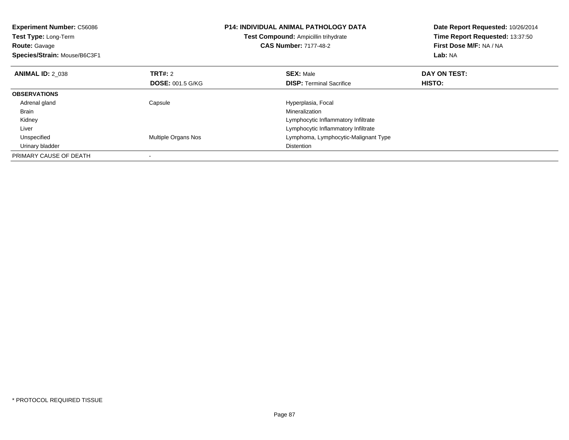| <b>Experiment Number: C56086</b><br>Test Type: Long-Term<br><b>Route: Gavage</b><br>Species/Strain: Mouse/B6C3F1 |                         | <b>P14: INDIVIDUAL ANIMAL PATHOLOGY DATA</b><br>Test Compound: Ampicillin trihydrate<br><b>CAS Number: 7177-48-2</b> | Date Report Requested: 10/26/2014<br>Time Report Requested: 13:37:50<br>First Dose M/F: NA / NA<br>Lab: NA |
|------------------------------------------------------------------------------------------------------------------|-------------------------|----------------------------------------------------------------------------------------------------------------------|------------------------------------------------------------------------------------------------------------|
| <b>ANIMAL ID: 2 038</b>                                                                                          | TRT#: 2                 | <b>SEX: Male</b>                                                                                                     | DAY ON TEST:                                                                                               |
|                                                                                                                  | <b>DOSE: 001.5 G/KG</b> | <b>DISP:</b> Terminal Sacrifice                                                                                      | HISTO:                                                                                                     |
| <b>OBSERVATIONS</b>                                                                                              |                         |                                                                                                                      |                                                                                                            |
| Adrenal gland                                                                                                    | Capsule                 | Hyperplasia, Focal                                                                                                   |                                                                                                            |
| Brain                                                                                                            |                         | Mineralization                                                                                                       |                                                                                                            |
| Kidney                                                                                                           |                         | Lymphocytic Inflammatory Infiltrate                                                                                  |                                                                                                            |
| Liver                                                                                                            |                         | Lymphocytic Inflammatory Infiltrate                                                                                  |                                                                                                            |
| Unspecified                                                                                                      | Multiple Organs Nos     | Lymphoma, Lymphocytic-Malignant Type                                                                                 |                                                                                                            |
| Urinary bladder                                                                                                  |                         | <b>Distention</b>                                                                                                    |                                                                                                            |
| PRIMARY CAUSE OF DEATH                                                                                           |                         |                                                                                                                      |                                                                                                            |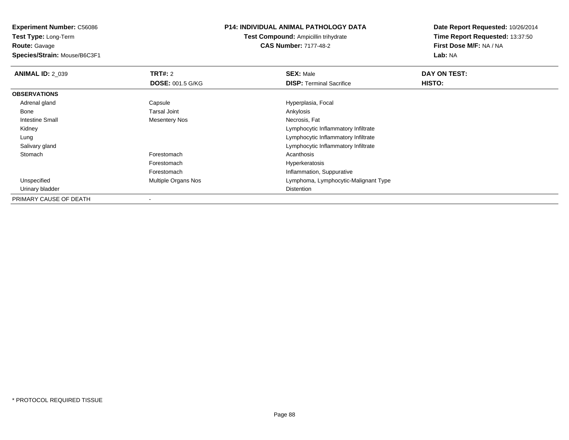**Experiment Number:** C56086**Test Type:** Long-Term

**Route:** Gavage

**Species/Strain:** Mouse/B6C3F1

## **P14: INDIVIDUAL ANIMAL PATHOLOGY DATA**

**Test Compound:** Ampicillin trihydrate**CAS Number:** 7177-48-2

| <b>ANIMAL ID: 2 039</b> | TRT#: 2                 | <b>SEX: Male</b>                     | DAY ON TEST: |  |
|-------------------------|-------------------------|--------------------------------------|--------------|--|
|                         | <b>DOSE: 001.5 G/KG</b> | <b>DISP:</b> Terminal Sacrifice      | HISTO:       |  |
| <b>OBSERVATIONS</b>     |                         |                                      |              |  |
| Adrenal gland           | Capsule                 | Hyperplasia, Focal                   |              |  |
| Bone                    | <b>Tarsal Joint</b>     | Ankylosis                            |              |  |
| <b>Intestine Small</b>  | <b>Mesentery Nos</b>    | Necrosis, Fat                        |              |  |
| Kidney                  |                         | Lymphocytic Inflammatory Infiltrate  |              |  |
| Lung                    |                         | Lymphocytic Inflammatory Infiltrate  |              |  |
| Salivary gland          |                         | Lymphocytic Inflammatory Infiltrate  |              |  |
| Stomach                 | Forestomach             | Acanthosis                           |              |  |
|                         | Forestomach             | Hyperkeratosis                       |              |  |
|                         | Forestomach             | Inflammation, Suppurative            |              |  |
| Unspecified             | Multiple Organs Nos     | Lymphoma, Lymphocytic-Malignant Type |              |  |
| Urinary bladder         |                         | <b>Distention</b>                    |              |  |
| PRIMARY CAUSE OF DEATH  |                         |                                      |              |  |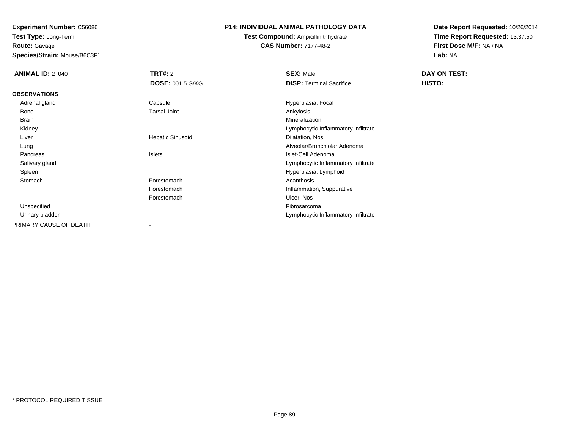**Experiment Number:** C56086**Test Type:** Long-Term

**Route:** Gavage

**Species/Strain:** Mouse/B6C3F1

# **P14: INDIVIDUAL ANIMAL PATHOLOGY DATA**

**Test Compound:** Ampicillin trihydrate**CAS Number:** 7177-48-2

| <b>ANIMAL ID: 2_040</b> | TRT#: 2                 | <b>SEX: Male</b>                    | DAY ON TEST:  |
|-------------------------|-------------------------|-------------------------------------|---------------|
|                         | <b>DOSE: 001.5 G/KG</b> | <b>DISP: Terminal Sacrifice</b>     | <b>HISTO:</b> |
| <b>OBSERVATIONS</b>     |                         |                                     |               |
| Adrenal gland           | Capsule                 | Hyperplasia, Focal                  |               |
| Bone                    | <b>Tarsal Joint</b>     | Ankylosis                           |               |
| Brain                   |                         | Mineralization                      |               |
| Kidney                  |                         | Lymphocytic Inflammatory Infiltrate |               |
| Liver                   | <b>Hepatic Sinusoid</b> | Dilatation, Nos                     |               |
| Lung                    |                         | Alveolar/Bronchiolar Adenoma        |               |
| Pancreas                | Islets                  | Islet-Cell Adenoma                  |               |
| Salivary gland          |                         | Lymphocytic Inflammatory Infiltrate |               |
| Spleen                  |                         | Hyperplasia, Lymphoid               |               |
| Stomach                 | Forestomach             | Acanthosis                          |               |
|                         | Forestomach             | Inflammation, Suppurative           |               |
|                         | Forestomach             | Ulcer, Nos                          |               |
| Unspecified             |                         | Fibrosarcoma                        |               |
| Urinary bladder         |                         | Lymphocytic Inflammatory Infiltrate |               |
| PRIMARY CAUSE OF DEATH  | -                       |                                     |               |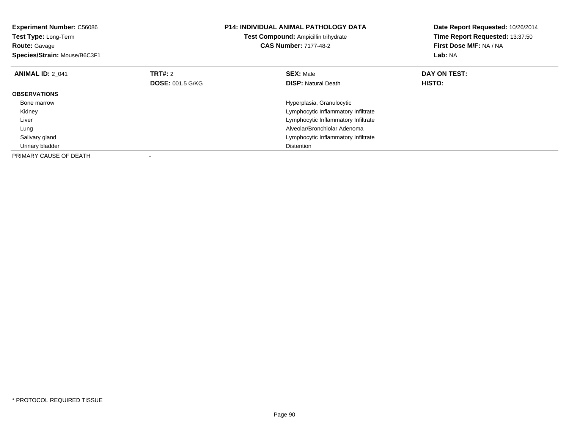| <b>Experiment Number: C56086</b><br>Test Type: Long-Term<br><b>Route: Gavage</b><br>Species/Strain: Mouse/B6C3F1 |                                    | <b>P14: INDIVIDUAL ANIMAL PATHOLOGY DATA</b><br>Test Compound: Ampicillin trihydrate<br><b>CAS Number: 7177-48-2</b> | Date Report Requested: 10/26/2014<br>Time Report Requested: 13:37:50<br>First Dose M/F: NA / NA<br>Lab: NA |
|------------------------------------------------------------------------------------------------------------------|------------------------------------|----------------------------------------------------------------------------------------------------------------------|------------------------------------------------------------------------------------------------------------|
| <b>ANIMAL ID: 2 041</b>                                                                                          | TRT#: 2<br><b>DOSE: 001.5 G/KG</b> | <b>SEX: Male</b><br><b>DISP: Natural Death</b>                                                                       | DAY ON TEST:<br>HISTO:                                                                                     |
| <b>OBSERVATIONS</b>                                                                                              |                                    |                                                                                                                      |                                                                                                            |
| Bone marrow                                                                                                      |                                    | Hyperplasia, Granulocytic                                                                                            |                                                                                                            |
| Kidney                                                                                                           |                                    | Lymphocytic Inflammatory Infiltrate                                                                                  |                                                                                                            |
| Liver                                                                                                            |                                    | Lymphocytic Inflammatory Infiltrate                                                                                  |                                                                                                            |
| Lung                                                                                                             |                                    | Alveolar/Bronchiolar Adenoma                                                                                         |                                                                                                            |
| Salivary gland                                                                                                   |                                    | Lymphocytic Inflammatory Infiltrate                                                                                  |                                                                                                            |
| Urinary bladder                                                                                                  |                                    | <b>Distention</b>                                                                                                    |                                                                                                            |
| PRIMARY CAUSE OF DEATH                                                                                           |                                    |                                                                                                                      |                                                                                                            |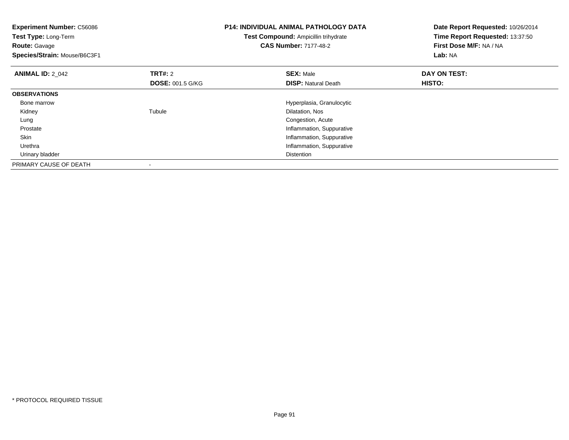| <b>Experiment Number: C56086</b><br>Test Type: Long-Term<br><b>Route: Gavage</b> |                         | P14: INDIVIDUAL ANIMAL PATHOLOGY DATA<br><b>Test Compound: Ampicillin trihydrate</b><br><b>CAS Number: 7177-48-2</b> | Date Report Requested: 10/26/2014<br>Time Report Requested: 13:37:50<br>First Dose M/F: NA / NA |
|----------------------------------------------------------------------------------|-------------------------|----------------------------------------------------------------------------------------------------------------------|-------------------------------------------------------------------------------------------------|
| Species/Strain: Mouse/B6C3F1                                                     |                         |                                                                                                                      | Lab: NA                                                                                         |
| <b>ANIMAL ID: 2_042</b>                                                          | TRT#: 2                 | <b>SEX: Male</b>                                                                                                     | DAY ON TEST:                                                                                    |
|                                                                                  | <b>DOSE: 001.5 G/KG</b> | <b>DISP: Natural Death</b>                                                                                           | HISTO:                                                                                          |
| <b>OBSERVATIONS</b>                                                              |                         |                                                                                                                      |                                                                                                 |
| Bone marrow                                                                      |                         | Hyperplasia, Granulocytic                                                                                            |                                                                                                 |
| Kidney                                                                           | Tubule                  | Dilatation, Nos                                                                                                      |                                                                                                 |
| Lung                                                                             |                         | Congestion, Acute                                                                                                    |                                                                                                 |
| Prostate                                                                         |                         | Inflammation, Suppurative                                                                                            |                                                                                                 |
| Skin                                                                             |                         | Inflammation, Suppurative                                                                                            |                                                                                                 |
| Urethra                                                                          |                         | Inflammation, Suppurative                                                                                            |                                                                                                 |
| Urinary bladder                                                                  |                         | <b>Distention</b>                                                                                                    |                                                                                                 |
| PRIMARY CAUSE OF DEATH                                                           |                         |                                                                                                                      |                                                                                                 |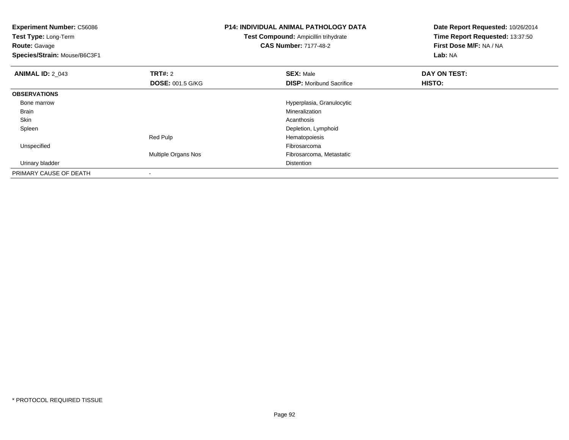**Experiment Number:** C56086**Test Type:** Long-Term**Route:** Gavage **Species/Strain:** Mouse/B6C3F1**P14: INDIVIDUAL ANIMAL PATHOLOGY DATATest Compound:** Ampicillin trihydrate**CAS Number:** 7177-48-2**Date Report Requested:** 10/26/2014**Time Report Requested:** 13:37:50**First Dose M/F:** NA / NA**Lab:** NA**ANIMAL ID:** 2\_043**TRT#:** 2 **SEX:** Male **DAY ON TEST: DOSE:** 001.5 G/KG**DISP:** Moribund Sacrifice **HISTO: OBSERVATIONS** Bone marrow Hyperplasia, Granulocytic Brainn and the control of the control of the control of the control of the control of the control of the control of the control of the control of the control of the control of the control of the control of the control of the co Skinn and the control of the control of the control of the control of the control of the control of the control of the control of the control of the control of the control of the control of the control of the control of the co Spleen Depletion, Lymphoid Red PulpHematopoiesis<br>Fibrosarcoma Unspecifiedd **Example 2018** and the control of the control of the control of the control of the control of the control of the control of the control of the control of the control of the control of the control of the control of the co Multiple Organs Nos Fibrosarcoma, Metastatic Urinary bladderr and the control of the control of the control of the control of the control of the control of the control of PRIMARY CAUSE OF DEATH-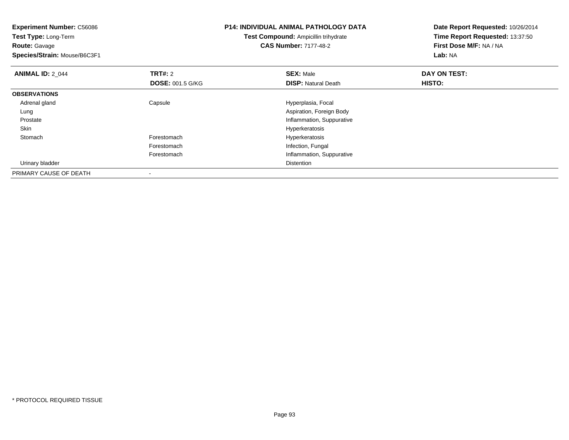| <b>Experiment Number: C56086</b><br>Test Type: Long-Term |                         | P14: INDIVIDUAL ANIMAL PATHOLOGY DATA | Date Report Requested: 10/26/2014 |
|----------------------------------------------------------|-------------------------|---------------------------------------|-----------------------------------|
|                                                          |                         | Test Compound: Ampicillin trihydrate  | Time Report Requested: 13:37:50   |
| <b>Route: Gavage</b>                                     |                         | <b>CAS Number: 7177-48-2</b>          | First Dose M/F: NA / NA           |
| Species/Strain: Mouse/B6C3F1                             |                         |                                       | Lab: NA                           |
| <b>ANIMAL ID: 2 044</b>                                  | <b>TRT#: 2</b>          | <b>SEX: Male</b>                      | DAY ON TEST:                      |
|                                                          | <b>DOSE: 001.5 G/KG</b> | <b>DISP: Natural Death</b>            | HISTO:                            |
| <b>OBSERVATIONS</b>                                      |                         |                                       |                                   |
| Adrenal gland                                            | Capsule                 | Hyperplasia, Focal                    |                                   |
| Lung                                                     |                         | Aspiration, Foreign Body              |                                   |
| Prostate                                                 |                         | Inflammation, Suppurative             |                                   |
| Skin                                                     |                         | Hyperkeratosis                        |                                   |
| Stomach                                                  | Forestomach             | Hyperkeratosis                        |                                   |
|                                                          | Forestomach             | Infection, Fungal                     |                                   |
|                                                          | Forestomach             | Inflammation, Suppurative             |                                   |
| Urinary bladder                                          |                         | Distention                            |                                   |
| PRIMARY CAUSE OF DEATH                                   |                         |                                       |                                   |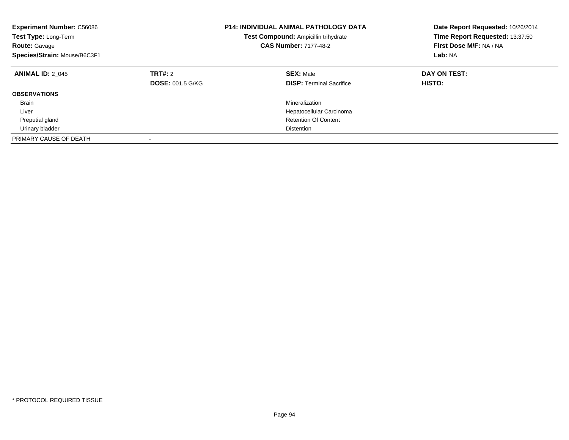| <b>Experiment Number: C56086</b><br>Test Type: Long-Term<br><b>Route: Gavage</b><br>Species/Strain: Mouse/B6C3F1 |                                    | <b>P14: INDIVIDUAL ANIMAL PATHOLOGY DATA</b><br>Test Compound: Ampicillin trihydrate<br><b>CAS Number: 7177-48-2</b> | Date Report Requested: 10/26/2014<br>Time Report Requested: 13:37:50<br>First Dose M/F: NA / NA<br>Lab: NA |
|------------------------------------------------------------------------------------------------------------------|------------------------------------|----------------------------------------------------------------------------------------------------------------------|------------------------------------------------------------------------------------------------------------|
| <b>ANIMAL ID: 2 045</b>                                                                                          | TRT#: 2<br><b>DOSE: 001.5 G/KG</b> | <b>SEX: Male</b><br><b>DISP:</b> Terminal Sacrifice                                                                  | DAY ON TEST:<br><b>HISTO:</b>                                                                              |
| <b>OBSERVATIONS</b>                                                                                              |                                    |                                                                                                                      |                                                                                                            |
| <b>Brain</b>                                                                                                     |                                    | Mineralization                                                                                                       |                                                                                                            |
| Liver                                                                                                            |                                    | Hepatocellular Carcinoma                                                                                             |                                                                                                            |
| Preputial gland                                                                                                  |                                    | <b>Retention Of Content</b>                                                                                          |                                                                                                            |
| Urinary bladder                                                                                                  |                                    | <b>Distention</b>                                                                                                    |                                                                                                            |
| PRIMARY CAUSE OF DEATH                                                                                           | $\overline{\phantom{a}}$           |                                                                                                                      |                                                                                                            |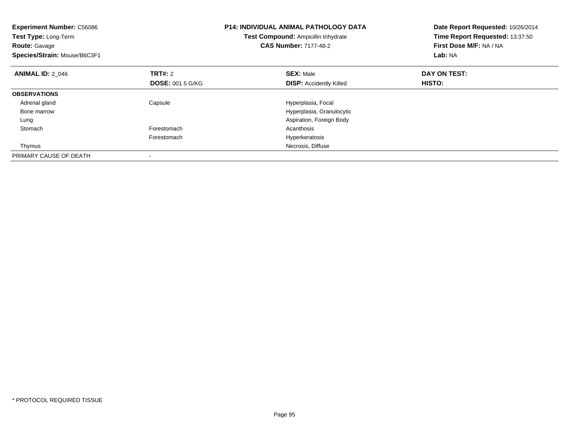| <b>Experiment Number: C56086</b><br>Test Type: Long-Term<br><b>Route: Gavage</b><br>Species/Strain: Mouse/B6C3F1 |                         | <b>P14: INDIVIDUAL ANIMAL PATHOLOGY DATA</b><br>Test Compound: Ampicillin trihydrate<br><b>CAS Number: 7177-48-2</b> | Date Report Requested: 10/26/2014<br>Time Report Requested: 13:37:50<br>First Dose M/F: NA / NA<br>Lab: NA |
|------------------------------------------------------------------------------------------------------------------|-------------------------|----------------------------------------------------------------------------------------------------------------------|------------------------------------------------------------------------------------------------------------|
| <b>ANIMAL ID: 2 046</b>                                                                                          | <b>TRT#: 2</b>          | <b>SEX: Male</b>                                                                                                     | DAY ON TEST:                                                                                               |
|                                                                                                                  | <b>DOSE: 001.5 G/KG</b> | <b>DISP: Accidently Killed</b>                                                                                       | HISTO:                                                                                                     |
| <b>OBSERVATIONS</b>                                                                                              |                         |                                                                                                                      |                                                                                                            |
| Adrenal gland                                                                                                    | Capsule                 | Hyperplasia, Focal                                                                                                   |                                                                                                            |
| Bone marrow                                                                                                      |                         | Hyperplasia, Granulocytic                                                                                            |                                                                                                            |
| Lung                                                                                                             |                         | Aspiration, Foreign Body                                                                                             |                                                                                                            |
| Stomach                                                                                                          | Forestomach             | Acanthosis                                                                                                           |                                                                                                            |
|                                                                                                                  | Forestomach             | Hyperkeratosis                                                                                                       |                                                                                                            |
| Thymus                                                                                                           |                         | Necrosis, Diffuse                                                                                                    |                                                                                                            |
| PRIMARY CAUSE OF DEATH                                                                                           |                         |                                                                                                                      |                                                                                                            |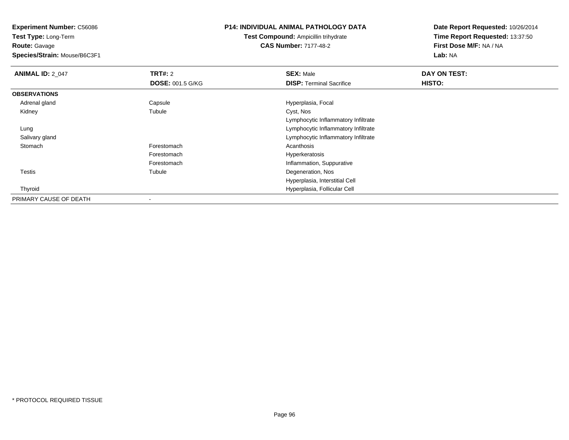**Test Type:** Long-Term**Route:** Gavage

**Species/Strain:** Mouse/B6C3F1

# **P14: INDIVIDUAL ANIMAL PATHOLOGY DATA**

**Test Compound:** Ampicillin trihydrate**CAS Number:** 7177-48-2

| <b>ANIMAL ID: 2_047</b> | <b>TRT#: 2</b>          | <b>SEX: Male</b>                    | DAY ON TEST: |  |
|-------------------------|-------------------------|-------------------------------------|--------------|--|
|                         | <b>DOSE: 001.5 G/KG</b> | <b>DISP:</b> Terminal Sacrifice     | HISTO:       |  |
| <b>OBSERVATIONS</b>     |                         |                                     |              |  |
| Adrenal gland           | Capsule                 | Hyperplasia, Focal                  |              |  |
| Kidney                  | Tubule                  | Cyst, Nos                           |              |  |
|                         |                         | Lymphocytic Inflammatory Infiltrate |              |  |
| Lung                    |                         | Lymphocytic Inflammatory Infiltrate |              |  |
| Salivary gland          |                         | Lymphocytic Inflammatory Infiltrate |              |  |
| Stomach                 | Forestomach             | Acanthosis                          |              |  |
|                         | Forestomach             | Hyperkeratosis                      |              |  |
|                         | Forestomach             | Inflammation, Suppurative           |              |  |
| <b>Testis</b>           | Tubule                  | Degeneration, Nos                   |              |  |
|                         |                         | Hyperplasia, Interstitial Cell      |              |  |
| Thyroid                 |                         | Hyperplasia, Follicular Cell        |              |  |
| PRIMARY CAUSE OF DEATH  |                         |                                     |              |  |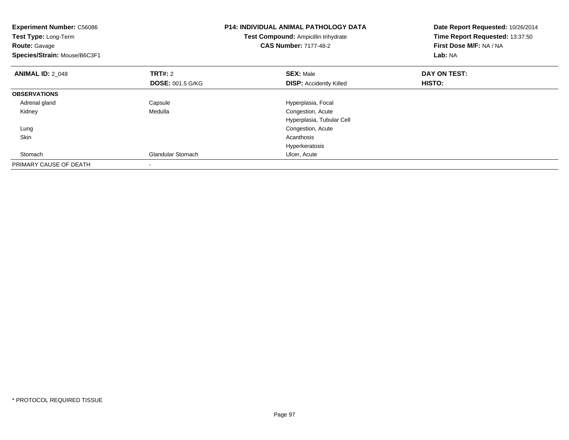| <b>Experiment Number: C56086</b><br>Test Type: Long-Term<br><b>Route: Gavage</b><br>Species/Strain: Mouse/B6C3F1 |                         | <b>P14: INDIVIDUAL ANIMAL PATHOLOGY DATA</b><br>Test Compound: Ampicillin trihydrate<br><b>CAS Number: 7177-48-2</b> | Date Report Requested: 10/26/2014<br>Time Report Requested: 13:37:50<br>First Dose M/F: NA / NA<br>Lab: NA |
|------------------------------------------------------------------------------------------------------------------|-------------------------|----------------------------------------------------------------------------------------------------------------------|------------------------------------------------------------------------------------------------------------|
| <b>ANIMAL ID: 2 048</b>                                                                                          | TRT#: 2                 | <b>SEX: Male</b>                                                                                                     | DAY ON TEST:                                                                                               |
|                                                                                                                  | <b>DOSE: 001.5 G/KG</b> | <b>DISP: Accidently Killed</b>                                                                                       | HISTO:                                                                                                     |
| <b>OBSERVATIONS</b>                                                                                              |                         |                                                                                                                      |                                                                                                            |
| Adrenal gland                                                                                                    | Capsule                 | Hyperplasia, Focal                                                                                                   |                                                                                                            |
| Kidney                                                                                                           | Medulla                 | Congestion, Acute                                                                                                    |                                                                                                            |
|                                                                                                                  |                         | Hyperplasia, Tubular Cell                                                                                            |                                                                                                            |
| Lung                                                                                                             |                         | Congestion, Acute                                                                                                    |                                                                                                            |
| Skin                                                                                                             |                         | Acanthosis                                                                                                           |                                                                                                            |
|                                                                                                                  |                         | Hyperkeratosis                                                                                                       |                                                                                                            |
| Stomach                                                                                                          | Glandular Stomach       | Ulcer, Acute                                                                                                         |                                                                                                            |
| PRIMARY CAUSE OF DEATH                                                                                           |                         |                                                                                                                      |                                                                                                            |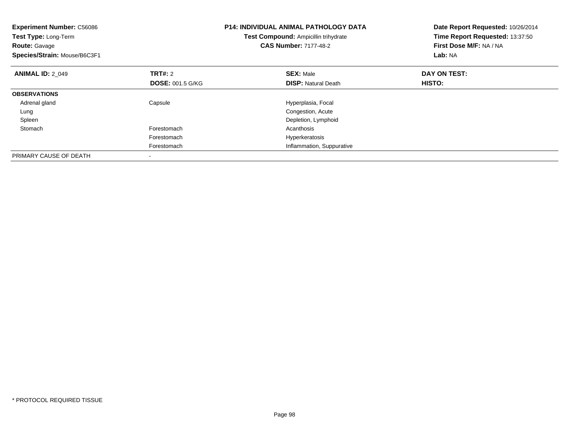| <b>Experiment Number: C56086</b><br>Test Type: Long-Term<br><b>Route: Gavage</b><br>Species/Strain: Mouse/B6C3F1 |                         | <b>P14: INDIVIDUAL ANIMAL PATHOLOGY DATA</b><br>Test Compound: Ampicillin trihydrate<br><b>CAS Number: 7177-48-2</b> | Date Report Requested: 10/26/2014<br>Time Report Requested: 13:37:50<br>First Dose M/F: NA / NA<br>Lab: NA |
|------------------------------------------------------------------------------------------------------------------|-------------------------|----------------------------------------------------------------------------------------------------------------------|------------------------------------------------------------------------------------------------------------|
| <b>ANIMAL ID: 2 049</b>                                                                                          | <b>TRT#: 2</b>          | <b>SEX: Male</b>                                                                                                     | DAY ON TEST:                                                                                               |
|                                                                                                                  | <b>DOSE: 001.5 G/KG</b> | <b>DISP:</b> Natural Death                                                                                           | <b>HISTO:</b>                                                                                              |
| <b>OBSERVATIONS</b>                                                                                              |                         |                                                                                                                      |                                                                                                            |
| Adrenal gland                                                                                                    | Capsule                 | Hyperplasia, Focal                                                                                                   |                                                                                                            |
| Lung                                                                                                             |                         | Congestion, Acute                                                                                                    |                                                                                                            |
| Spleen                                                                                                           |                         | Depletion, Lymphoid                                                                                                  |                                                                                                            |
| Stomach                                                                                                          | Forestomach             | Acanthosis                                                                                                           |                                                                                                            |
|                                                                                                                  | Forestomach             | Hyperkeratosis                                                                                                       |                                                                                                            |
|                                                                                                                  | Forestomach             | Inflammation, Suppurative                                                                                            |                                                                                                            |
| PRIMARY CAUSE OF DEATH                                                                                           |                         |                                                                                                                      |                                                                                                            |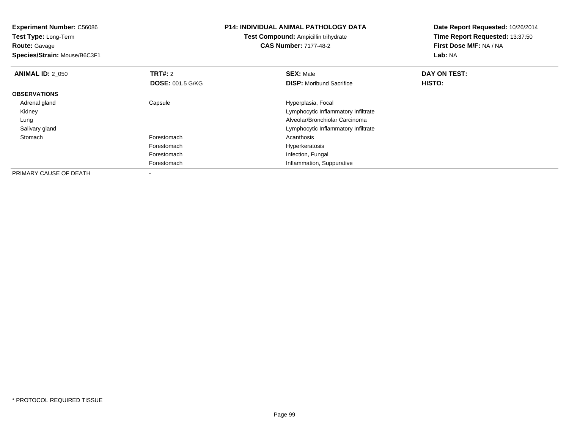| <b>Experiment Number: C56086</b><br>Test Type: Long-Term<br><b>Route: Gavage</b><br>Species/Strain: Mouse/B6C3F1 |                         | <b>P14: INDIVIDUAL ANIMAL PATHOLOGY DATA</b><br>Test Compound: Ampicillin trihydrate<br><b>CAS Number: 7177-48-2</b> | Date Report Requested: 10/26/2014<br>Time Report Requested: 13:37:50<br>First Dose M/F: NA / NA<br>Lab: NA |
|------------------------------------------------------------------------------------------------------------------|-------------------------|----------------------------------------------------------------------------------------------------------------------|------------------------------------------------------------------------------------------------------------|
| <b>ANIMAL ID: 2 050</b>                                                                                          | <b>TRT#: 2</b>          | <b>SEX: Male</b>                                                                                                     | DAY ON TEST:                                                                                               |
|                                                                                                                  | <b>DOSE: 001.5 G/KG</b> | <b>DISP:</b> Moribund Sacrifice                                                                                      | HISTO:                                                                                                     |
| <b>OBSERVATIONS</b>                                                                                              |                         |                                                                                                                      |                                                                                                            |
| Adrenal gland                                                                                                    | Capsule                 | Hyperplasia, Focal                                                                                                   |                                                                                                            |
| Kidney                                                                                                           |                         | Lymphocytic Inflammatory Infiltrate                                                                                  |                                                                                                            |
| Lung                                                                                                             |                         | Alveolar/Bronchiolar Carcinoma                                                                                       |                                                                                                            |
| Salivary gland                                                                                                   |                         | Lymphocytic Inflammatory Infiltrate                                                                                  |                                                                                                            |
| Stomach                                                                                                          | Forestomach             | Acanthosis                                                                                                           |                                                                                                            |
|                                                                                                                  | Forestomach             | Hyperkeratosis                                                                                                       |                                                                                                            |
|                                                                                                                  | Forestomach             | Infection, Fungal                                                                                                    |                                                                                                            |
|                                                                                                                  | Forestomach             | Inflammation, Suppurative                                                                                            |                                                                                                            |
| PRIMARY CAUSE OF DEATH                                                                                           |                         |                                                                                                                      |                                                                                                            |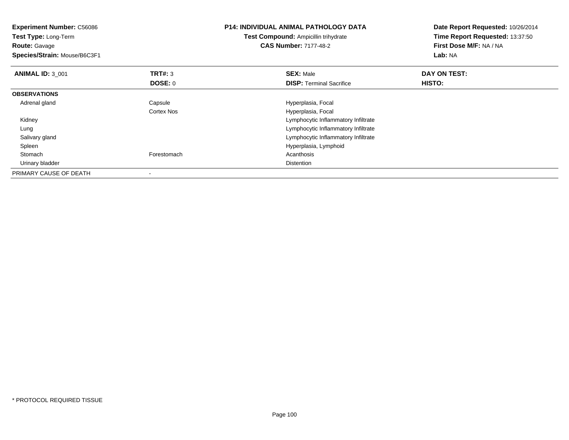| <b>Experiment Number: C56086</b><br>Test Type: Long-Term<br><b>Route: Gavage</b><br>Species/Strain: Mouse/B6C3F1 |                | <b>P14: INDIVIDUAL ANIMAL PATHOLOGY DATA</b><br><b>Test Compound: Ampicillin trihydrate</b><br><b>CAS Number: 7177-48-2</b> | Date Report Requested: 10/26/2014<br>Time Report Requested: 13:37:50<br>First Dose M/F: NA / NA<br>Lab: NA |
|------------------------------------------------------------------------------------------------------------------|----------------|-----------------------------------------------------------------------------------------------------------------------------|------------------------------------------------------------------------------------------------------------|
| <b>ANIMAL ID: 3 001</b>                                                                                          | <b>TRT#: 3</b> | <b>SEX: Male</b>                                                                                                            | DAY ON TEST:                                                                                               |
|                                                                                                                  | DOSE: 0        | <b>DISP:</b> Terminal Sacrifice                                                                                             | <b>HISTO:</b>                                                                                              |
| <b>OBSERVATIONS</b>                                                                                              |                |                                                                                                                             |                                                                                                            |
| Adrenal gland                                                                                                    | Capsule        | Hyperplasia, Focal                                                                                                          |                                                                                                            |
|                                                                                                                  | Cortex Nos     | Hyperplasia, Focal                                                                                                          |                                                                                                            |
| Kidney                                                                                                           |                | Lymphocytic Inflammatory Infiltrate                                                                                         |                                                                                                            |
| Lung                                                                                                             |                | Lymphocytic Inflammatory Infiltrate                                                                                         |                                                                                                            |
| Salivary gland                                                                                                   |                | Lymphocytic Inflammatory Infiltrate                                                                                         |                                                                                                            |
| Spleen                                                                                                           |                | Hyperplasia, Lymphoid                                                                                                       |                                                                                                            |
| Stomach                                                                                                          | Forestomach    | Acanthosis                                                                                                                  |                                                                                                            |
| Urinary bladder                                                                                                  |                | <b>Distention</b>                                                                                                           |                                                                                                            |
| PRIMARY CAUSE OF DEATH                                                                                           |                |                                                                                                                             |                                                                                                            |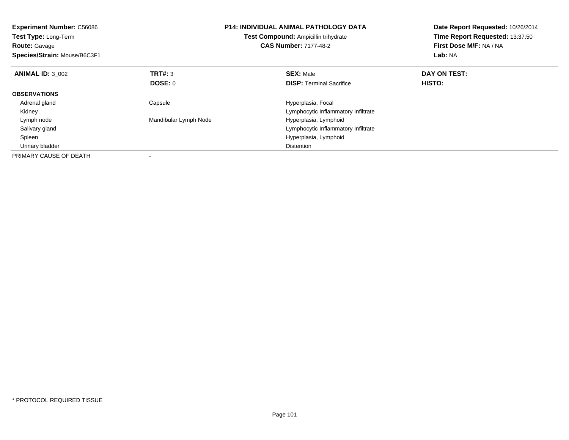| <b>Experiment Number: C56086</b><br><b>Test Type: Long-Term</b><br><b>Route: Gavage</b><br>Species/Strain: Mouse/B6C3F1 |                       | <b>P14: INDIVIDUAL ANIMAL PATHOLOGY DATA</b><br>Test Compound: Ampicillin trihydrate<br><b>CAS Number: 7177-48-2</b> | Date Report Requested: 10/26/2014<br>Time Report Requested: 13:37:50<br>First Dose M/F: NA / NA<br>Lab: NA |
|-------------------------------------------------------------------------------------------------------------------------|-----------------------|----------------------------------------------------------------------------------------------------------------------|------------------------------------------------------------------------------------------------------------|
| <b>ANIMAL ID: 3 002</b>                                                                                                 | <b>TRT#: 3</b>        | <b>SEX: Male</b>                                                                                                     | DAY ON TEST:                                                                                               |
|                                                                                                                         | DOSE: 0               | <b>DISP:</b> Terminal Sacrifice                                                                                      | HISTO:                                                                                                     |
| <b>OBSERVATIONS</b>                                                                                                     |                       |                                                                                                                      |                                                                                                            |
| Adrenal gland                                                                                                           | Capsule               | Hyperplasia, Focal                                                                                                   |                                                                                                            |
| Kidney                                                                                                                  |                       | Lymphocytic Inflammatory Infiltrate                                                                                  |                                                                                                            |
| Lymph node                                                                                                              | Mandibular Lymph Node | Hyperplasia, Lymphoid                                                                                                |                                                                                                            |
| Salivary gland                                                                                                          |                       | Lymphocytic Inflammatory Infiltrate                                                                                  |                                                                                                            |
| Spleen                                                                                                                  |                       | Hyperplasia, Lymphoid                                                                                                |                                                                                                            |
| Urinary bladder                                                                                                         |                       | <b>Distention</b>                                                                                                    |                                                                                                            |
| PRIMARY CAUSE OF DEATH                                                                                                  |                       |                                                                                                                      |                                                                                                            |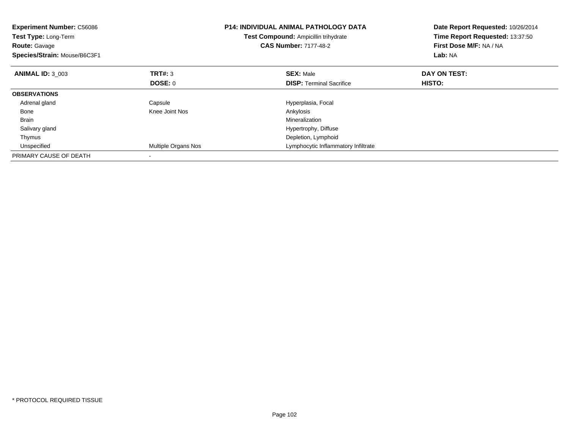| <b>Experiment Number: C56086</b><br>Test Type: Long-Term<br><b>Route: Gavage</b><br>Species/Strain: Mouse/B6C3F1 |                     | <b>P14: INDIVIDUAL ANIMAL PATHOLOGY DATA</b><br>Test Compound: Ampicillin trihydrate<br><b>CAS Number: 7177-48-2</b> | Date Report Requested: 10/26/2014<br>Time Report Requested: 13:37:50<br>First Dose M/F: NA / NA<br>Lab: NA |
|------------------------------------------------------------------------------------------------------------------|---------------------|----------------------------------------------------------------------------------------------------------------------|------------------------------------------------------------------------------------------------------------|
| <b>ANIMAL ID: 3 003</b>                                                                                          | TRT#: 3             | <b>SEX: Male</b>                                                                                                     | DAY ON TEST:                                                                                               |
|                                                                                                                  | <b>DOSE: 0</b>      | <b>DISP:</b> Terminal Sacrifice                                                                                      | HISTO:                                                                                                     |
| <b>OBSERVATIONS</b>                                                                                              |                     |                                                                                                                      |                                                                                                            |
| Adrenal gland                                                                                                    | Capsule             | Hyperplasia, Focal                                                                                                   |                                                                                                            |
| Bone                                                                                                             | Knee Joint Nos      | Ankylosis                                                                                                            |                                                                                                            |
| <b>Brain</b>                                                                                                     |                     | Mineralization                                                                                                       |                                                                                                            |
| Salivary gland                                                                                                   |                     | Hypertrophy, Diffuse                                                                                                 |                                                                                                            |
| Thymus                                                                                                           |                     | Depletion, Lymphoid                                                                                                  |                                                                                                            |
| Unspecified                                                                                                      | Multiple Organs Nos | Lymphocytic Inflammatory Infiltrate                                                                                  |                                                                                                            |
| PRIMARY CAUSE OF DEATH                                                                                           |                     |                                                                                                                      |                                                                                                            |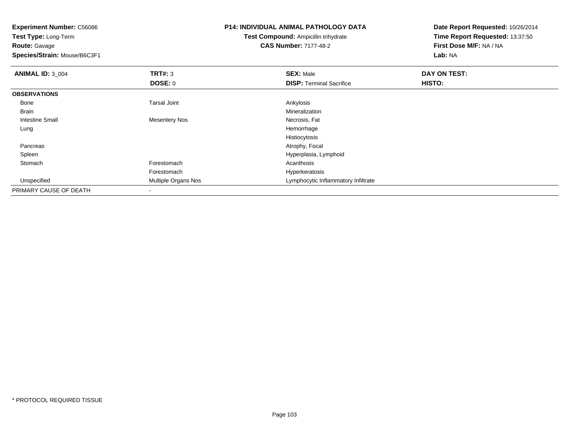**Experiment Number:** C56086**Test Type:** Long-Term**Route:** Gavage **Species/Strain:** Mouse/B6C3F1**P14: INDIVIDUAL ANIMAL PATHOLOGY DATATest Compound:** Ampicillin trihydrate**CAS Number:** 7177-48-2**Date Report Requested:** 10/26/2014**Time Report Requested:** 13:37:50**First Dose M/F:** NA / NA**Lab:** NA**ANIMAL ID:** 3\_004 **TRT#:** <sup>3</sup> **SEX:** Male **DAY ON TEST: DOSE:** 0**DISP:** Terminal Sacrifice **HISTO: OBSERVATIONS** Bonee and the set of the set of the set of the set of the set of the set of the set of the set of the set of the s Brainn and the control of the control of the control of the control of the control of the control of the control of the control of the control of the control of the control of the control of the control of the control of the co Intestine Small Mesentery Nos Necrosis, Fat Lungg and the state of the state of the state of the state of the state of the state of the state of the state of the state of the state of the state of the state of the state of the state of the state of the state of the stat Histiocytosiss and the contract of the contract of the contract of the contract of the contract of the contract of the contract of the contract of the contract of the contract of the contract of the contract of the contract of the cont Pancreas Spleen Hyperplasia, Lymphoid Stomachh anns an t-India anns an t-India anns an t-India anns an t-India anns an t-India anns an t-India anns an t-In Forestomach Hyperkeratosis UnspecifiedLymphocytic Inflammatory Infiltrate PRIMARY CAUSE OF DEATH-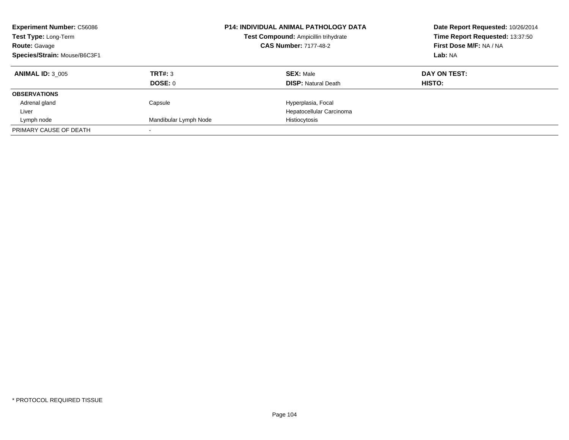| <b>Experiment Number: C56086</b><br>Test Type: Long-Term<br><b>Route: Gavage</b><br>Species/Strain: Mouse/B6C3F1 |                       | <b>P14: INDIVIDUAL ANIMAL PATHOLOGY DATA</b><br>Test Compound: Ampicillin trihydrate<br><b>CAS Number: 7177-48-2</b> | Date Report Requested: 10/26/2014<br>Time Report Requested: 13:37:50<br>First Dose M/F: NA / NA<br>Lab: NA |  |
|------------------------------------------------------------------------------------------------------------------|-----------------------|----------------------------------------------------------------------------------------------------------------------|------------------------------------------------------------------------------------------------------------|--|
| <b>ANIMAL ID: 3 005</b>                                                                                          | TRT#: 3               | <b>SEX: Male</b>                                                                                                     | DAY ON TEST:                                                                                               |  |
|                                                                                                                  | DOSE: 0               | <b>DISP:</b> Natural Death                                                                                           | HISTO:                                                                                                     |  |
| <b>OBSERVATIONS</b>                                                                                              |                       |                                                                                                                      |                                                                                                            |  |
| Adrenal gland                                                                                                    | Capsule               | Hyperplasia, Focal                                                                                                   |                                                                                                            |  |
| Liver                                                                                                            |                       | Hepatocellular Carcinoma                                                                                             |                                                                                                            |  |
| Lymph node                                                                                                       | Mandibular Lymph Node | Histiocytosis                                                                                                        |                                                                                                            |  |
| PRIMARY CAUSE OF DEATH                                                                                           |                       |                                                                                                                      |                                                                                                            |  |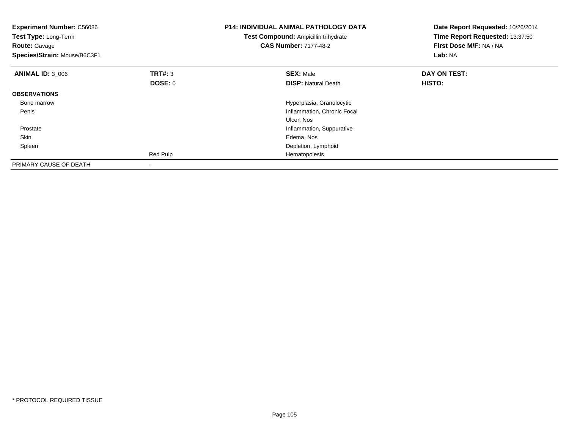| <b>Experiment Number: C56086</b><br>Test Type: Long-Term<br><b>Route: Gavage</b><br>Species/Strain: Mouse/B6C3F1 |                           | <b>P14: INDIVIDUAL ANIMAL PATHOLOGY DATA</b><br>Test Compound: Ampicillin trihydrate<br><b>CAS Number: 7177-48-2</b> | Date Report Requested: 10/26/2014<br>Time Report Requested: 13:37:50<br>First Dose M/F: NA / NA<br>Lab: NA |
|------------------------------------------------------------------------------------------------------------------|---------------------------|----------------------------------------------------------------------------------------------------------------------|------------------------------------------------------------------------------------------------------------|
| <b>ANIMAL ID: 3 006</b>                                                                                          | TRT#: 3<br><b>DOSE: 0</b> | <b>SEX: Male</b><br><b>DISP:</b> Natural Death                                                                       | DAY ON TEST:<br><b>HISTO:</b>                                                                              |
| <b>OBSERVATIONS</b>                                                                                              |                           |                                                                                                                      |                                                                                                            |
| Bone marrow                                                                                                      |                           | Hyperplasia, Granulocytic                                                                                            |                                                                                                            |
| Penis                                                                                                            |                           | Inflammation, Chronic Focal                                                                                          |                                                                                                            |
|                                                                                                                  |                           | Ulcer, Nos                                                                                                           |                                                                                                            |
| Prostate                                                                                                         |                           | Inflammation, Suppurative                                                                                            |                                                                                                            |
| Skin                                                                                                             |                           | Edema, Nos                                                                                                           |                                                                                                            |
| Spleen                                                                                                           |                           | Depletion, Lymphoid                                                                                                  |                                                                                                            |
|                                                                                                                  | Red Pulp                  | Hematopoiesis                                                                                                        |                                                                                                            |
| PRIMARY CAUSE OF DEATH                                                                                           |                           |                                                                                                                      |                                                                                                            |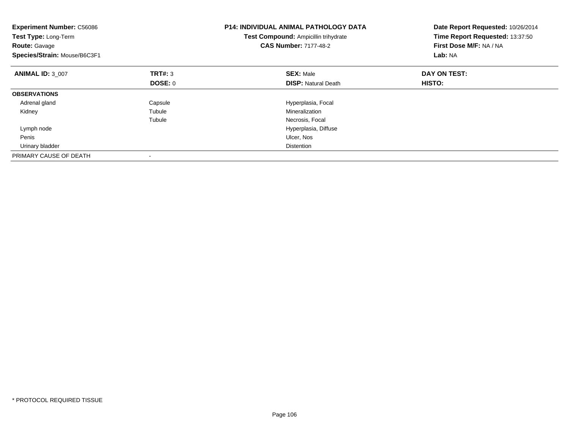| <b>Experiment Number: C56086</b><br>Test Type: Long-Term<br><b>Route: Gavage</b><br>Species/Strain: Mouse/B6C3F1 |                | <b>P14: INDIVIDUAL ANIMAL PATHOLOGY DATA</b><br>Test Compound: Ampicillin trihydrate<br><b>CAS Number: 7177-48-2</b> | Date Report Requested: 10/26/2014<br>Time Report Requested: 13:37:50<br>First Dose M/F: NA / NA<br>Lab: NA |
|------------------------------------------------------------------------------------------------------------------|----------------|----------------------------------------------------------------------------------------------------------------------|------------------------------------------------------------------------------------------------------------|
| <b>ANIMAL ID: 3 007</b>                                                                                          | <b>TRT#: 3</b> | <b>SEX: Male</b>                                                                                                     | DAY ON TEST:                                                                                               |
|                                                                                                                  | <b>DOSE: 0</b> | <b>DISP:</b> Natural Death                                                                                           | HISTO:                                                                                                     |
| <b>OBSERVATIONS</b>                                                                                              |                |                                                                                                                      |                                                                                                            |
| Adrenal gland                                                                                                    | Capsule        | Hyperplasia, Focal                                                                                                   |                                                                                                            |
| Kidney                                                                                                           | Tubule         | Mineralization                                                                                                       |                                                                                                            |
|                                                                                                                  | Tubule         | Necrosis, Focal                                                                                                      |                                                                                                            |
| Lymph node                                                                                                       |                | Hyperplasia, Diffuse                                                                                                 |                                                                                                            |
| Penis                                                                                                            |                | Ulcer, Nos                                                                                                           |                                                                                                            |
| Urinary bladder                                                                                                  |                | <b>Distention</b>                                                                                                    |                                                                                                            |
| PRIMARY CAUSE OF DEATH                                                                                           |                |                                                                                                                      |                                                                                                            |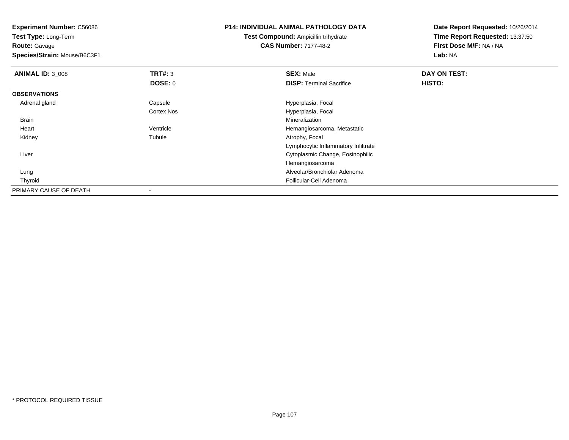**Test Type:** Long-Term**Route:** Gavage

**Species/Strain:** Mouse/B6C3F1

#### **P14: INDIVIDUAL ANIMAL PATHOLOGY DATA**

**Test Compound:** Ampicillin trihydrate**CAS Number:** 7177-48-2

| <b>ANIMAL ID: 3 008</b> | TRT#: 3           | <b>SEX: Male</b>                    | DAY ON TEST: |  |
|-------------------------|-------------------|-------------------------------------|--------------|--|
|                         | <b>DOSE: 0</b>    | <b>DISP: Terminal Sacrifice</b>     | HISTO:       |  |
| <b>OBSERVATIONS</b>     |                   |                                     |              |  |
| Adrenal gland           | Capsule           | Hyperplasia, Focal                  |              |  |
|                         | <b>Cortex Nos</b> | Hyperplasia, Focal                  |              |  |
| <b>Brain</b>            |                   | Mineralization                      |              |  |
| Heart                   | Ventricle         | Hemangiosarcoma, Metastatic         |              |  |
| Kidney                  | Tubule            | Atrophy, Focal                      |              |  |
|                         |                   | Lymphocytic Inflammatory Infiltrate |              |  |
| Liver                   |                   | Cytoplasmic Change, Eosinophilic    |              |  |
|                         |                   | Hemangiosarcoma                     |              |  |
| Lung                    |                   | Alveolar/Bronchiolar Adenoma        |              |  |
| Thyroid                 |                   | Follicular-Cell Adenoma             |              |  |
| PRIMARY CAUSE OF DEATH  |                   |                                     |              |  |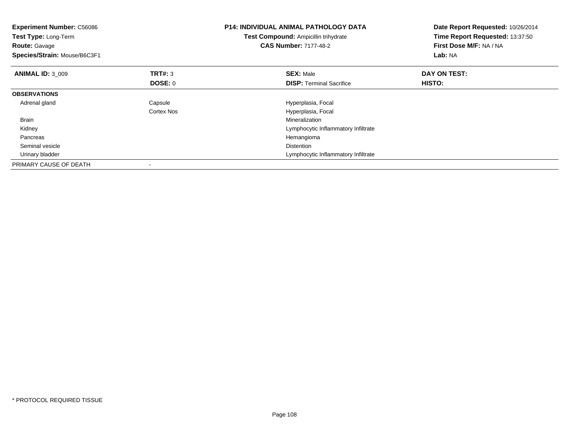| <b>Experiment Number: C56086</b><br>Test Type: Long-Term<br><b>Route: Gavage</b><br>Species/Strain: Mouse/B6C3F1 |                           | <b>P14: INDIVIDUAL ANIMAL PATHOLOGY DATA</b><br>Test Compound: Ampicillin trihydrate<br><b>CAS Number: 7177-48-2</b> | Date Report Requested: 10/26/2014<br>Time Report Requested: 13:37:50<br>First Dose M/F: NA / NA<br>Lab: NA |
|------------------------------------------------------------------------------------------------------------------|---------------------------|----------------------------------------------------------------------------------------------------------------------|------------------------------------------------------------------------------------------------------------|
| <b>ANIMAL ID: 3 009</b>                                                                                          | <b>TRT#: 3</b><br>DOSE: 0 | <b>SEX: Male</b><br><b>DISP:</b> Terminal Sacrifice                                                                  | DAY ON TEST:<br>HISTO:                                                                                     |
| <b>OBSERVATIONS</b>                                                                                              |                           |                                                                                                                      |                                                                                                            |
|                                                                                                                  |                           |                                                                                                                      |                                                                                                            |
| Adrenal gland                                                                                                    | Capsule                   | Hyperplasia, Focal                                                                                                   |                                                                                                            |
|                                                                                                                  | Cortex Nos                | Hyperplasia, Focal                                                                                                   |                                                                                                            |
| <b>Brain</b>                                                                                                     |                           | Mineralization                                                                                                       |                                                                                                            |
| Kidney                                                                                                           |                           | Lymphocytic Inflammatory Infiltrate                                                                                  |                                                                                                            |
| Pancreas                                                                                                         |                           | Hemangioma                                                                                                           |                                                                                                            |
| Seminal vesicle                                                                                                  |                           | <b>Distention</b>                                                                                                    |                                                                                                            |
| Urinary bladder                                                                                                  |                           | Lymphocytic Inflammatory Infiltrate                                                                                  |                                                                                                            |
| PRIMARY CAUSE OF DEATH                                                                                           |                           |                                                                                                                      |                                                                                                            |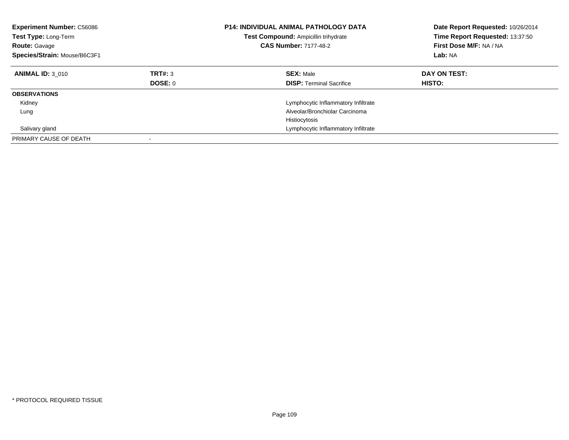| <b>Experiment Number: C56086</b><br><b>Test Type: Long-Term</b><br><b>Route: Gavage</b><br>Species/Strain: Mouse/B6C3F1 |                           | <b>P14: INDIVIDUAL ANIMAL PATHOLOGY DATA</b><br>Test Compound: Ampicillin trihydrate<br><b>CAS Number: 7177-48-2</b> | Date Report Requested: 10/26/2014<br>Time Report Requested: 13:37:50<br>First Dose M/F: NA / NA<br>Lab: NA |
|-------------------------------------------------------------------------------------------------------------------------|---------------------------|----------------------------------------------------------------------------------------------------------------------|------------------------------------------------------------------------------------------------------------|
| <b>ANIMAL ID: 3 010</b>                                                                                                 | TRT#: 3<br><b>DOSE: 0</b> | <b>SEX: Male</b><br><b>DISP:</b> Terminal Sacrifice                                                                  | DAY ON TEST:<br>HISTO:                                                                                     |
| <b>OBSERVATIONS</b>                                                                                                     |                           |                                                                                                                      |                                                                                                            |
| Kidney                                                                                                                  |                           | Lymphocytic Inflammatory Infiltrate                                                                                  |                                                                                                            |
| Lung                                                                                                                    |                           | Alveolar/Bronchiolar Carcinoma                                                                                       |                                                                                                            |
|                                                                                                                         |                           | Histiocytosis                                                                                                        |                                                                                                            |
| Salivary gland                                                                                                          |                           | Lymphocytic Inflammatory Infiltrate                                                                                  |                                                                                                            |
| PRIMARY CAUSE OF DEATH                                                                                                  |                           |                                                                                                                      |                                                                                                            |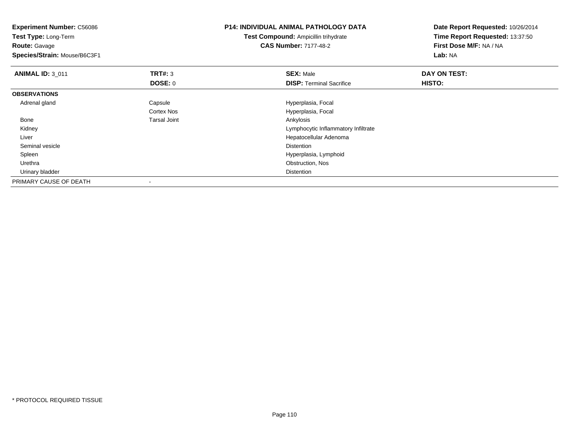| <b>Experiment Number: C56086</b><br>Test Type: Long-Term |                     | <b>P14: INDIVIDUAL ANIMAL PATHOLOGY DATA</b> | Date Report Requested: 10/26/2014 |  |
|----------------------------------------------------------|---------------------|----------------------------------------------|-----------------------------------|--|
|                                                          |                     | <b>Test Compound: Ampicillin trihydrate</b>  | Time Report Requested: 13:37:50   |  |
| <b>Route: Gavage</b>                                     |                     | <b>CAS Number: 7177-48-2</b>                 | First Dose M/F: NA / NA           |  |
| Species/Strain: Mouse/B6C3F1                             |                     |                                              | Lab: NA                           |  |
| <b>ANIMAL ID: 3_011</b>                                  | TRT#: 3             | <b>SEX: Male</b>                             | DAY ON TEST:                      |  |
|                                                          | DOSE: 0             | <b>DISP: Terminal Sacrifice</b>              | HISTO:                            |  |
| <b>OBSERVATIONS</b>                                      |                     |                                              |                                   |  |
| Adrenal gland                                            | Capsule             | Hyperplasia, Focal                           |                                   |  |
|                                                          | <b>Cortex Nos</b>   | Hyperplasia, Focal                           |                                   |  |
| Bone                                                     | <b>Tarsal Joint</b> | Ankylosis                                    |                                   |  |
| Kidney                                                   |                     | Lymphocytic Inflammatory Infiltrate          |                                   |  |
| Liver                                                    |                     | Hepatocellular Adenoma                       |                                   |  |
| Seminal vesicle                                          |                     | <b>Distention</b>                            |                                   |  |
| Spleen                                                   |                     | Hyperplasia, Lymphoid                        |                                   |  |
| Urethra                                                  |                     | Obstruction, Nos                             |                                   |  |
| Urinary bladder                                          |                     | <b>Distention</b>                            |                                   |  |
| PRIMARY CAUSE OF DEATH                                   |                     |                                              |                                   |  |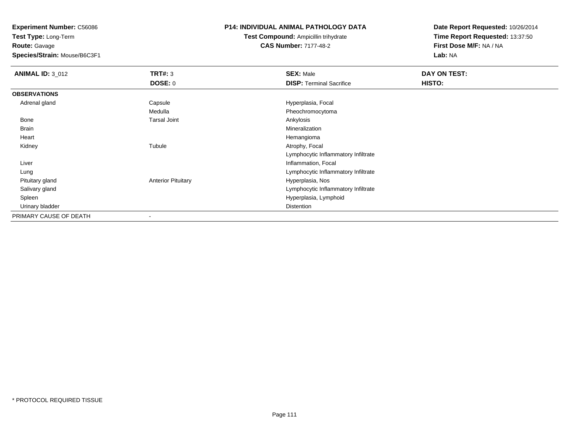**Test Type:** Long-Term**Route:** Gavage

**Species/Strain:** Mouse/B6C3F1

# **P14: INDIVIDUAL ANIMAL PATHOLOGY DATA**

**Test Compound:** Ampicillin trihydrate**CAS Number:** 7177-48-2

| <b>ANIMAL ID: 3_012</b> | <b>TRT#: 3</b>            | <b>SEX: Male</b>                    | DAY ON TEST: |  |
|-------------------------|---------------------------|-------------------------------------|--------------|--|
|                         | DOSE: 0                   | <b>DISP: Terminal Sacrifice</b>     | HISTO:       |  |
| <b>OBSERVATIONS</b>     |                           |                                     |              |  |
| Adrenal gland           | Capsule                   | Hyperplasia, Focal                  |              |  |
|                         | Medulla                   | Pheochromocytoma                    |              |  |
| Bone                    | <b>Tarsal Joint</b>       | Ankylosis                           |              |  |
| <b>Brain</b>            |                           | Mineralization                      |              |  |
| Heart                   |                           | Hemangioma                          |              |  |
| Kidney                  | Tubule                    | Atrophy, Focal                      |              |  |
|                         |                           | Lymphocytic Inflammatory Infiltrate |              |  |
| Liver                   |                           | Inflammation, Focal                 |              |  |
| Lung                    |                           | Lymphocytic Inflammatory Infiltrate |              |  |
| Pituitary gland         | <b>Anterior Pituitary</b> | Hyperplasia, Nos                    |              |  |
| Salivary gland          |                           | Lymphocytic Inflammatory Infiltrate |              |  |
| Spleen                  |                           | Hyperplasia, Lymphoid               |              |  |
| Urinary bladder         |                           | Distention                          |              |  |
| PRIMARY CAUSE OF DEATH  | -                         |                                     |              |  |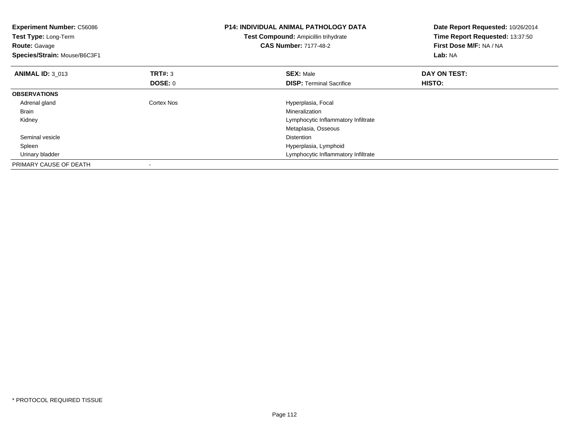| <b>Experiment Number: C56086</b><br>Test Type: Long-Term<br><b>Route: Gavage</b><br>Species/Strain: Mouse/B6C3F1 |                | <b>P14: INDIVIDUAL ANIMAL PATHOLOGY DATA</b><br>Test Compound: Ampicillin trihydrate<br><b>CAS Number: 7177-48-2</b> | Date Report Requested: 10/26/2014<br>Time Report Requested: 13:37:50<br>First Dose M/F: NA / NA<br>Lab: NA |
|------------------------------------------------------------------------------------------------------------------|----------------|----------------------------------------------------------------------------------------------------------------------|------------------------------------------------------------------------------------------------------------|
| <b>ANIMAL ID: 3 013</b>                                                                                          | <b>TRT#: 3</b> | <b>SEX: Male</b>                                                                                                     | DAY ON TEST:                                                                                               |
|                                                                                                                  | <b>DOSE: 0</b> | <b>DISP:</b> Terminal Sacrifice                                                                                      | HISTO:                                                                                                     |
| <b>OBSERVATIONS</b>                                                                                              |                |                                                                                                                      |                                                                                                            |
| Adrenal gland                                                                                                    | Cortex Nos     | Hyperplasia, Focal                                                                                                   |                                                                                                            |
| <b>Brain</b>                                                                                                     |                | Mineralization                                                                                                       |                                                                                                            |
| Kidney                                                                                                           |                | Lymphocytic Inflammatory Infiltrate                                                                                  |                                                                                                            |
|                                                                                                                  |                | Metaplasia, Osseous                                                                                                  |                                                                                                            |
| Seminal vesicle                                                                                                  |                | <b>Distention</b>                                                                                                    |                                                                                                            |
| Spleen                                                                                                           |                | Hyperplasia, Lymphoid                                                                                                |                                                                                                            |
| Urinary bladder                                                                                                  |                | Lymphocytic Inflammatory Infiltrate                                                                                  |                                                                                                            |
| PRIMARY CAUSE OF DEATH                                                                                           |                |                                                                                                                      |                                                                                                            |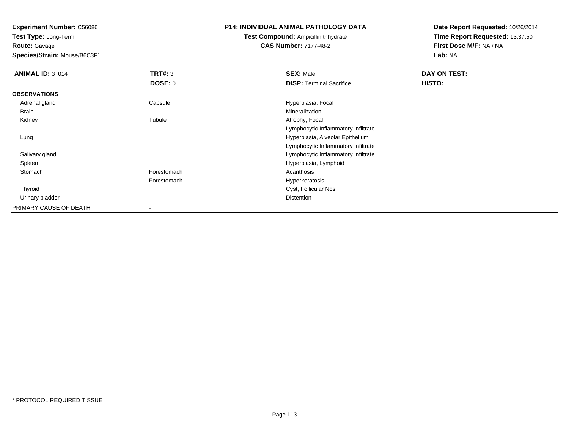**Test Type:** Long-Term**Route:** Gavage

**Species/Strain:** Mouse/B6C3F1

# **P14: INDIVIDUAL ANIMAL PATHOLOGY DATA**

**Test Compound:** Ampicillin trihydrate**CAS Number:** 7177-48-2

| <b>ANIMAL ID: 3_014</b> | TRT#: 3        | <b>SEX: Male</b>                    | DAY ON TEST: |  |
|-------------------------|----------------|-------------------------------------|--------------|--|
|                         | <b>DOSE: 0</b> | <b>DISP: Terminal Sacrifice</b>     | HISTO:       |  |
| <b>OBSERVATIONS</b>     |                |                                     |              |  |
| Adrenal gland           | Capsule        | Hyperplasia, Focal                  |              |  |
| <b>Brain</b>            |                | Mineralization                      |              |  |
| Kidney                  | Tubule         | Atrophy, Focal                      |              |  |
|                         |                | Lymphocytic Inflammatory Infiltrate |              |  |
| Lung                    |                | Hyperplasia, Alveolar Epithelium    |              |  |
|                         |                | Lymphocytic Inflammatory Infiltrate |              |  |
| Salivary gland          |                | Lymphocytic Inflammatory Infiltrate |              |  |
| Spleen                  |                | Hyperplasia, Lymphoid               |              |  |
| Stomach                 | Forestomach    | Acanthosis                          |              |  |
|                         | Forestomach    | Hyperkeratosis                      |              |  |
| Thyroid                 |                | Cyst, Follicular Nos                |              |  |
| Urinary bladder         |                | <b>Distention</b>                   |              |  |
| PRIMARY CAUSE OF DEATH  |                |                                     |              |  |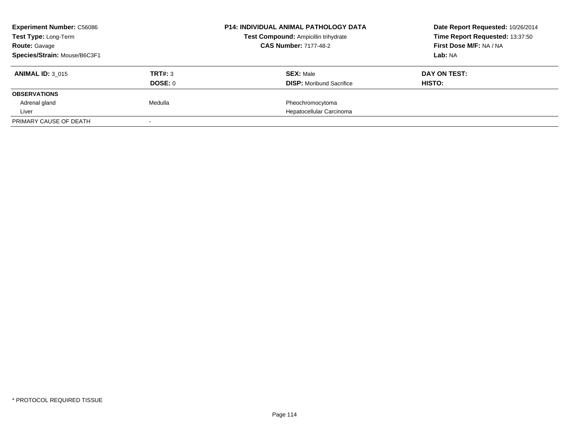| <b>Experiment Number: C56086</b><br>Test Type: Long-Term |                | <b>P14: INDIVIDUAL ANIMAL PATHOLOGY DATA</b> | Date Report Requested: 10/26/2014 |
|----------------------------------------------------------|----------------|----------------------------------------------|-----------------------------------|
|                                                          |                | Test Compound: Ampicillin trihydrate         | Time Report Requested: 13:37:50   |
| <b>Route: Gavage</b>                                     |                | <b>CAS Number: 7177-48-2</b>                 | First Dose M/F: NA / NA           |
| Species/Strain: Mouse/B6C3F1                             |                |                                              | Lab: NA                           |
| <b>ANIMAL ID: 3 015</b>                                  | <b>TRT#: 3</b> | <b>SEX: Male</b>                             | DAY ON TEST:                      |
|                                                          | DOSE: 0        | <b>DISP:</b> Moribund Sacrifice              | <b>HISTO:</b>                     |
| <b>OBSERVATIONS</b>                                      |                |                                              |                                   |
| Adrenal gland                                            | Medulla        | Pheochromocytoma                             |                                   |
| Liver                                                    |                | Hepatocellular Carcinoma                     |                                   |
| PRIMARY CAUSE OF DEATH                                   |                |                                              |                                   |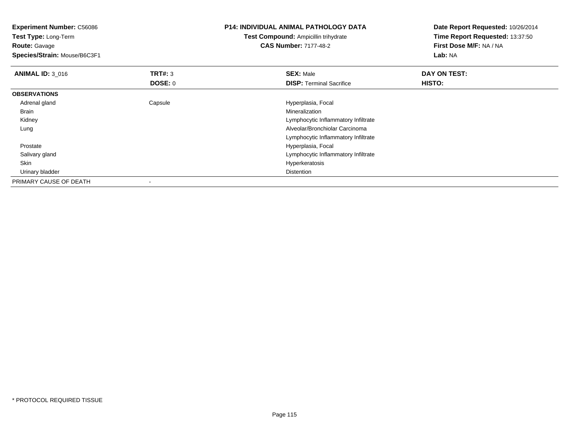| <b>Experiment Number: C56086</b><br><b>Test Type: Long-Term</b> |                | <b>P14: INDIVIDUAL ANIMAL PATHOLOGY DATA</b> | Date Report Requested: 10/26/2014<br>Time Report Requested: 13:37:50 |
|-----------------------------------------------------------------|----------------|----------------------------------------------|----------------------------------------------------------------------|
|                                                                 |                | <b>Test Compound: Ampicillin trihydrate</b>  |                                                                      |
| <b>Route: Gavage</b>                                            |                | <b>CAS Number: 7177-48-2</b>                 | First Dose M/F: NA / NA                                              |
| Species/Strain: Mouse/B6C3F1                                    |                |                                              | Lab: NA                                                              |
| <b>ANIMAL ID: 3_016</b>                                         | <b>TRT#: 3</b> | <b>SEX: Male</b>                             | DAY ON TEST:                                                         |
|                                                                 | DOSE: 0        | <b>DISP:</b> Terminal Sacrifice              | <b>HISTO:</b>                                                        |
| <b>OBSERVATIONS</b>                                             |                |                                              |                                                                      |
| Adrenal gland                                                   | Capsule        | Hyperplasia, Focal                           |                                                                      |
| Brain                                                           |                | Mineralization                               |                                                                      |
| Kidney                                                          |                | Lymphocytic Inflammatory Infiltrate          |                                                                      |
| Lung                                                            |                | Alveolar/Bronchiolar Carcinoma               |                                                                      |
|                                                                 |                | Lymphocytic Inflammatory Infiltrate          |                                                                      |
| Prostate                                                        |                | Hyperplasia, Focal                           |                                                                      |
| Salivary gland                                                  |                | Lymphocytic Inflammatory Infiltrate          |                                                                      |
| Skin                                                            |                | Hyperkeratosis                               |                                                                      |
| Urinary bladder                                                 |                | <b>Distention</b>                            |                                                                      |
| PRIMARY CAUSE OF DEATH                                          |                |                                              |                                                                      |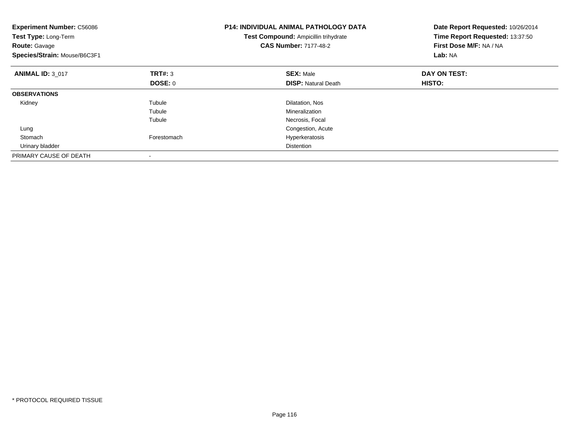| <b>Experiment Number: C56086</b><br>Test Type: Long-Term<br><b>Route: Gavage</b><br>Species/Strain: Mouse/B6C3F1 |                | <b>P14: INDIVIDUAL ANIMAL PATHOLOGY DATA</b><br>Test Compound: Ampicillin trihydrate<br><b>CAS Number: 7177-48-2</b> | Date Report Requested: 10/26/2014<br>Time Report Requested: 13:37:50<br>First Dose M/F: NA / NA<br>Lab: NA |
|------------------------------------------------------------------------------------------------------------------|----------------|----------------------------------------------------------------------------------------------------------------------|------------------------------------------------------------------------------------------------------------|
| <b>ANIMAL ID: 3 017</b>                                                                                          | TRT#: 3        | <b>SEX: Male</b>                                                                                                     | DAY ON TEST:                                                                                               |
|                                                                                                                  | <b>DOSE: 0</b> | <b>DISP:</b> Natural Death                                                                                           | HISTO:                                                                                                     |
| <b>OBSERVATIONS</b>                                                                                              |                |                                                                                                                      |                                                                                                            |
| Kidney                                                                                                           | Tubule         | Dilatation, Nos                                                                                                      |                                                                                                            |
|                                                                                                                  | Tubule         | Mineralization                                                                                                       |                                                                                                            |
|                                                                                                                  | Tubule         | Necrosis, Focal                                                                                                      |                                                                                                            |
| Lung                                                                                                             |                | Congestion, Acute                                                                                                    |                                                                                                            |
| Stomach                                                                                                          | Forestomach    | Hyperkeratosis                                                                                                       |                                                                                                            |
| Urinary bladder                                                                                                  |                | <b>Distention</b>                                                                                                    |                                                                                                            |
| PRIMARY CAUSE OF DEATH                                                                                           |                |                                                                                                                      |                                                                                                            |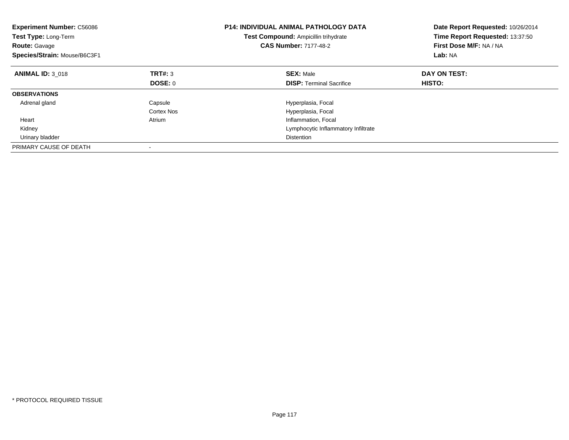| <b>Experiment Number: C56086</b><br><b>Test Type: Long-Term</b><br><b>Route: Gavage</b><br>Species/Strain: Mouse/B6C3F1 |            | <b>P14: INDIVIDUAL ANIMAL PATHOLOGY DATA</b><br>Test Compound: Ampicillin trihydrate<br><b>CAS Number: 7177-48-2</b> | Date Report Requested: 10/26/2014<br>Time Report Requested: 13:37:50<br>First Dose M/F: NA / NA<br>Lab: NA |
|-------------------------------------------------------------------------------------------------------------------------|------------|----------------------------------------------------------------------------------------------------------------------|------------------------------------------------------------------------------------------------------------|
| <b>ANIMAL ID: 3 018</b>                                                                                                 | TRT#: 3    | <b>SEX: Male</b>                                                                                                     | DAY ON TEST:                                                                                               |
|                                                                                                                         | DOSE: 0    | <b>DISP:</b> Terminal Sacrifice                                                                                      | HISTO:                                                                                                     |
| <b>OBSERVATIONS</b>                                                                                                     |            |                                                                                                                      |                                                                                                            |
| Adrenal gland                                                                                                           | Capsule    | Hyperplasia, Focal                                                                                                   |                                                                                                            |
|                                                                                                                         | Cortex Nos | Hyperplasia, Focal                                                                                                   |                                                                                                            |
| Heart                                                                                                                   | Atrium     | Inflammation, Focal                                                                                                  |                                                                                                            |
| Kidney                                                                                                                  |            | Lymphocytic Inflammatory Infiltrate                                                                                  |                                                                                                            |
| Urinary bladder                                                                                                         |            | <b>Distention</b>                                                                                                    |                                                                                                            |
| PRIMARY CAUSE OF DEATH                                                                                                  |            |                                                                                                                      |                                                                                                            |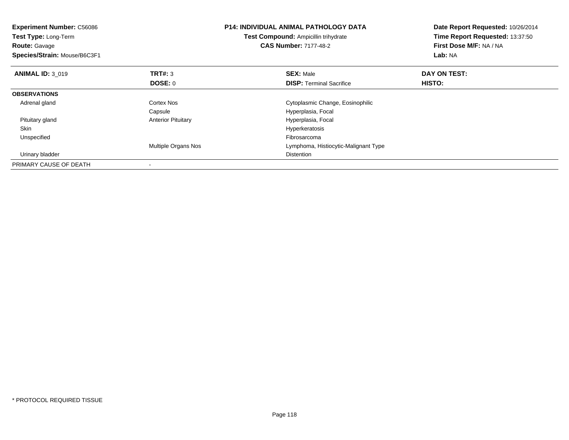| <b>Experiment Number: C56086</b><br>Test Type: Long-Term<br><b>Route: Gavage</b><br>Species/Strain: Mouse/B6C3F1 |                           | <b>P14: INDIVIDUAL ANIMAL PATHOLOGY DATA</b><br>Test Compound: Ampicillin trihydrate<br><b>CAS Number: 7177-48-2</b> |                                      | Date Report Requested: 10/26/2014<br>Time Report Requested: 13:37:50<br>First Dose M/F: NA / NA<br>Lab: NA |
|------------------------------------------------------------------------------------------------------------------|---------------------------|----------------------------------------------------------------------------------------------------------------------|--------------------------------------|------------------------------------------------------------------------------------------------------------|
| <b>ANIMAL ID: 3 019</b>                                                                                          | <b>TRT#: 3</b>            | <b>SEX: Male</b>                                                                                                     |                                      | DAY ON TEST:                                                                                               |
|                                                                                                                  | DOSE: 0                   |                                                                                                                      | <b>DISP:</b> Terminal Sacrifice      | <b>HISTO:</b>                                                                                              |
| <b>OBSERVATIONS</b>                                                                                              |                           |                                                                                                                      |                                      |                                                                                                            |
| Adrenal gland                                                                                                    | Cortex Nos                |                                                                                                                      | Cytoplasmic Change, Eosinophilic     |                                                                                                            |
|                                                                                                                  | Capsule                   | Hyperplasia, Focal                                                                                                   |                                      |                                                                                                            |
| Pituitary gland                                                                                                  | <b>Anterior Pituitary</b> | Hyperplasia, Focal                                                                                                   |                                      |                                                                                                            |
| <b>Skin</b>                                                                                                      |                           | Hyperkeratosis                                                                                                       |                                      |                                                                                                            |
| Unspecified                                                                                                      |                           | Fibrosarcoma                                                                                                         |                                      |                                                                                                            |
|                                                                                                                  | Multiple Organs Nos       |                                                                                                                      | Lymphoma, Histiocytic-Malignant Type |                                                                                                            |
| Urinary bladder                                                                                                  |                           | Distention                                                                                                           |                                      |                                                                                                            |
| PRIMARY CAUSE OF DEATH                                                                                           |                           |                                                                                                                      |                                      |                                                                                                            |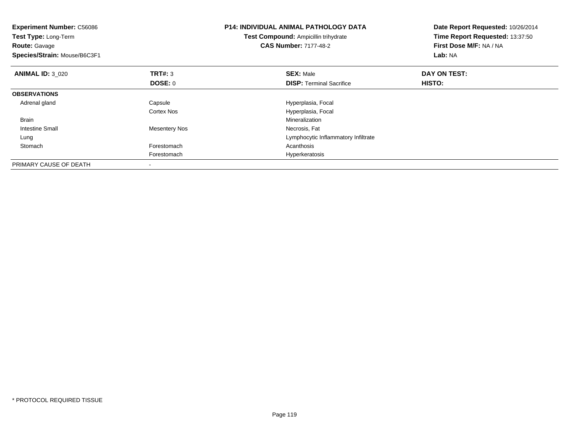| <b>Experiment Number: C56086</b><br>Test Type: Long-Term<br><b>Route: Gavage</b><br>Species/Strain: Mouse/B6C3F1 |                      | <b>P14: INDIVIDUAL ANIMAL PATHOLOGY DATA</b><br>Test Compound: Ampicillin trihydrate<br><b>CAS Number: 7177-48-2</b> | Date Report Requested: 10/26/2014<br>Time Report Requested: 13:37:50<br>First Dose M/F: NA / NA<br><b>Lab: NA</b> |
|------------------------------------------------------------------------------------------------------------------|----------------------|----------------------------------------------------------------------------------------------------------------------|-------------------------------------------------------------------------------------------------------------------|
| <b>ANIMAL ID: 3 020</b>                                                                                          | TRT#: 3              | <b>SEX: Male</b>                                                                                                     | DAY ON TEST:                                                                                                      |
|                                                                                                                  | DOSE: 0              | <b>DISP:</b> Terminal Sacrifice                                                                                      | HISTO:                                                                                                            |
| <b>OBSERVATIONS</b>                                                                                              |                      |                                                                                                                      |                                                                                                                   |
| Adrenal gland                                                                                                    | Capsule              | Hyperplasia, Focal                                                                                                   |                                                                                                                   |
|                                                                                                                  | Cortex Nos           | Hyperplasia, Focal                                                                                                   |                                                                                                                   |
| Brain                                                                                                            |                      | Mineralization                                                                                                       |                                                                                                                   |
| Intestine Small                                                                                                  | <b>Mesentery Nos</b> | Necrosis, Fat                                                                                                        |                                                                                                                   |
| Lung                                                                                                             |                      | Lymphocytic Inflammatory Infiltrate                                                                                  |                                                                                                                   |
| Stomach                                                                                                          | Forestomach          | Acanthosis                                                                                                           |                                                                                                                   |
|                                                                                                                  | Forestomach          | Hyperkeratosis                                                                                                       |                                                                                                                   |
| PRIMARY CAUSE OF DEATH                                                                                           |                      |                                                                                                                      |                                                                                                                   |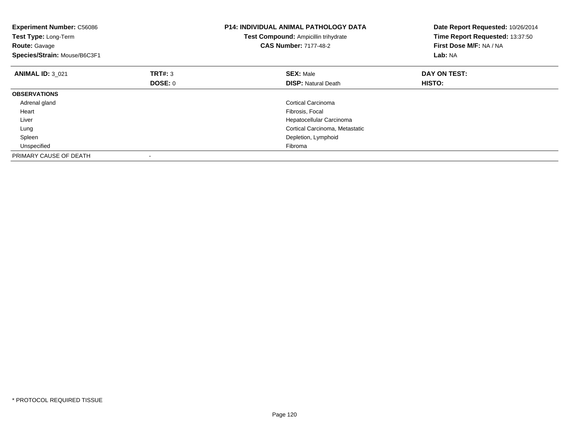| <b>Experiment Number: C56086</b><br>Test Type: Long-Term<br><b>Route: Gavage</b><br>Species/Strain: Mouse/B6C3F1 |                | <b>P14: INDIVIDUAL ANIMAL PATHOLOGY DATA</b><br>Test Compound: Ampicillin trihydrate<br><b>CAS Number: 7177-48-2</b> | Date Report Requested: 10/26/2014<br>Time Report Requested: 13:37:50<br>First Dose M/F: NA / NA<br>Lab: NA |
|------------------------------------------------------------------------------------------------------------------|----------------|----------------------------------------------------------------------------------------------------------------------|------------------------------------------------------------------------------------------------------------|
| <b>ANIMAL ID: 3 021</b>                                                                                          | TRT#: 3        | <b>SEX: Male</b>                                                                                                     | DAY ON TEST:                                                                                               |
|                                                                                                                  | <b>DOSE: 0</b> | <b>DISP:</b> Natural Death                                                                                           | HISTO:                                                                                                     |
| <b>OBSERVATIONS</b>                                                                                              |                |                                                                                                                      |                                                                                                            |
| Adrenal gland                                                                                                    |                | Cortical Carcinoma                                                                                                   |                                                                                                            |
| Heart                                                                                                            |                | Fibrosis, Focal                                                                                                      |                                                                                                            |
| Liver                                                                                                            |                | Hepatocellular Carcinoma                                                                                             |                                                                                                            |
| Lung                                                                                                             |                | Cortical Carcinoma, Metastatic                                                                                       |                                                                                                            |
| Spleen                                                                                                           |                | Depletion, Lymphoid                                                                                                  |                                                                                                            |
| Unspecified                                                                                                      |                | Fibroma                                                                                                              |                                                                                                            |
| PRIMARY CAUSE OF DEATH                                                                                           |                |                                                                                                                      |                                                                                                            |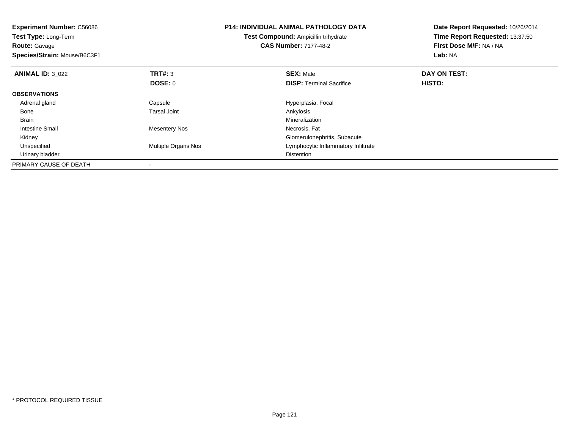| <b>Experiment Number: C56086</b><br>Test Type: Long-Term<br><b>Route: Gavage</b><br>Species/Strain: Mouse/B6C3F1 |                     | <b>P14: INDIVIDUAL ANIMAL PATHOLOGY DATA</b><br>Test Compound: Ampicillin trihydrate<br><b>CAS Number: 7177-48-2</b> | Date Report Requested: 10/26/2014<br>Time Report Requested: 13:37:50<br>First Dose M/F: NA / NA<br>Lab: NA |
|------------------------------------------------------------------------------------------------------------------|---------------------|----------------------------------------------------------------------------------------------------------------------|------------------------------------------------------------------------------------------------------------|
| <b>ANIMAL ID: 3 022</b>                                                                                          | TRT#: 3             | <b>SEX: Male</b>                                                                                                     | DAY ON TEST:                                                                                               |
|                                                                                                                  | <b>DOSE: 0</b>      | <b>DISP:</b> Terminal Sacrifice                                                                                      | HISTO:                                                                                                     |
| <b>OBSERVATIONS</b>                                                                                              |                     |                                                                                                                      |                                                                                                            |
| Adrenal gland                                                                                                    | Capsule             | Hyperplasia, Focal                                                                                                   |                                                                                                            |
| Bone                                                                                                             | <b>Tarsal Joint</b> | Ankylosis                                                                                                            |                                                                                                            |
| <b>Brain</b>                                                                                                     |                     | Mineralization                                                                                                       |                                                                                                            |
| Intestine Small                                                                                                  | Mesentery Nos       | Necrosis, Fat                                                                                                        |                                                                                                            |
| Kidney                                                                                                           |                     | Glomerulonephritis, Subacute                                                                                         |                                                                                                            |
| Unspecified                                                                                                      | Multiple Organs Nos | Lymphocytic Inflammatory Infiltrate                                                                                  |                                                                                                            |
| Urinary bladder                                                                                                  |                     | Distention                                                                                                           |                                                                                                            |
| PRIMARY CAUSE OF DEATH                                                                                           |                     |                                                                                                                      |                                                                                                            |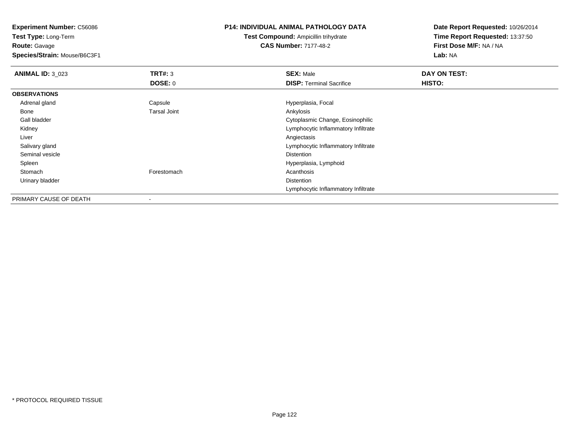**Test Type:** Long-Term**Route:** Gavage

**Species/Strain:** Mouse/B6C3F1

# **P14: INDIVIDUAL ANIMAL PATHOLOGY DATA**

**Test Compound:** Ampicillin trihydrate**CAS Number:** 7177-48-2

| <b>ANIMAL ID: 3 023</b> | TRT#: 3             | <b>SEX: Male</b>                    | DAY ON TEST: |  |
|-------------------------|---------------------|-------------------------------------|--------------|--|
|                         | <b>DOSE: 0</b>      | <b>DISP:</b> Terminal Sacrifice     | HISTO:       |  |
| <b>OBSERVATIONS</b>     |                     |                                     |              |  |
| Adrenal gland           | Capsule             | Hyperplasia, Focal                  |              |  |
| Bone                    | <b>Tarsal Joint</b> | Ankylosis                           |              |  |
| Gall bladder            |                     | Cytoplasmic Change, Eosinophilic    |              |  |
| Kidney                  |                     | Lymphocytic Inflammatory Infiltrate |              |  |
| Liver                   |                     | Angiectasis                         |              |  |
| Salivary gland          |                     | Lymphocytic Inflammatory Infiltrate |              |  |
| Seminal vesicle         |                     | <b>Distention</b>                   |              |  |
| Spleen                  |                     | Hyperplasia, Lymphoid               |              |  |
| Stomach                 | Forestomach         | Acanthosis                          |              |  |
| Urinary bladder         |                     | <b>Distention</b>                   |              |  |
|                         |                     | Lymphocytic Inflammatory Infiltrate |              |  |
| PRIMARY CAUSE OF DEATH  | $\,$                |                                     |              |  |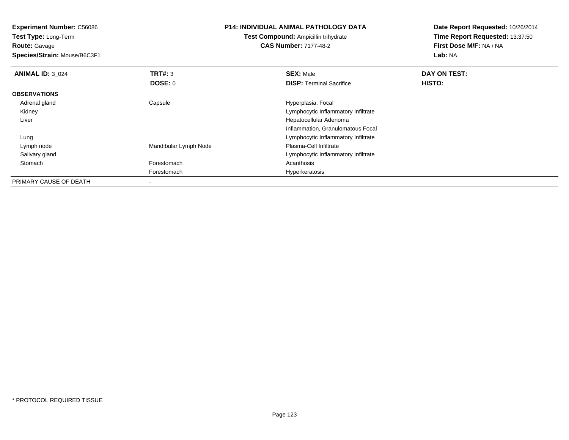**Experiment Number:** C56086**Test Type:** Long-Term**Route:** Gavage **Species/Strain:** Mouse/B6C3F1**P14: INDIVIDUAL ANIMAL PATHOLOGY DATATest Compound:** Ampicillin trihydrate**CAS Number:** 7177-48-2**Date Report Requested:** 10/26/2014**Time Report Requested:** 13:37:50**First Dose M/F:** NA / NA**Lab:** NA**ANIMAL ID:** 3\_024 **TRT#:** <sup>3</sup> **SEX:** Male **DAY ON TEST: DOSE:** 0**DISP:** Terminal Sacrifice **HISTO: OBSERVATIONS** Adrenal glandCapsule **Capsule Hyperplasia**, Focal Kidney Lymphocytic Inflammatory Infiltrate Liver Hepatocellular Adenoma Inflammation, Granulomatous Focal LungLymphocytic Inflammatory Infiltrate<br>Plasma-Cell Infiltrate Lymph nodeMandibular Lymph Node Salivary gland Lymphocytic Inflammatory Infiltrate Stomachh anns an t-India anns an t-India anns an t-India anns an t-India anns an t-India anns an t-India anns an t-In Forestomach Hyperkeratosis PRIMARY CAUSE OF DEATH-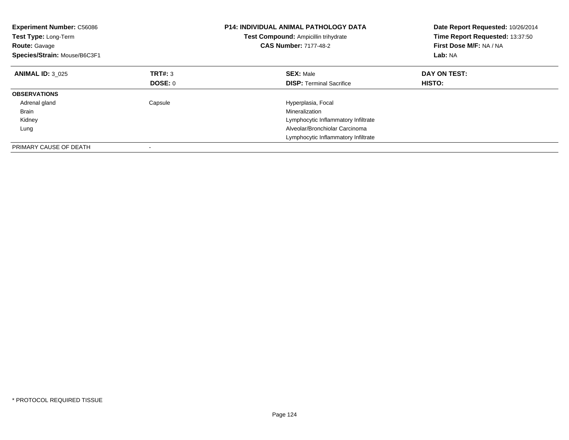| <b>Experiment Number: C56086</b><br>Test Type: Long-Term<br><b>Route: Gavage</b><br>Species/Strain: Mouse/B6C3F1 |                | <b>P14: INDIVIDUAL ANIMAL PATHOLOGY DATA</b><br>Test Compound: Ampicillin trihydrate<br><b>CAS Number: 7177-48-2</b> | Date Report Requested: 10/26/2014<br>Time Report Requested: 13:37:50<br>First Dose M/F: NA / NA<br>Lab: NA |
|------------------------------------------------------------------------------------------------------------------|----------------|----------------------------------------------------------------------------------------------------------------------|------------------------------------------------------------------------------------------------------------|
| <b>ANIMAL ID: 3 025</b>                                                                                          | TRT#: 3        | <b>SEX: Male</b>                                                                                                     | DAY ON TEST:                                                                                               |
|                                                                                                                  | <b>DOSE: 0</b> | <b>DISP:</b> Terminal Sacrifice                                                                                      | <b>HISTO:</b>                                                                                              |
| <b>OBSERVATIONS</b>                                                                                              |                |                                                                                                                      |                                                                                                            |
| Adrenal gland                                                                                                    | Capsule        | Hyperplasia, Focal                                                                                                   |                                                                                                            |
| Brain                                                                                                            |                | Mineralization                                                                                                       |                                                                                                            |
| Kidney                                                                                                           |                | Lymphocytic Inflammatory Infiltrate                                                                                  |                                                                                                            |
| Lung                                                                                                             |                | Alveolar/Bronchiolar Carcinoma                                                                                       |                                                                                                            |
|                                                                                                                  |                | Lymphocytic Inflammatory Infiltrate                                                                                  |                                                                                                            |
| PRIMARY CAUSE OF DEATH                                                                                           |                |                                                                                                                      |                                                                                                            |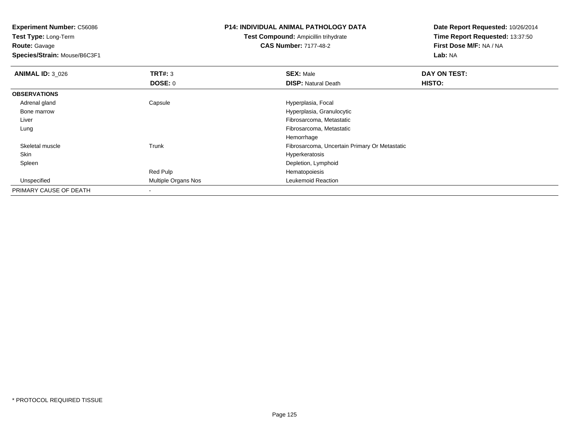**Test Type:** Long-Term**Route:** Gavage

**Species/Strain:** Mouse/B6C3F1

# **P14: INDIVIDUAL ANIMAL PATHOLOGY DATA**

**Test Compound:** Ampicillin trihydrate**CAS Number:** 7177-48-2

| <b>ANIMAL ID: 3_026</b> | TRT#: 3             | <b>SEX: Male</b>                              | DAY ON TEST: |
|-------------------------|---------------------|-----------------------------------------------|--------------|
|                         | DOSE: 0             | <b>DISP: Natural Death</b>                    | HISTO:       |
| <b>OBSERVATIONS</b>     |                     |                                               |              |
| Adrenal gland           | Capsule             | Hyperplasia, Focal                            |              |
| Bone marrow             |                     | Hyperplasia, Granulocytic                     |              |
| Liver                   |                     | Fibrosarcoma, Metastatic                      |              |
| Lung                    |                     | Fibrosarcoma, Metastatic                      |              |
|                         |                     | Hemorrhage                                    |              |
| Skeletal muscle         | Trunk               | Fibrosarcoma, Uncertain Primary Or Metastatic |              |
| Skin                    |                     | Hyperkeratosis                                |              |
| Spleen                  |                     | Depletion, Lymphoid                           |              |
|                         | Red Pulp            | Hematopoiesis                                 |              |
| Unspecified             | Multiple Organs Nos | Leukemoid Reaction                            |              |
| PRIMARY CAUSE OF DEATH  |                     |                                               |              |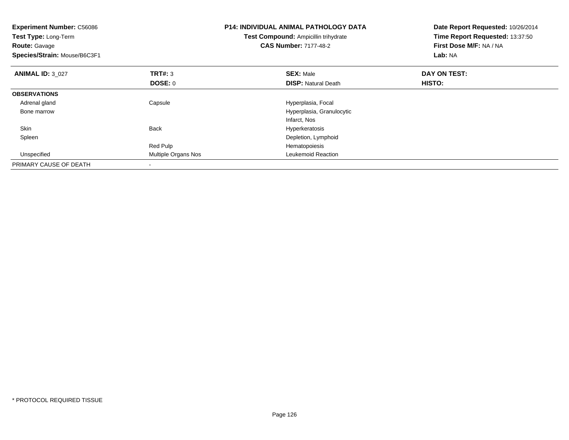| <b>Experiment Number: C56086</b><br>Test Type: Long-Term<br><b>Route:</b> Gavage<br>Species/Strain: Mouse/B6C3F1 |                     | <b>P14: INDIVIDUAL ANIMAL PATHOLOGY DATA</b><br>Test Compound: Ampicillin trihydrate<br><b>CAS Number: 7177-48-2</b> | Date Report Requested: 10/26/2014<br>Time Report Requested: 13:37:50<br>First Dose M/F: NA / NA<br><b>Lab: NA</b> |
|------------------------------------------------------------------------------------------------------------------|---------------------|----------------------------------------------------------------------------------------------------------------------|-------------------------------------------------------------------------------------------------------------------|
| <b>ANIMAL ID: 3 027</b>                                                                                          | TRT#: 3             | <b>SEX: Male</b>                                                                                                     | DAY ON TEST:                                                                                                      |
|                                                                                                                  | DOSE: 0             | <b>DISP:</b> Natural Death                                                                                           | HISTO:                                                                                                            |
| <b>OBSERVATIONS</b>                                                                                              |                     |                                                                                                                      |                                                                                                                   |
| Adrenal gland                                                                                                    | Capsule             | Hyperplasia, Focal                                                                                                   |                                                                                                                   |
| Bone marrow                                                                                                      |                     | Hyperplasia, Granulocytic                                                                                            |                                                                                                                   |
|                                                                                                                  |                     | Infarct, Nos                                                                                                         |                                                                                                                   |
| Skin                                                                                                             | <b>Back</b>         | Hyperkeratosis                                                                                                       |                                                                                                                   |
| Spleen                                                                                                           |                     | Depletion, Lymphoid                                                                                                  |                                                                                                                   |
|                                                                                                                  | Red Pulp            | Hematopoiesis                                                                                                        |                                                                                                                   |
| Unspecified                                                                                                      | Multiple Organs Nos | Leukemoid Reaction                                                                                                   |                                                                                                                   |
| PRIMARY CAUSE OF DEATH                                                                                           |                     |                                                                                                                      |                                                                                                                   |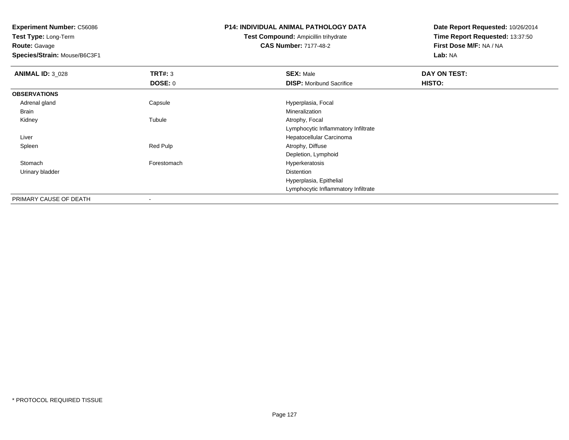**Test Type:** Long-Term**Route:** Gavage

**Species/Strain:** Mouse/B6C3F1

# **P14: INDIVIDUAL ANIMAL PATHOLOGY DATA**

**Test Compound:** Ampicillin trihydrate**CAS Number:** 7177-48-2

| <b>ANIMAL ID: 3_028</b> | TRT#: 3                  | <b>SEX: Male</b>                    | DAY ON TEST: |  |
|-------------------------|--------------------------|-------------------------------------|--------------|--|
|                         | <b>DOSE: 0</b>           | <b>DISP:</b> Moribund Sacrifice     | HISTO:       |  |
| <b>OBSERVATIONS</b>     |                          |                                     |              |  |
| Adrenal gland           | Capsule                  | Hyperplasia, Focal                  |              |  |
| Brain                   |                          | Mineralization                      |              |  |
| Kidney                  | Tubule                   | Atrophy, Focal                      |              |  |
|                         |                          | Lymphocytic Inflammatory Infiltrate |              |  |
| Liver                   |                          | Hepatocellular Carcinoma            |              |  |
| Spleen                  | Red Pulp                 | Atrophy, Diffuse                    |              |  |
|                         |                          | Depletion, Lymphoid                 |              |  |
| Stomach                 | Forestomach              | Hyperkeratosis                      |              |  |
| Urinary bladder         |                          | Distention                          |              |  |
|                         |                          | Hyperplasia, Epithelial             |              |  |
|                         |                          | Lymphocytic Inflammatory Infiltrate |              |  |
| PRIMARY CAUSE OF DEATH  | $\overline{\phantom{a}}$ |                                     |              |  |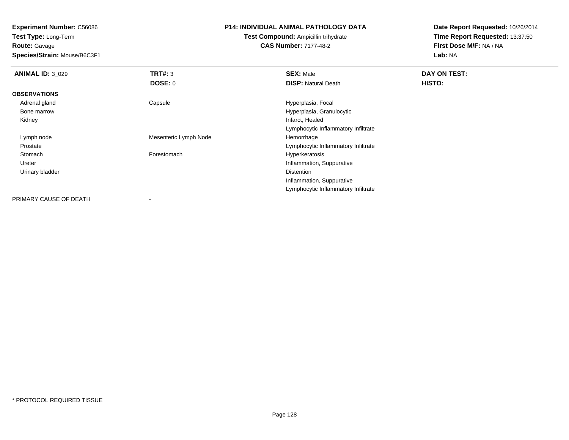**Test Type:** Long-Term**Route:** Gavage

**Species/Strain:** Mouse/B6C3F1

## **P14: INDIVIDUAL ANIMAL PATHOLOGY DATA**

# **Test Compound:** Ampicillin trihydrate**CAS Number:** 7177-48-2

| <b>ANIMAL ID: 3_029</b> | TRT#: 3               | <b>SEX: Male</b>                    | DAY ON TEST: |
|-------------------------|-----------------------|-------------------------------------|--------------|
|                         | DOSE: 0               | <b>DISP: Natural Death</b>          | HISTO:       |
| <b>OBSERVATIONS</b>     |                       |                                     |              |
| Adrenal gland           | Capsule               | Hyperplasia, Focal                  |              |
| Bone marrow             |                       | Hyperplasia, Granulocytic           |              |
| Kidney                  |                       | Infarct, Healed                     |              |
|                         |                       | Lymphocytic Inflammatory Infiltrate |              |
| Lymph node              | Mesenteric Lymph Node | Hemorrhage                          |              |
| Prostate                |                       | Lymphocytic Inflammatory Infiltrate |              |
| Stomach                 | Forestomach           | Hyperkeratosis                      |              |
| Ureter                  |                       | Inflammation, Suppurative           |              |
| Urinary bladder         |                       | Distention                          |              |
|                         |                       | Inflammation, Suppurative           |              |
|                         |                       | Lymphocytic Inflammatory Infiltrate |              |
| PRIMARY CAUSE OF DEATH  |                       |                                     |              |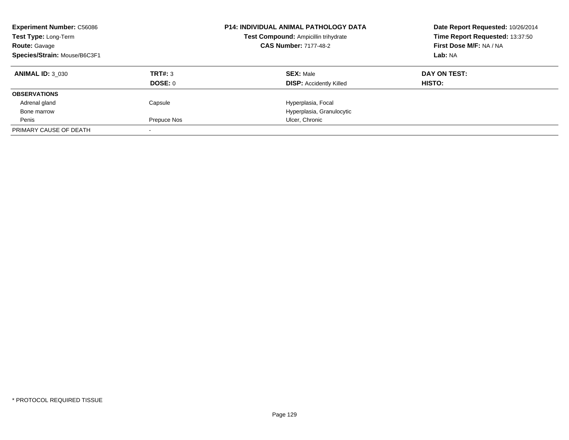| <b>Experiment Number: C56086</b><br><b>P14: INDIVIDUAL ANIMAL PATHOLOGY DATA</b><br>Test Type: Long-Term<br>Test Compound: Ampicillin trihydrate<br><b>CAS Number: 7177-48-2</b><br><b>Route: Gavage</b><br>Species/Strain: Mouse/B6C3F1 |                |                                | Date Report Requested: 10/26/2014<br>Time Report Requested: 13:37:50<br>First Dose M/F: NA / NA<br>Lab: NA |
|------------------------------------------------------------------------------------------------------------------------------------------------------------------------------------------------------------------------------------------|----------------|--------------------------------|------------------------------------------------------------------------------------------------------------|
| <b>ANIMAL ID: 3 030</b>                                                                                                                                                                                                                  | TRT#: 3        | <b>SEX: Male</b>               | DAY ON TEST:                                                                                               |
|                                                                                                                                                                                                                                          | <b>DOSE: 0</b> | <b>DISP:</b> Accidently Killed | <b>HISTO:</b>                                                                                              |
| <b>OBSERVATIONS</b>                                                                                                                                                                                                                      |                |                                |                                                                                                            |
| Adrenal gland                                                                                                                                                                                                                            | Capsule        | Hyperplasia, Focal             |                                                                                                            |
| Bone marrow                                                                                                                                                                                                                              |                | Hyperplasia, Granulocytic      |                                                                                                            |
| Penis                                                                                                                                                                                                                                    | Prepuce Nos    | Ulcer, Chronic                 |                                                                                                            |
| PRIMARY CAUSE OF DEATH                                                                                                                                                                                                                   |                |                                |                                                                                                            |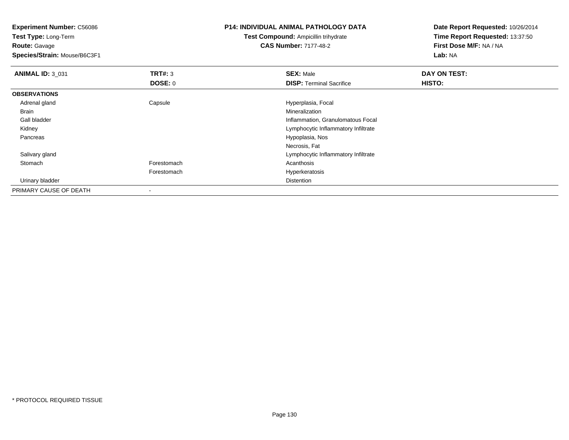**Experiment Number:** C56086**Test Type:** Long-Term

**Route:** Gavage

**Species/Strain:** Mouse/B6C3F1

# **P14: INDIVIDUAL ANIMAL PATHOLOGY DATA**

# **Test Compound:** Ampicillin trihydrate**CAS Number:** 7177-48-2

| <b>ANIMAL ID: 3_031</b> | TRT#: 3        | <b>SEX: Male</b>                    | DAY ON TEST: |
|-------------------------|----------------|-------------------------------------|--------------|
|                         | <b>DOSE: 0</b> | <b>DISP: Terminal Sacrifice</b>     | HISTO:       |
| <b>OBSERVATIONS</b>     |                |                                     |              |
| Adrenal gland           | Capsule        | Hyperplasia, Focal                  |              |
| Brain                   |                | Mineralization                      |              |
| Gall bladder            |                | Inflammation, Granulomatous Focal   |              |
| Kidney                  |                | Lymphocytic Inflammatory Infiltrate |              |
| Pancreas                |                | Hypoplasia, Nos                     |              |
|                         |                | Necrosis, Fat                       |              |
| Salivary gland          |                | Lymphocytic Inflammatory Infiltrate |              |
| Stomach                 | Forestomach    | Acanthosis                          |              |
|                         | Forestomach    | Hyperkeratosis                      |              |
| Urinary bladder         |                | Distention                          |              |
| PRIMARY CAUSE OF DEATH  |                |                                     |              |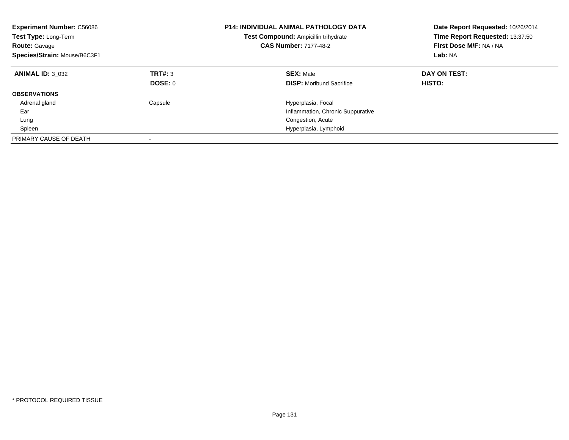| <b>Experiment Number: C56086</b><br>Test Type: Long-Term<br><b>Route: Gavage</b><br>Species/Strain: Mouse/B6C3F1 |                    | <b>P14: INDIVIDUAL ANIMAL PATHOLOGY DATA</b><br>Test Compound: Ampicillin trihydrate<br><b>CAS Number: 7177-48-2</b> | Date Report Requested: 10/26/2014<br>Time Report Requested: 13:37:50<br>First Dose M/F: NA / NA<br>Lab: NA |
|------------------------------------------------------------------------------------------------------------------|--------------------|----------------------------------------------------------------------------------------------------------------------|------------------------------------------------------------------------------------------------------------|
| <b>ANIMAL ID: 3 032</b>                                                                                          | TRT#: 3<br>DOSE: 0 | <b>SEX: Male</b><br><b>DISP:</b> Moribund Sacrifice                                                                  | DAY ON TEST:<br>HISTO:                                                                                     |
| <b>OBSERVATIONS</b>                                                                                              |                    |                                                                                                                      |                                                                                                            |
|                                                                                                                  |                    |                                                                                                                      |                                                                                                            |
| Adrenal gland                                                                                                    | Capsule            | Hyperplasia, Focal                                                                                                   |                                                                                                            |
| Ear                                                                                                              |                    | Inflammation, Chronic Suppurative                                                                                    |                                                                                                            |
| Lung                                                                                                             |                    | Congestion, Acute                                                                                                    |                                                                                                            |
| Spleen                                                                                                           |                    | Hyperplasia, Lymphoid                                                                                                |                                                                                                            |
| PRIMARY CAUSE OF DEATH                                                                                           |                    |                                                                                                                      |                                                                                                            |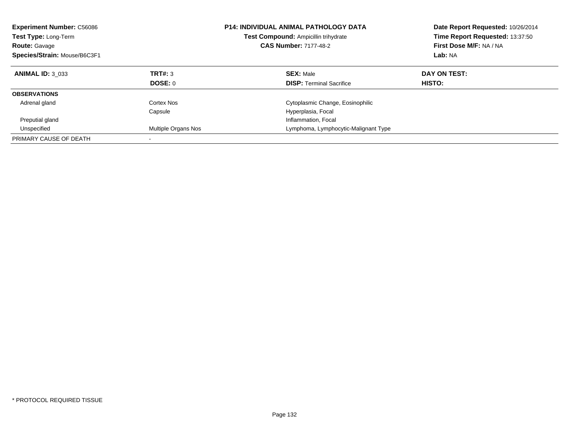| <b>Experiment Number: C56086</b><br><b>Test Type: Long-Term</b><br><b>Route: Gavage</b><br>Species/Strain: Mouse/B6C3F1 |                     | <b>P14: INDIVIDUAL ANIMAL PATHOLOGY DATA</b><br><b>Test Compound: Ampicillin trihydrate</b><br><b>CAS Number: 7177-48-2</b> | Date Report Requested: 10/26/2014<br>Time Report Requested: 13:37:50<br>First Dose M/F: NA / NA<br>Lab: NA |
|-------------------------------------------------------------------------------------------------------------------------|---------------------|-----------------------------------------------------------------------------------------------------------------------------|------------------------------------------------------------------------------------------------------------|
| <b>ANIMAL ID: 3 033</b>                                                                                                 | TRT#: 3             | <b>SEX: Male</b>                                                                                                            | DAY ON TEST:                                                                                               |
|                                                                                                                         | DOSE: 0             | <b>DISP:</b> Terminal Sacrifice                                                                                             | HISTO:                                                                                                     |
| <b>OBSERVATIONS</b>                                                                                                     |                     |                                                                                                                             |                                                                                                            |
| Adrenal gland                                                                                                           | Cortex Nos          | Cytoplasmic Change, Eosinophilic                                                                                            |                                                                                                            |
|                                                                                                                         | Capsule             | Hyperplasia, Focal                                                                                                          |                                                                                                            |
| Preputial gland                                                                                                         |                     | Inflammation, Focal                                                                                                         |                                                                                                            |
| Unspecified                                                                                                             | Multiple Organs Nos | Lymphoma, Lymphocytic-Malignant Type                                                                                        |                                                                                                            |
| PRIMARY CAUSE OF DEATH                                                                                                  |                     |                                                                                                                             |                                                                                                            |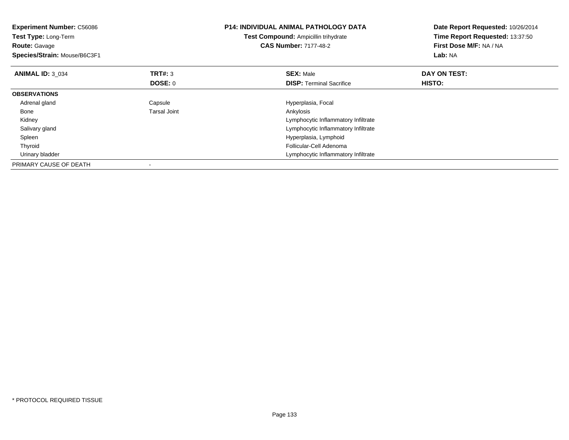| <b>Experiment Number: C56086</b><br>Test Type: Long-Term<br><b>Route: Gavage</b><br>Species/Strain: Mouse/B6C3F1 |                     | <b>P14: INDIVIDUAL ANIMAL PATHOLOGY DATA</b><br>Test Compound: Ampicillin trihydrate<br><b>CAS Number: 7177-48-2</b> | Date Report Requested: 10/26/2014<br>Time Report Requested: 13:37:50<br>First Dose M/F: NA / NA<br><b>Lab: NA</b> |
|------------------------------------------------------------------------------------------------------------------|---------------------|----------------------------------------------------------------------------------------------------------------------|-------------------------------------------------------------------------------------------------------------------|
| <b>ANIMAL ID: 3 034</b>                                                                                          | TRT#: 3             | <b>SEX: Male</b>                                                                                                     | DAY ON TEST:                                                                                                      |
|                                                                                                                  | DOSE: 0             | <b>DISP:</b> Terminal Sacrifice                                                                                      | HISTO:                                                                                                            |
| <b>OBSERVATIONS</b>                                                                                              |                     |                                                                                                                      |                                                                                                                   |
| Adrenal gland                                                                                                    | Capsule             | Hyperplasia, Focal                                                                                                   |                                                                                                                   |
| Bone                                                                                                             | <b>Tarsal Joint</b> | Ankylosis                                                                                                            |                                                                                                                   |
| Kidney                                                                                                           |                     | Lymphocytic Inflammatory Infiltrate                                                                                  |                                                                                                                   |
| Salivary gland                                                                                                   |                     | Lymphocytic Inflammatory Infiltrate                                                                                  |                                                                                                                   |
| Spleen                                                                                                           |                     | Hyperplasia, Lymphoid                                                                                                |                                                                                                                   |
| Thyroid                                                                                                          |                     | Follicular-Cell Adenoma                                                                                              |                                                                                                                   |
| Urinary bladder                                                                                                  |                     | Lymphocytic Inflammatory Infiltrate                                                                                  |                                                                                                                   |
| PRIMARY CAUSE OF DEATH                                                                                           |                     |                                                                                                                      |                                                                                                                   |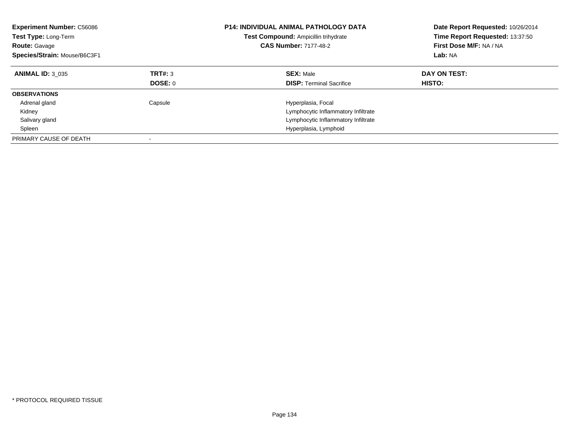| <b>Experiment Number: C56086</b><br><b>Test Type: Long-Term</b><br><b>Route: Gavage</b><br>Species/Strain: Mouse/B6C3F1 |                           | <b>P14: INDIVIDUAL ANIMAL PATHOLOGY DATA</b><br>Test Compound: Ampicillin trihydrate<br><b>CAS Number: 7177-48-2</b> | Date Report Requested: 10/26/2014<br>Time Report Requested: 13:37:50<br>First Dose M/F: NA / NA<br>Lab: NA |
|-------------------------------------------------------------------------------------------------------------------------|---------------------------|----------------------------------------------------------------------------------------------------------------------|------------------------------------------------------------------------------------------------------------|
| <b>ANIMAL ID: 3 035</b>                                                                                                 | TRT#: 3<br><b>DOSE: 0</b> | <b>SEX: Male</b><br><b>DISP:</b> Terminal Sacrifice                                                                  | DAY ON TEST:<br>HISTO:                                                                                     |
| <b>OBSERVATIONS</b>                                                                                                     |                           |                                                                                                                      |                                                                                                            |
| Adrenal gland                                                                                                           | Capsule                   | Hyperplasia, Focal                                                                                                   |                                                                                                            |
| Kidney                                                                                                                  |                           | Lymphocytic Inflammatory Infiltrate                                                                                  |                                                                                                            |
| Salivary gland                                                                                                          |                           | Lymphocytic Inflammatory Infiltrate                                                                                  |                                                                                                            |
| Spleen                                                                                                                  |                           | Hyperplasia, Lymphoid                                                                                                |                                                                                                            |
| PRIMARY CAUSE OF DEATH                                                                                                  |                           |                                                                                                                      |                                                                                                            |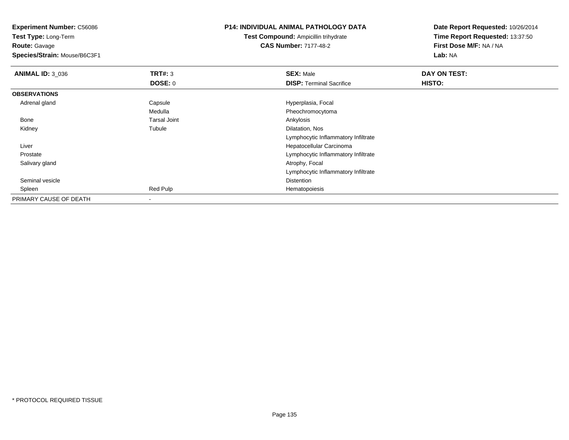**Experiment Number:** C56086**Test Type:** Long-Term**Route:** Gavage **Species/Strain:** Mouse/B6C3F1**P14: INDIVIDUAL ANIMAL PATHOLOGY DATATest Compound:** Ampicillin trihydrate**CAS Number:** 7177-48-2**Date Report Requested:** 10/26/2014**Time Report Requested:** 13:37:50**First Dose M/F:** NA / NA**Lab:** NA**ANIMAL ID:** 3\_036 **TRT#:** <sup>3</sup> **SEX:** Male **DAY ON TEST: DOSE:** 0**DISP:** Terminal Sacrifice **HISTO: OBSERVATIONS** Adrenal glandCapsule **Capsule Hyperplasia**, Focal MedullaMedulla Pheochromocytoma<br>
Tarsal Joint Carrier Controller Controller Ankylosis Bonee and the set of the set of the set of the set of the set of the set of the set of the set of the set of the s Kidneyy the contract of the contract of the contract of the contract of the contract of the contract of the contract of the contract of the contract of the contract of the contract of the contract of the contract of the contract Tubule **Dilatation**, Nos Lymphocytic Inflammatory Infiltrate Liver Hepatocellular Carcinomae **Example 2018** Lymphocytic Inflammatory Infiltrate Prostate Salivary gland Atrophy, Focal Lymphocytic Inflammatory Infiltrate Seminal vesiclee distance de la proposition de la proposition de la proposition de la proposition de la proposition de la pro<br>Distance de la proposition de la proposition de la proposition de la proposition de la proposition de la propo Spleenn and the second terms of the Red Pulp Hematopoiesis and the Hematopoiesis and the Hematopoiesis and the Hematopoiesis and the Hematopoiesis and the Hematopoiesis and the Hematopoiesis and the Hematopoiesis and the Hematop PRIMARY CAUSE OF DEATH-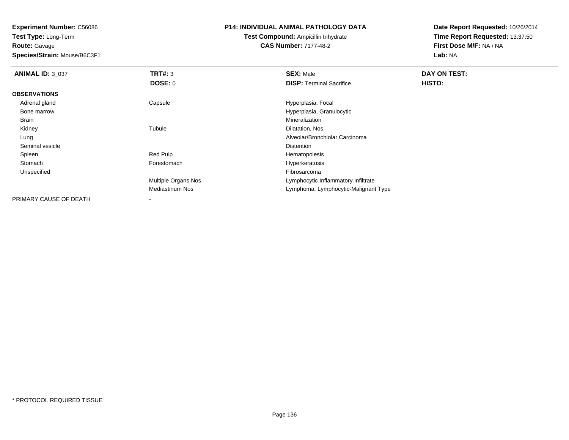**Test Type:** Long-Term**Route:** Gavage

**Species/Strain:** Mouse/B6C3F1

### **P14: INDIVIDUAL ANIMAL PATHOLOGY DATA**

**Test Compound:** Ampicillin trihydrate**CAS Number:** 7177-48-2

| <b>ANIMAL ID: 3_037</b> | TRT#: 3                    | <b>SEX: Male</b>                     | DAY ON TEST: |  |
|-------------------------|----------------------------|--------------------------------------|--------------|--|
|                         | DOSE: 0                    | <b>DISP:</b> Terminal Sacrifice      | HISTO:       |  |
| <b>OBSERVATIONS</b>     |                            |                                      |              |  |
| Adrenal gland           | Capsule                    | Hyperplasia, Focal                   |              |  |
| Bone marrow             |                            | Hyperplasia, Granulocytic            |              |  |
| Brain                   |                            | Mineralization                       |              |  |
| Kidney                  | Tubule                     | Dilatation, Nos                      |              |  |
| Lung                    |                            | Alveolar/Bronchiolar Carcinoma       |              |  |
| Seminal vesicle         |                            | Distention                           |              |  |
| Spleen                  | Red Pulp                   | Hematopoiesis                        |              |  |
| Stomach                 | Forestomach                | Hyperkeratosis                       |              |  |
| Unspecified             |                            | Fibrosarcoma                         |              |  |
|                         | <b>Multiple Organs Nos</b> | Lymphocytic Inflammatory Infiltrate  |              |  |
|                         | Mediastinum Nos            | Lymphoma, Lymphocytic-Malignant Type |              |  |
| PRIMARY CAUSE OF DEATH  |                            |                                      |              |  |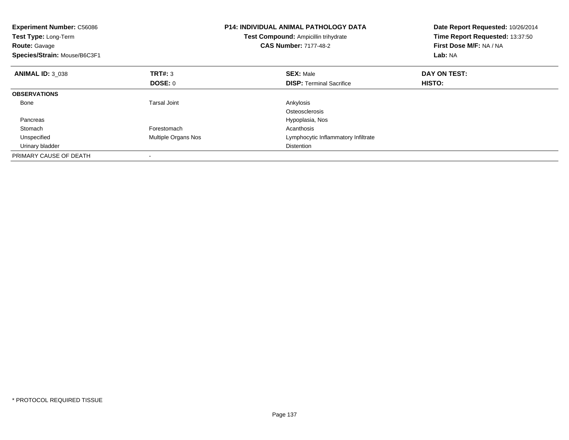| <b>Experiment Number: C56086</b><br>Test Type: Long-Term<br><b>Route: Gavage</b><br>Species/Strain: Mouse/B6C3F1 |                     | <b>P14: INDIVIDUAL ANIMAL PATHOLOGY DATA</b><br>Test Compound: Ampicillin trihydrate<br><b>CAS Number: 7177-48-2</b> | Date Report Requested: 10/26/2014<br>Time Report Requested: 13:37:50<br>First Dose M/F: NA / NA<br>Lab: NA |
|------------------------------------------------------------------------------------------------------------------|---------------------|----------------------------------------------------------------------------------------------------------------------|------------------------------------------------------------------------------------------------------------|
| <b>ANIMAL ID: 3 038</b>                                                                                          | <b>TRT#: 3</b>      | <b>SEX: Male</b>                                                                                                     | DAY ON TEST:                                                                                               |
|                                                                                                                  | DOSE: 0             | <b>DISP:</b> Terminal Sacrifice                                                                                      | <b>HISTO:</b>                                                                                              |
| <b>OBSERVATIONS</b>                                                                                              |                     |                                                                                                                      |                                                                                                            |
| Bone                                                                                                             | Tarsal Joint        | Ankylosis                                                                                                            |                                                                                                            |
|                                                                                                                  |                     | Osteosclerosis                                                                                                       |                                                                                                            |
| Pancreas                                                                                                         |                     | Hypoplasia, Nos                                                                                                      |                                                                                                            |
| Stomach                                                                                                          | Forestomach         | Acanthosis                                                                                                           |                                                                                                            |
| Unspecified                                                                                                      | Multiple Organs Nos | Lymphocytic Inflammatory Infiltrate                                                                                  |                                                                                                            |
| Urinary bladder                                                                                                  |                     | <b>Distention</b>                                                                                                    |                                                                                                            |
| PRIMARY CAUSE OF DEATH                                                                                           |                     |                                                                                                                      |                                                                                                            |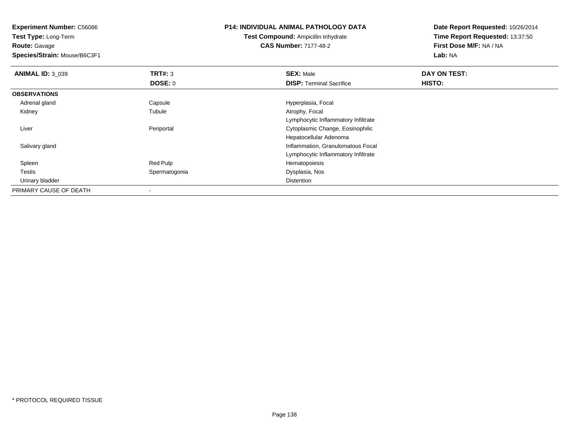**Test Type:** Long-Term**Route:** Gavage

**Species/Strain:** Mouse/B6C3F1

# **P14: INDIVIDUAL ANIMAL PATHOLOGY DATA**

**Test Compound:** Ampicillin trihydrate**CAS Number:** 7177-48-2

| <b>ANIMAL ID: 3 039</b> | TRT#: 3       | <b>SEX: Male</b>                    | DAY ON TEST: |  |
|-------------------------|---------------|-------------------------------------|--------------|--|
|                         | DOSE: 0       | <b>DISP: Terminal Sacrifice</b>     | HISTO:       |  |
| <b>OBSERVATIONS</b>     |               |                                     |              |  |
| Adrenal gland           | Capsule       | Hyperplasia, Focal                  |              |  |
| Kidney                  | Tubule        | Atrophy, Focal                      |              |  |
|                         |               | Lymphocytic Inflammatory Infiltrate |              |  |
| Liver                   | Periportal    | Cytoplasmic Change, Eosinophilic    |              |  |
|                         |               | Hepatocellular Adenoma              |              |  |
| Salivary gland          |               | Inflammation, Granulomatous Focal   |              |  |
|                         |               | Lymphocytic Inflammatory Infiltrate |              |  |
| Spleen                  | Red Pulp      | Hematopoiesis                       |              |  |
| Testis                  | Spermatogonia | Dysplasia, Nos                      |              |  |
| Urinary bladder         |               | <b>Distention</b>                   |              |  |
| PRIMARY CAUSE OF DEATH  |               |                                     |              |  |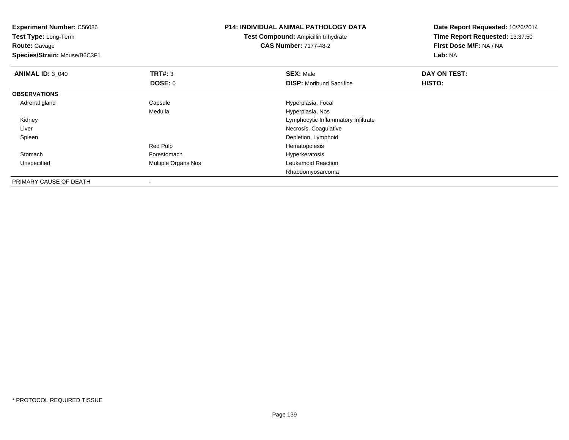**Experiment Number:** C56086**Test Type:** Long-Term**Route:** Gavage **Species/Strain:** Mouse/B6C3F1**P14: INDIVIDUAL ANIMAL PATHOLOGY DATATest Compound:** Ampicillin trihydrate**CAS Number:** 7177-48-2**Date Report Requested:** 10/26/2014**Time Report Requested:** 13:37:50**First Dose M/F:** NA / NA**Lab:** NA**ANIMAL ID: 3 040 C DAY ON TEST: TRT#:** 3 **SEX:** Male **SEX:** Male **DOSE:** 0**DISP:** Moribund Sacrifice **HISTO: OBSERVATIONS** Adrenal glandCapsule **Capsule Hyperplasia**, Focal Medulla Hyperplasia, Nos Kidney Lymphocytic Inflammatory Infiltrate Liver Necrosis, Coagulativen and the control of the control of the control of the control of the Depletion, Lymphoid SpleenRed Pulp Hematopoiesis StomachHyperkeratosis<br>Leukemoid Reaction UnspecifiedMultiple Organs Nos Rhabdomyosarcoma

PRIMARY CAUSE OF DEATH-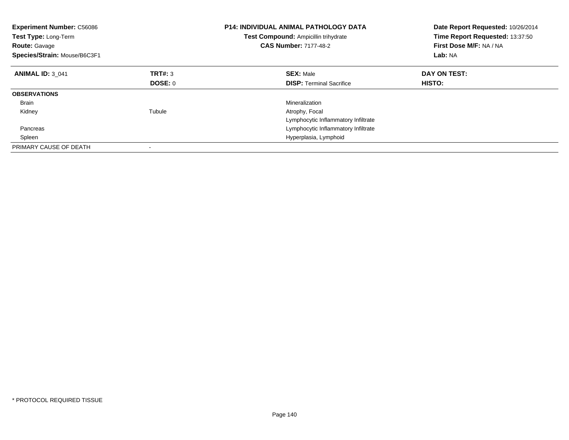| <b>Experiment Number: C56086</b><br><b>Test Type: Long-Term</b><br><b>Route: Gavage</b><br>Species/Strain: Mouse/B6C3F1 |         | <b>P14: INDIVIDUAL ANIMAL PATHOLOGY DATA</b><br><b>Test Compound: Ampicillin trihydrate</b><br><b>CAS Number: 7177-48-2</b> | Date Report Requested: 10/26/2014<br>Time Report Requested: 13:37:50<br>First Dose M/F: NA / NA<br>Lab: NA |
|-------------------------------------------------------------------------------------------------------------------------|---------|-----------------------------------------------------------------------------------------------------------------------------|------------------------------------------------------------------------------------------------------------|
| <b>ANIMAL ID: 3 041</b>                                                                                                 | TRT#: 3 | <b>SEX: Male</b>                                                                                                            | DAY ON TEST:                                                                                               |
|                                                                                                                         | DOSE: 0 | <b>DISP:</b> Terminal Sacrifice                                                                                             | <b>HISTO:</b>                                                                                              |
| <b>OBSERVATIONS</b>                                                                                                     |         |                                                                                                                             |                                                                                                            |
| <b>Brain</b>                                                                                                            |         | Mineralization                                                                                                              |                                                                                                            |
| Kidney                                                                                                                  | Tubule  | Atrophy, Focal                                                                                                              |                                                                                                            |
|                                                                                                                         |         | Lymphocytic Inflammatory Infiltrate                                                                                         |                                                                                                            |
| Pancreas                                                                                                                |         | Lymphocytic Inflammatory Infiltrate                                                                                         |                                                                                                            |
| Spleen                                                                                                                  |         | Hyperplasia, Lymphoid                                                                                                       |                                                                                                            |
| PRIMARY CAUSE OF DEATH                                                                                                  |         |                                                                                                                             |                                                                                                            |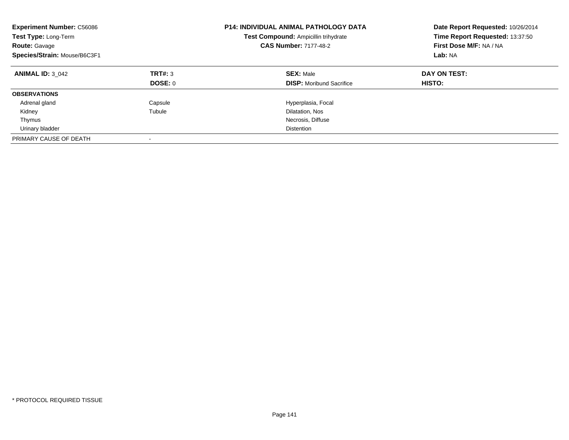| <b>Experiment Number: C56086</b><br>Test Type: Long-Term<br><b>Route: Gavage</b><br>Species/Strain: Mouse/B6C3F1 |                           | <b>P14: INDIVIDUAL ANIMAL PATHOLOGY DATA</b><br>Test Compound: Ampicillin trihydrate<br><b>CAS Number: 7177-48-2</b> | Date Report Requested: 10/26/2014<br>Time Report Requested: 13:37:50<br>First Dose M/F: NA / NA<br>Lab: NA |
|------------------------------------------------------------------------------------------------------------------|---------------------------|----------------------------------------------------------------------------------------------------------------------|------------------------------------------------------------------------------------------------------------|
| <b>ANIMAL ID: 3 042</b>                                                                                          | TRT#: 3<br><b>DOSE: 0</b> | <b>SEX: Male</b><br><b>DISP:</b> Moribund Sacrifice                                                                  | DAY ON TEST:<br>HISTO:                                                                                     |
| <b>OBSERVATIONS</b>                                                                                              |                           |                                                                                                                      |                                                                                                            |
| Adrenal gland                                                                                                    | Capsule                   | Hyperplasia, Focal                                                                                                   |                                                                                                            |
| Kidney                                                                                                           | Tubule                    | Dilatation, Nos                                                                                                      |                                                                                                            |
| Thymus                                                                                                           |                           | Necrosis, Diffuse                                                                                                    |                                                                                                            |
| Urinary bladder                                                                                                  |                           | Distention                                                                                                           |                                                                                                            |
| PRIMARY CAUSE OF DEATH                                                                                           |                           |                                                                                                                      |                                                                                                            |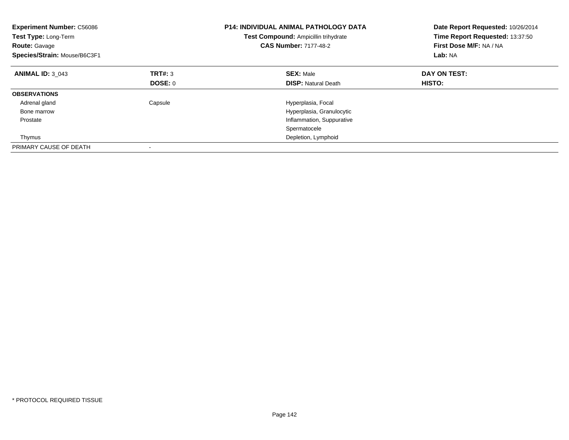| <b>Experiment Number: C56086</b><br>Test Type: Long-Term<br><b>Route: Gavage</b><br>Species/Strain: Mouse/B6C3F1 |         | <b>P14: INDIVIDUAL ANIMAL PATHOLOGY DATA</b><br>Test Compound: Ampicillin trihydrate<br><b>CAS Number: 7177-48-2</b> | Date Report Requested: 10/26/2014<br>Time Report Requested: 13:37:50<br>First Dose M/F: NA / NA<br>Lab: NA |
|------------------------------------------------------------------------------------------------------------------|---------|----------------------------------------------------------------------------------------------------------------------|------------------------------------------------------------------------------------------------------------|
| <b>ANIMAL ID: 3 043</b>                                                                                          | TRT#: 3 | <b>SEX: Male</b>                                                                                                     | DAY ON TEST:                                                                                               |
|                                                                                                                  | DOSE: 0 | <b>DISP:</b> Natural Death                                                                                           | HISTO:                                                                                                     |
| <b>OBSERVATIONS</b>                                                                                              |         |                                                                                                                      |                                                                                                            |
| Adrenal gland                                                                                                    | Capsule | Hyperplasia, Focal                                                                                                   |                                                                                                            |
| Bone marrow                                                                                                      |         | Hyperplasia, Granulocytic                                                                                            |                                                                                                            |
| Prostate                                                                                                         |         | Inflammation, Suppurative                                                                                            |                                                                                                            |
|                                                                                                                  |         | Spermatocele                                                                                                         |                                                                                                            |
| Thymus                                                                                                           |         | Depletion, Lymphoid                                                                                                  |                                                                                                            |
| PRIMARY CAUSE OF DEATH                                                                                           |         |                                                                                                                      |                                                                                                            |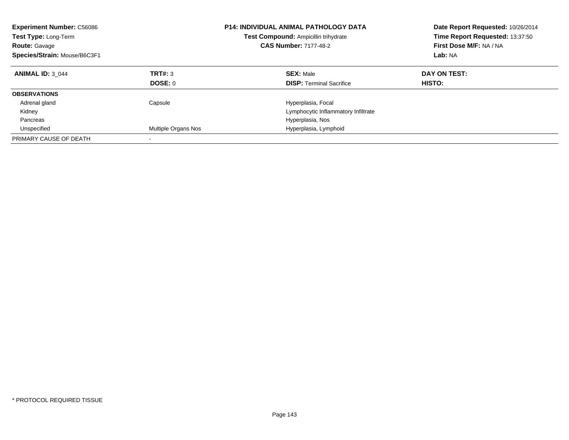| <b>Experiment Number: C56086</b><br><b>Test Type: Long-Term</b><br><b>Route: Gavage</b><br>Species/Strain: Mouse/B6C3F1 |                     | <b>P14: INDIVIDUAL ANIMAL PATHOLOGY DATA</b><br>Test Compound: Ampicillin trihydrate<br><b>CAS Number: 7177-48-2</b> | Date Report Requested: 10/26/2014<br>Time Report Requested: 13:37:50<br>First Dose M/F: NA / NA<br>Lab: NA |
|-------------------------------------------------------------------------------------------------------------------------|---------------------|----------------------------------------------------------------------------------------------------------------------|------------------------------------------------------------------------------------------------------------|
| <b>ANIMAL ID: 3 044</b>                                                                                                 | TRT#: 3<br>DOSE: 0  | <b>SEX: Male</b><br><b>DISP:</b> Terminal Sacrifice                                                                  | DAY ON TEST:<br>HISTO:                                                                                     |
| <b>OBSERVATIONS</b>                                                                                                     |                     |                                                                                                                      |                                                                                                            |
| Adrenal gland                                                                                                           | Capsule             | Hyperplasia, Focal                                                                                                   |                                                                                                            |
| Kidney                                                                                                                  |                     | Lymphocytic Inflammatory Infiltrate                                                                                  |                                                                                                            |
| Pancreas                                                                                                                |                     | Hyperplasia, Nos                                                                                                     |                                                                                                            |
| Unspecified                                                                                                             | Multiple Organs Nos | Hyperplasia, Lymphoid                                                                                                |                                                                                                            |
| PRIMARY CAUSE OF DEATH                                                                                                  |                     |                                                                                                                      |                                                                                                            |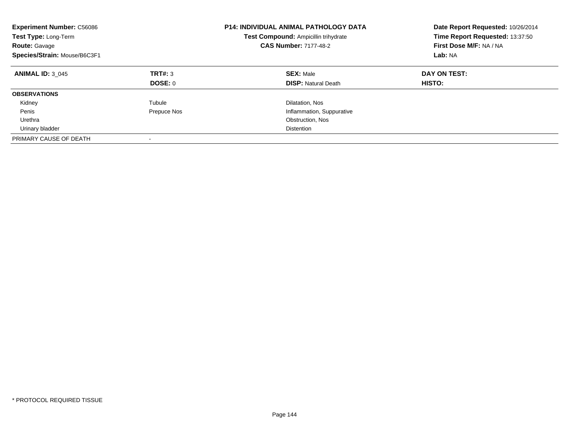| <b>Experiment Number: C56086</b><br>Test Type: Long-Term<br><b>Route: Gavage</b><br>Species/Strain: Mouse/B6C3F1 |                | P14: INDIVIDUAL ANIMAL PATHOLOGY DATA<br>Test Compound: Ampicillin trihydrate<br><b>CAS Number: 7177-48-2</b> | Date Report Requested: 10/26/2014<br>Time Report Requested: 13:37:50<br>First Dose M/F: NA / NA<br>Lab: NA |
|------------------------------------------------------------------------------------------------------------------|----------------|---------------------------------------------------------------------------------------------------------------|------------------------------------------------------------------------------------------------------------|
| <b>ANIMAL ID: 3 045</b>                                                                                          | TRT#: 3        | <b>SEX: Male</b>                                                                                              | DAY ON TEST:                                                                                               |
|                                                                                                                  | <b>DOSE: 0</b> | <b>DISP:</b> Natural Death                                                                                    | HISTO:                                                                                                     |
| <b>OBSERVATIONS</b>                                                                                              |                |                                                                                                               |                                                                                                            |
| Kidney                                                                                                           | Tubule         | Dilatation, Nos                                                                                               |                                                                                                            |
| Penis                                                                                                            | Prepuce Nos    | Inflammation, Suppurative                                                                                     |                                                                                                            |
| Urethra                                                                                                          |                | Obstruction, Nos                                                                                              |                                                                                                            |
| Urinary bladder                                                                                                  |                | Distention                                                                                                    |                                                                                                            |
| PRIMARY CAUSE OF DEATH                                                                                           |                |                                                                                                               |                                                                                                            |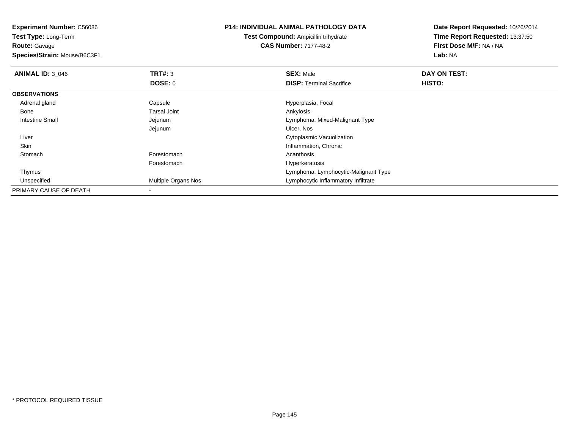**Experiment Number:** C56086**Test Type:** Long-Term

**Route:** Gavage

**Species/Strain:** Mouse/B6C3F1

## **P14: INDIVIDUAL ANIMAL PATHOLOGY DATA**

**Test Compound:** Ampicillin trihydrate**CAS Number:** 7177-48-2

**Date Report Requested:** 10/26/2014**Time Report Requested:** 13:37:50**First Dose M/F:** NA / NA**Lab:** NA

| <b>ANIMAL ID: 3 046</b> | TRT#: 3                    | <b>SEX: Male</b>                     | DAY ON TEST: |  |
|-------------------------|----------------------------|--------------------------------------|--------------|--|
|                         | <b>DOSE: 0</b>             | <b>DISP: Terminal Sacrifice</b>      | HISTO:       |  |
| <b>OBSERVATIONS</b>     |                            |                                      |              |  |
| Adrenal gland           | Capsule                    | Hyperplasia, Focal                   |              |  |
| Bone                    | <b>Tarsal Joint</b>        | Ankylosis                            |              |  |
| Intestine Small         | Jejunum                    | Lymphoma, Mixed-Malignant Type       |              |  |
|                         | Jejunum                    | Ulcer, Nos                           |              |  |
| Liver                   |                            | Cytoplasmic Vacuolization            |              |  |
| Skin                    |                            | Inflammation, Chronic                |              |  |
| Stomach                 | Forestomach                | Acanthosis                           |              |  |
|                         | Forestomach                | Hyperkeratosis                       |              |  |
| Thymus                  |                            | Lymphoma, Lymphocytic-Malignant Type |              |  |
| Unspecified             | <b>Multiple Organs Nos</b> | Lymphocytic Inflammatory Infiltrate  |              |  |
| PRIMARY CAUSE OF DEATH  |                            |                                      |              |  |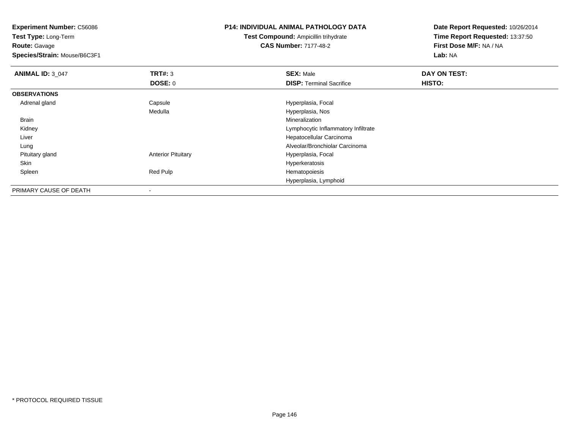**Experiment Number:** C56086

**Test Type:** Long-Term**Route:** Gavage

**Species/Strain:** Mouse/B6C3F1

## **P14: INDIVIDUAL ANIMAL PATHOLOGY DATA**

**Test Compound:** Ampicillin trihydrate**CAS Number:** 7177-48-2

**Date Report Requested:** 10/26/2014**Time Report Requested:** 13:37:50**First Dose M/F:** NA / NA**Lab:** NA

| <b>ANIMAL ID: 3 047</b> | <b>TRT#: 3</b>            | <b>SEX: Male</b>                    | DAY ON TEST: |  |
|-------------------------|---------------------------|-------------------------------------|--------------|--|
|                         | DOSE: 0                   | <b>DISP: Terminal Sacrifice</b>     | HISTO:       |  |
| <b>OBSERVATIONS</b>     |                           |                                     |              |  |
| Adrenal gland           | Capsule                   | Hyperplasia, Focal                  |              |  |
|                         | Medulla                   | Hyperplasia, Nos                    |              |  |
| Brain                   |                           | Mineralization                      |              |  |
| Kidney                  |                           | Lymphocytic Inflammatory Infiltrate |              |  |
| Liver                   |                           | Hepatocellular Carcinoma            |              |  |
| Lung                    |                           | Alveolar/Bronchiolar Carcinoma      |              |  |
| Pituitary gland         | <b>Anterior Pituitary</b> | Hyperplasia, Focal                  |              |  |
| Skin                    |                           | Hyperkeratosis                      |              |  |
| Spleen                  | Red Pulp                  | Hematopoiesis                       |              |  |
|                         |                           | Hyperplasia, Lymphoid               |              |  |
| PRIMARY CAUSE OF DEATH  | ۰                         |                                     |              |  |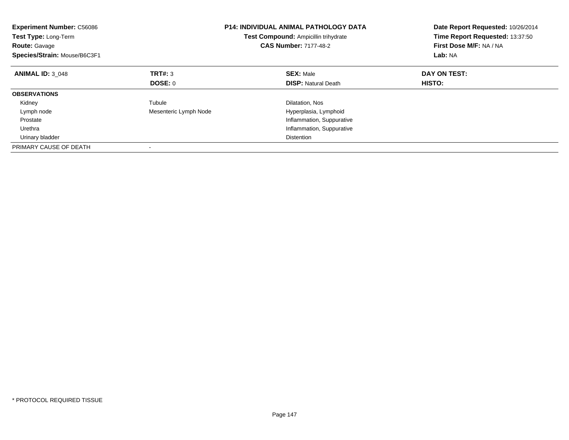| <b>Experiment Number: C56086</b><br>Test Type: Long-Term<br><b>Route: Gavage</b><br>Species/Strain: Mouse/B6C3F1 |                       | <b>P14: INDIVIDUAL ANIMAL PATHOLOGY DATA</b><br><b>Test Compound: Ampicillin trihydrate</b><br><b>CAS Number: 7177-48-2</b> | Date Report Requested: 10/26/2014<br>Time Report Requested: 13:37:50<br>First Dose M/F: NA / NA<br>Lab: NA |  |
|------------------------------------------------------------------------------------------------------------------|-----------------------|-----------------------------------------------------------------------------------------------------------------------------|------------------------------------------------------------------------------------------------------------|--|
| <b>ANIMAL ID: 3 048</b>                                                                                          | TRT#: 3               | <b>SEX: Male</b>                                                                                                            | DAY ON TEST:                                                                                               |  |
|                                                                                                                  | DOSE: 0               | <b>DISP:</b> Natural Death                                                                                                  | HISTO:                                                                                                     |  |
| <b>OBSERVATIONS</b>                                                                                              |                       |                                                                                                                             |                                                                                                            |  |
| Kidney                                                                                                           | Tubule                | Dilatation, Nos                                                                                                             |                                                                                                            |  |
| Lymph node                                                                                                       | Mesenteric Lymph Node | Hyperplasia, Lymphoid                                                                                                       |                                                                                                            |  |
| Prostate                                                                                                         |                       | Inflammation, Suppurative                                                                                                   |                                                                                                            |  |
| Urethra                                                                                                          |                       | Inflammation, Suppurative                                                                                                   |                                                                                                            |  |
| Urinary bladder                                                                                                  |                       | <b>Distention</b>                                                                                                           |                                                                                                            |  |
| PRIMARY CAUSE OF DEATH                                                                                           |                       |                                                                                                                             |                                                                                                            |  |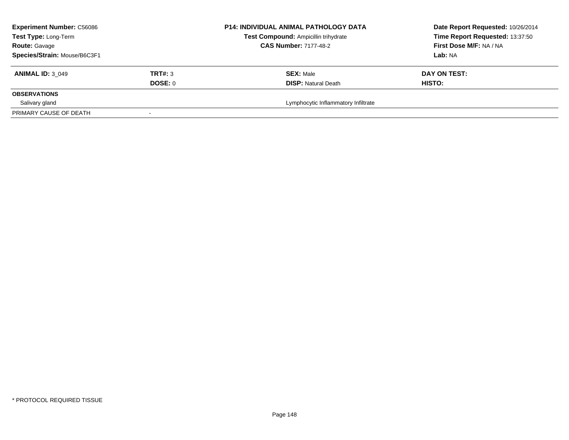| <b>Experiment Number: C56086</b><br>Test Type: Long-Term<br><b>Route: Gavage</b><br>Species/Strain: Mouse/B6C3F1 |                    | <b>P14: INDIVIDUAL ANIMAL PATHOLOGY DATA</b><br>Test Compound: Ampicillin trihydrate<br><b>CAS Number: 7177-48-2</b> | Date Report Requested: 10/26/2014<br>Time Report Requested: 13:37:50<br>First Dose M/F: NA / NA<br>Lab: NA |
|------------------------------------------------------------------------------------------------------------------|--------------------|----------------------------------------------------------------------------------------------------------------------|------------------------------------------------------------------------------------------------------------|
| <b>ANIMAL ID: 3 049</b>                                                                                          | TRT#: 3<br>DOSE: 0 | <b>SEX: Male</b><br><b>DISP:</b> Natural Death                                                                       | DAY ON TEST:<br>HISTO:                                                                                     |
| <b>OBSERVATIONS</b>                                                                                              |                    |                                                                                                                      |                                                                                                            |
| Salivary gland                                                                                                   |                    | Lymphocytic Inflammatory Infiltrate                                                                                  |                                                                                                            |
| PRIMARY CAUSE OF DEATH                                                                                           |                    |                                                                                                                      |                                                                                                            |